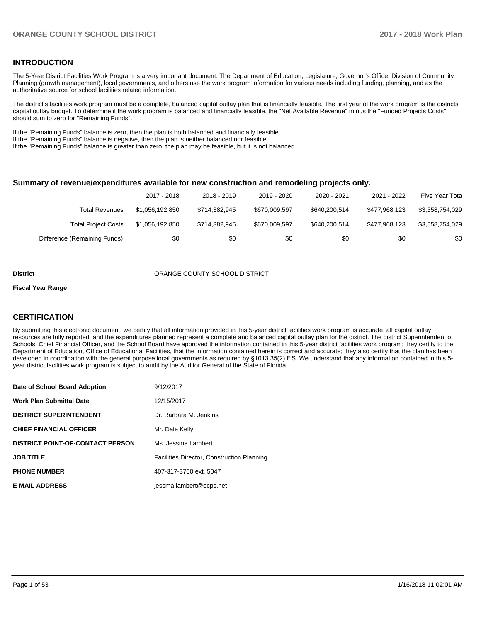#### **INTRODUCTION**

The 5-Year District Facilities Work Program is a very important document. The Department of Education, Legislature, Governor's Office, Division of Community Planning (growth management), local governments, and others use the work program information for various needs including funding, planning, and as the authoritative source for school facilities related information.

The district's facilities work program must be a complete, balanced capital outlay plan that is financially feasible. The first year of the work program is the districts capital outlay budget. To determine if the work program is balanced and financially feasible, the "Net Available Revenue" minus the "Funded Projects Costs" should sum to zero for "Remaining Funds".

If the "Remaining Funds" balance is zero, then the plan is both balanced and financially feasible.

If the "Remaining Funds" balance is negative, then the plan is neither balanced nor feasible.

If the "Remaining Funds" balance is greater than zero, the plan may be feasible, but it is not balanced.

#### **Summary of revenue/expenditures available for new construction and remodeling projects only.**

|                              | 2017 - 2018     | 2018 - 2019   | 2019 - 2020   | 2020 - 2021   | 2021 - 2022   | Five Year Tota  |
|------------------------------|-----------------|---------------|---------------|---------------|---------------|-----------------|
| Total Revenues               | \$1.056.192.850 | \$714.382.945 | \$670.009.597 | \$640,200,514 | \$477.968.123 | \$3.558.754.029 |
| <b>Total Project Costs</b>   | \$1.056.192.850 | \$714.382.945 | \$670.009.597 | \$640,200,514 | \$477.968.123 | \$3.558.754.029 |
| Difference (Remaining Funds) | \$0             | \$0           | \$0           | \$0           | \$0           | \$0             |

#### **District COUNTY SCHOOL DISTRICT**

#### **Fiscal Year Range**

### **CERTIFICATION**

By submitting this electronic document, we certify that all information provided in this 5-year district facilities work program is accurate, all capital outlay resources are fully reported, and the expenditures planned represent a complete and balanced capital outlay plan for the district. The district Superintendent of Schools, Chief Financial Officer, and the School Board have approved the information contained in this 5-year district facilities work program; they certify to the Department of Education, Office of Educational Facilities, that the information contained herein is correct and accurate; they also certify that the plan has been developed in coordination with the general purpose local governments as required by §1013.35(2) F.S. We understand that any information contained in this 5year district facilities work program is subject to audit by the Auditor General of the State of Florida.

| Date of School Board Adoption           | 9/12/2017                                         |
|-----------------------------------------|---------------------------------------------------|
| <b>Work Plan Submittal Date</b>         | 12/15/2017                                        |
| <b>DISTRICT SUPERINTENDENT</b>          | Dr. Barbara M. Jenkins                            |
| <b>CHIEF FINANCIAL OFFICER</b>          | Mr. Dale Kelly                                    |
| <b>DISTRICT POINT-OF-CONTACT PERSON</b> | Ms. Jessma Lambert                                |
| <b>JOB TITLE</b>                        | <b>Facilities Director, Construction Planning</b> |
| <b>PHONE NUMBER</b>                     | 407-317-3700 ext. 5047                            |
| <b>E-MAIL ADDRESS</b>                   | jessma.lambert@ocps.net                           |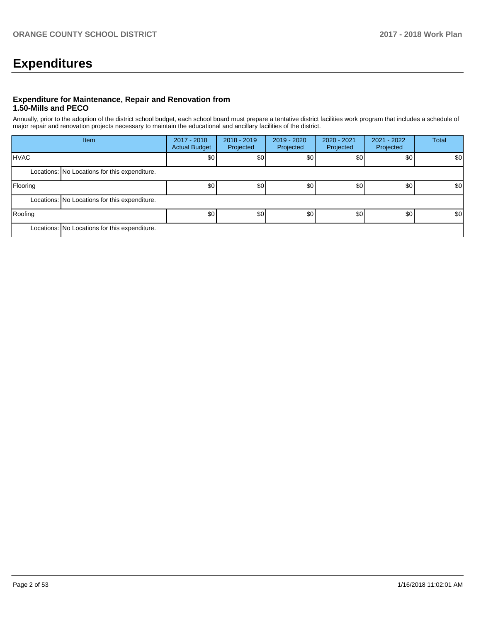# **Expenditures**

### **Expenditure for Maintenance, Repair and Renovation from 1.50-Mills and PECO**

Annually, prior to the adoption of the district school budget, each school board must prepare a tentative district facilities work program that includes a schedule of major repair and renovation projects necessary to maintain the educational and ancillary facilities of the district.

|             | Item                                          | 2017 - 2018<br><b>Actual Budget</b> | $2018 - 2019$<br>Projected | $2019 - 2020$<br>Projected | 2020 - 2021<br>Projected | 2021 - 2022<br>Projected | <b>Total</b> |  |  |  |
|-------------|-----------------------------------------------|-------------------------------------|----------------------------|----------------------------|--------------------------|--------------------------|--------------|--|--|--|
| <b>HVAC</b> |                                               | \$0                                 | \$0                        | \$0                        | \$0                      | \$0                      | \$0          |  |  |  |
|             | Locations: No Locations for this expenditure. |                                     |                            |                            |                          |                          |              |  |  |  |
| Flooring    |                                               | \$0                                 | \$0                        | \$0                        | \$0                      | \$0                      | \$0          |  |  |  |
|             | Locations: No Locations for this expenditure. |                                     |                            |                            |                          |                          |              |  |  |  |
| Roofing     |                                               | \$0 <sub>1</sub>                    | \$0                        | \$0                        | \$0                      | \$0                      | \$0          |  |  |  |
|             | Locations: No Locations for this expenditure. |                                     |                            |                            |                          |                          |              |  |  |  |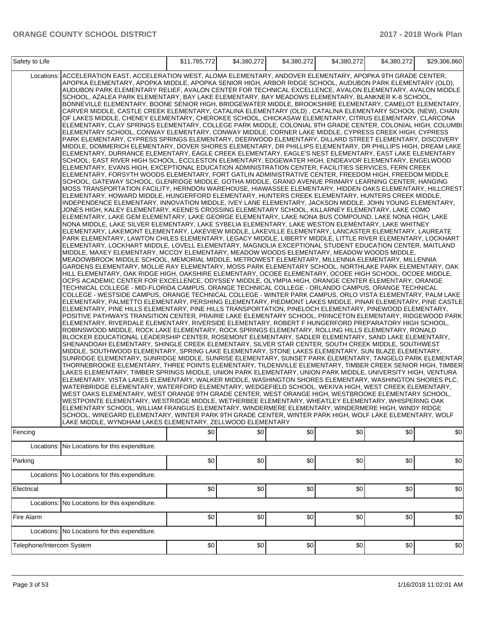| Safety to Life                                                                                                                                                                                                                                                                                                                                                                                                                                                                                                                                                                                                                                                                                                                                                                                                                                                                                                                                                                                                                                                                                                                                                                                                                                                                                                                                                                                                                                                                                                                                                                                                                                                                                                                                                                                                                                                                                                                                                                                                                                                                                                                                                                                                                                                                                                                                                                                                                                                                                                                                                                                                                                                                                                                                                                                                                                                                                                                                                                                                                                                                                                                                                                                                                                                                                                                                                                                                                                                                                                                                                                                                                                                                                                                                                                                                                                                                                                                                                                                                                                                                                                                                                                                                                                                                                                                                                                                                                                                                                                                                                                                                                                                                                                                                                                                                                                                                                                                                                                                                                                                                                                                                                                                                                                                                                                                                                                                                                                                                                                                                                               |                                               | \$11,785,772 | \$4.380.272 | \$4.380.272 |     | \$4,380,272 | \$29,306,860 |  |
|------------------------------------------------------------------------------------------------------------------------------------------------------------------------------------------------------------------------------------------------------------------------------------------------------------------------------------------------------------------------------------------------------------------------------------------------------------------------------------------------------------------------------------------------------------------------------------------------------------------------------------------------------------------------------------------------------------------------------------------------------------------------------------------------------------------------------------------------------------------------------------------------------------------------------------------------------------------------------------------------------------------------------------------------------------------------------------------------------------------------------------------------------------------------------------------------------------------------------------------------------------------------------------------------------------------------------------------------------------------------------------------------------------------------------------------------------------------------------------------------------------------------------------------------------------------------------------------------------------------------------------------------------------------------------------------------------------------------------------------------------------------------------------------------------------------------------------------------------------------------------------------------------------------------------------------------------------------------------------------------------------------------------------------------------------------------------------------------------------------------------------------------------------------------------------------------------------------------------------------------------------------------------------------------------------------------------------------------------------------------------------------------------------------------------------------------------------------------------------------------------------------------------------------------------------------------------------------------------------------------------------------------------------------------------------------------------------------------------------------------------------------------------------------------------------------------------------------------------------------------------------------------------------------------------------------------------------------------------------------------------------------------------------------------------------------------------------------------------------------------------------------------------------------------------------------------------------------------------------------------------------------------------------------------------------------------------------------------------------------------------------------------------------------------------------------------------------------------------------------------------------------------------------------------------------------------------------------------------------------------------------------------------------------------------------------------------------------------------------------------------------------------------------------------------------------------------------------------------------------------------------------------------------------------------------------------------------------------------------------------------------------------------------------------------------------------------------------------------------------------------------------------------------------------------------------------------------------------------------------------------------------------------------------------------------------------------------------------------------------------------------------------------------------------------------------------------------------------------------------------------------------------------------------------------------------------------------------------------------------------------------------------------------------------------------------------------------------------------------------------------------------------------------------------------------------------------------------------------------------------------------------------------------------------------------------------------------------------------------------------------------------------------------------------------------------------------------------------------------------------------------------------------------------------------------------------------------------------------------------------------------------------------------------------------------------------------------------------------------------------------------------------------------------------------------------------------------------------------------------------------------------------------------------------------------------------------|-----------------------------------------------|--------------|-------------|-------------|-----|-------------|--------------|--|
| \$4,380,272<br>Locations: ACCELERATION EAST, ACCELERATION WEST, ALOMA ELEMENTARY, ANDOVER ELEMENTARY, APOPKA 9TH GRADE CENTER,<br>APOPKA ELEMENTARY, APOPKA MIDDLE, APOPKA SENIOR HIGH, ARBOR RIDGE SCHOOL, AUDUBON PARK ELEMENTARY (OLD),<br>AUDUBON PARK ELEMENTARY RELIEF, AVALON CENTER FOR TECHNICAL EXCELLENCE, AVALON ELEMENTARY, AVALON MIDDLE<br>SCHOOL, AZALEA PARK ELEMENTARY, BAY LAKE ELEMENTARY, BAY MEADOWS ELEMENTARY, BLANKNER K-8 SCHOOL,<br>BONNEVILLE ELEMENTARY, BOONE SENIOR HIGH, BRIDGEWATER MIDDLE, BROOKSHIRE ELEMENTARY, CAMELOT ELEMENTARY,<br>CARVER MIDDLE, CASTLE CREEK ELEMENTARY, CATALINA ELEMENTARY (OLD), CATALINA ELEMENTARY SCHOOL (NEW), CHAIN<br>OF LAKES MIDDLE, CHENEY ELEMENTARY, CHEROKEE SCHOOL, CHICKASAW ELEMENTARY, CITRUS ELEMENTARY, CLARCONA<br>ELEMENTARY, CLAY SPRINGS ELEMENTARY, COLLEGE PARK MIDDLE, COLONIAL 9TH GRADE CENTER, COLONIAL HIGH, COLUMBI.<br>ELEMENTARY SCHOOL, CONWAY ELEMENTARY, CONWAY MIDDLE, CORNER LAKE MIDDLE, CYPRESS CREEK HIGH, CYPRESS<br>PARK ELEMENTARY, CYPRESS SPRINGS ELEMENTARY, DEERWOOD ELEMENTARY, DILLARD STREET ELEMENTARY, DISCOVERY<br>MIDDLE, DOMMERICH ELEMENTARY, DOVER SHORES ELEMENTARY, DR PHILLIPS ELEMENTARY, DR PHILLIPS HIGH, DREAM LAKE<br>ELEMENTARY, DURRANCE ELEMENTARY, EAGLE CREEK ELEMENTARY, EAGLE'S NEST ELEMENTARY, EAST LAKE ELEMENTARY<br>SCHOOL, EAST RIVER HIGH SCHOOL, ECCLESTON ELEMENTARY, EDGEWATER HIGH, ENDEAVOR ELEMENTARY, ENGELWOOD<br>ELEMENTARY, EVANS HIGH, EXCEPTIONAL EDUCATION ADMINISTRATION CENTER, FACILITIES SERVICES, FERN CREEK<br>ELEMENTARY, FORSYTH WOODS ELEMENTARY, FORT GATLIN ADMINISTRATIVE CENTER, FREEDOM HIGH, FREEDOM MIDDLE<br>SCHOOL, GATEWAY SCHOOL, GLENRIDGE MIDDLE, GOTHA MIDDLE, GRAND AVENUE PRIMARY LEARNING CENTER, HANGING<br>MOSS TRANSPORTATION FACILITY, HERNDON WAREHOUSE, HIAWASSEE ELEMENTARY, HIDDEN OAKS ELEMENTARY, HILLCREST<br>ELEMENTARY, HOWARD MIDDLE, HUNGERFORD ELEMENTARY, HUNTERS CREEK ELEMENTARY, HUNTERS CREEK MIDDLE,<br>INDEPENDENCE ELEMENTARY, INNOVATION MIDDLE, IVEY LANE ELEMENTARY, JACKSON MIDDLE, JOHN YOUNG ELEMENTARY,<br>JONES HIGH, KALEY ELEMENTARY, KEENE'S CROSSING ELEMENTARY SCHOOL, KILLARNEY ELEMENTARY, LAKE COMO<br>ELEMENTARY, LAKE GEM ELEMENTARY, LAKE GEORGE ELEMENTARY, LAKE NONA BUS COMPOUND, LAKE NONA HIGH, LAKE<br>NONA MIDDLE, LAKE SILVER ELEMENTARY, LAKE SYBELIA ELEMENTARY, LAKE WESTON ELEMENTARY, LAKE WHITNEY<br>ELEMENTARY, LAKEMONT ELEMENTARY, LAKEVIEW MIDDLE, LAKEVILLE ELEMENTARY, LANCASTER ELEMENTARY, LAUREATE<br>PARK ELEMENTARY, LAWTON CHILES ELEMENTARY, LEGACY MIDDLE, LIBERTY MIDDLE, LITTLE RIVER ELEMENTARY, LOCKHART<br>ELEMENTARY, LOCKHART MIDDLE, LOVELL ELEMENTARY, MAGNOLIA EXCEPTIONAL STUDENT EDUCATION CENTER, MAITLAND<br>MIDDLE, MAXEY ELEMENTARY, MCCOY ELEMENTARY, MEADOW WOODS ELEMENTARY, MEADOW WOODS MIDDLE,<br>MEADOWBROOK MIDDLE SCHOOL, MEMORIAL MIDDLE, METROWEST ELEMENTARY, MILLENNIA ELEMENTARY, MILLENNIA<br>GARDENS ELEMENTARY, MOLLIE RAY ELEMENTARY, MOSS PARK ELEMENTARY SCHOOL, NORTHLAKE PARK ELEMENTARY, OAK<br>HILL ELEMENTARY. OAK RIDGE HIGH. OAKSHIRE ELEMENTARY. OCOEE ELEMENTARY. OCOEE HIGH SCHOOL. OCOEE MIDDLE.<br>OCPS ACADEMIC CENTER FOR EXCELLENCE, ODYSSEY MIDDLE, OLYMPIA HIGH, ORANGE CENTER ELEMENTARY, ORANGE<br>TECHNICAL COLLEGE - MID-FLORIDA CAMPUS, ORANGE TECHNICAL COLLEGE - ORLANDO CAMPUS, ORANGE TECHNICAL<br>COLLEGE - WESTSIDE CAMPUS, ORANGE TECHNICAL COLLEGE - WINTER PARK CAMPUS, ORLO VISTA ELEMENTARY, PALM LAKE<br>ELEMENTARY, PALMETTO ELEMENTARY, PERSHING ELEMENTARY, PIEDMONT LAKES MIDDLE, PINAR ELEMENTARY, PINE CASTLE<br>ELEMENTARY, PINE HILLS ELEMENTARY, PINE HILLS TRANSPORTATION, PINELOCH ELEMENTARY, PINEWOOD ELEMENTARY,<br>POSITIVE PATHWAYS TRANSITION CENTER, PRAIRIE LAKE ELEMENTARY SCHOOL, PRINCETON ELEMENTARY, RIDGEWOOD PARK<br>ELEMENTARY, RIVERDALE ELEMENTARY, RIVERSIDE ELEMENTARY, ROBERT F HUNGERFORD PREPARATORY HIGH SCHOOL,<br>ROBINSWOOD MIDDLE, ROCK LAKE ELEMENTARY, ROCK SPRINGS ELEMENTARY, ROLLING HILLS ELEMENTARY, RONALD<br>BLOCKER EDUCATIONAL LEADERSHIP CENTER, ROSEMONT ELEMENTARY, SADLER ELEMENTARY, SAND LAKE ELEMENTARY,<br>SHENANDOAH ELEMENTARY, SHINGLE CREEK ELEMENTARY, SILVER STAR CENTER, SOUTH CREEK MIDDLE, SOUTHWEST<br>MIDDLE, SOUTHWOOD ELEMENTARY, SPRING LAKE ELEMENTARY, STONE LAKES ELEMENTARY, SUN BLAZE ELEMENTARY,<br>SUNRIDGE ELEMENTARY, SUNRIDGE MIDDLE, SUNRISE ELEMENTARY, SUNSET PARK ELEMENTARY, TANGELO PARK ELEMENTAR<br>THORNEBROOKE ELEMENTARY, THREE POINTS ELEMENTARY, TILDENVILLE ELEMENTARY, TIMBER CREEK SENIOR HIGH, TIMBER<br>LAKES ELEMENTARY, TIMBER SPRINGS MIDDLE, UNION PARK ELEMENTARY, UNION PARK MIDDLE, UNIVERSITY HIGH, VENTURA<br>ELEMENTARY, VISTA LAKES ELEMENTARY, WALKER MIDDLE, WASHINGTON SHORES ELEMENTARY, WASHINGTON SHORES PLC,<br>WATERBRIDGE ELEMENTARY, WATERFORD ELEMENTARY, WEDGEFIELD SCHOOL, WEKIVA HIGH, WEST CREEK ELEMENTARY,<br>WEST OAKS ELEMENTARY, WEST ORANGE 9TH GRADE CENTER, WEST ORANGE HIGH, WESTBROOKE ELEMENTARY SCHOOL,<br>WESTPOINTE ELEMENTARY, WESTRIDGE MIDDLE, WETHERBEE ELEMENTARY, WHEATLEY ELEMENTARY, WHISPERING OAK<br>ELEMENTARY SCHOOL. WILLIAM FRANGUS ELEMENTARY. WINDERMERE ELEMENTARY. WINDERMERE HIGH. WINDY RIDGE<br>SCHOOL, WINEGARD ELEMENTARY, WINTER PARK 9TH GRADE CENTER, WINTER PARK HIGH, WOLF LAKE ELEMENTARY, WOLF<br>LAKE MIDDLE, WYNDHAM LAKES ELEMENTARY, ZELLWOOD ELEMENTARY<br>\$0<br>\$0<br>\$0<br>\$0<br>\$0<br>\$0<br>Fencing<br>Locations: No Locations for this expenditure. |                                               |              |             |             |     |             |              |  |
|                                                                                                                                                                                                                                                                                                                                                                                                                                                                                                                                                                                                                                                                                                                                                                                                                                                                                                                                                                                                                                                                                                                                                                                                                                                                                                                                                                                                                                                                                                                                                                                                                                                                                                                                                                                                                                                                                                                                                                                                                                                                                                                                                                                                                                                                                                                                                                                                                                                                                                                                                                                                                                                                                                                                                                                                                                                                                                                                                                                                                                                                                                                                                                                                                                                                                                                                                                                                                                                                                                                                                                                                                                                                                                                                                                                                                                                                                                                                                                                                                                                                                                                                                                                                                                                                                                                                                                                                                                                                                                                                                                                                                                                                                                                                                                                                                                                                                                                                                                                                                                                                                                                                                                                                                                                                                                                                                                                                                                                                                                                                                                              |                                               |              |             |             |     |             |              |  |
| Parking                                                                                                                                                                                                                                                                                                                                                                                                                                                                                                                                                                                                                                                                                                                                                                                                                                                                                                                                                                                                                                                                                                                                                                                                                                                                                                                                                                                                                                                                                                                                                                                                                                                                                                                                                                                                                                                                                                                                                                                                                                                                                                                                                                                                                                                                                                                                                                                                                                                                                                                                                                                                                                                                                                                                                                                                                                                                                                                                                                                                                                                                                                                                                                                                                                                                                                                                                                                                                                                                                                                                                                                                                                                                                                                                                                                                                                                                                                                                                                                                                                                                                                                                                                                                                                                                                                                                                                                                                                                                                                                                                                                                                                                                                                                                                                                                                                                                                                                                                                                                                                                                                                                                                                                                                                                                                                                                                                                                                                                                                                                                                                      |                                               | \$0          | \$0         | \$0         | \$0 | \$0         | \$0          |  |
| Locations:                                                                                                                                                                                                                                                                                                                                                                                                                                                                                                                                                                                                                                                                                                                                                                                                                                                                                                                                                                                                                                                                                                                                                                                                                                                                                                                                                                                                                                                                                                                                                                                                                                                                                                                                                                                                                                                                                                                                                                                                                                                                                                                                                                                                                                                                                                                                                                                                                                                                                                                                                                                                                                                                                                                                                                                                                                                                                                                                                                                                                                                                                                                                                                                                                                                                                                                                                                                                                                                                                                                                                                                                                                                                                                                                                                                                                                                                                                                                                                                                                                                                                                                                                                                                                                                                                                                                                                                                                                                                                                                                                                                                                                                                                                                                                                                                                                                                                                                                                                                                                                                                                                                                                                                                                                                                                                                                                                                                                                                                                                                                                                   | No Locations for this expenditure.            |              |             |             |     |             |              |  |
| Electrical                                                                                                                                                                                                                                                                                                                                                                                                                                                                                                                                                                                                                                                                                                                                                                                                                                                                                                                                                                                                                                                                                                                                                                                                                                                                                                                                                                                                                                                                                                                                                                                                                                                                                                                                                                                                                                                                                                                                                                                                                                                                                                                                                                                                                                                                                                                                                                                                                                                                                                                                                                                                                                                                                                                                                                                                                                                                                                                                                                                                                                                                                                                                                                                                                                                                                                                                                                                                                                                                                                                                                                                                                                                                                                                                                                                                                                                                                                                                                                                                                                                                                                                                                                                                                                                                                                                                                                                                                                                                                                                                                                                                                                                                                                                                                                                                                                                                                                                                                                                                                                                                                                                                                                                                                                                                                                                                                                                                                                                                                                                                                                   |                                               | \$0          | \$0         | \$0         | \$0 | \$0         | \$0          |  |
|                                                                                                                                                                                                                                                                                                                                                                                                                                                                                                                                                                                                                                                                                                                                                                                                                                                                                                                                                                                                                                                                                                                                                                                                                                                                                                                                                                                                                                                                                                                                                                                                                                                                                                                                                                                                                                                                                                                                                                                                                                                                                                                                                                                                                                                                                                                                                                                                                                                                                                                                                                                                                                                                                                                                                                                                                                                                                                                                                                                                                                                                                                                                                                                                                                                                                                                                                                                                                                                                                                                                                                                                                                                                                                                                                                                                                                                                                                                                                                                                                                                                                                                                                                                                                                                                                                                                                                                                                                                                                                                                                                                                                                                                                                                                                                                                                                                                                                                                                                                                                                                                                                                                                                                                                                                                                                                                                                                                                                                                                                                                                                              | Locations: No Locations for this expenditure. |              |             |             |     |             |              |  |
| Fire Alarm                                                                                                                                                                                                                                                                                                                                                                                                                                                                                                                                                                                                                                                                                                                                                                                                                                                                                                                                                                                                                                                                                                                                                                                                                                                                                                                                                                                                                                                                                                                                                                                                                                                                                                                                                                                                                                                                                                                                                                                                                                                                                                                                                                                                                                                                                                                                                                                                                                                                                                                                                                                                                                                                                                                                                                                                                                                                                                                                                                                                                                                                                                                                                                                                                                                                                                                                                                                                                                                                                                                                                                                                                                                                                                                                                                                                                                                                                                                                                                                                                                                                                                                                                                                                                                                                                                                                                                                                                                                                                                                                                                                                                                                                                                                                                                                                                                                                                                                                                                                                                                                                                                                                                                                                                                                                                                                                                                                                                                                                                                                                                                   |                                               | \$0          | \$0         | \$0         | \$0 | \$0         | \$0          |  |
|                                                                                                                                                                                                                                                                                                                                                                                                                                                                                                                                                                                                                                                                                                                                                                                                                                                                                                                                                                                                                                                                                                                                                                                                                                                                                                                                                                                                                                                                                                                                                                                                                                                                                                                                                                                                                                                                                                                                                                                                                                                                                                                                                                                                                                                                                                                                                                                                                                                                                                                                                                                                                                                                                                                                                                                                                                                                                                                                                                                                                                                                                                                                                                                                                                                                                                                                                                                                                                                                                                                                                                                                                                                                                                                                                                                                                                                                                                                                                                                                                                                                                                                                                                                                                                                                                                                                                                                                                                                                                                                                                                                                                                                                                                                                                                                                                                                                                                                                                                                                                                                                                                                                                                                                                                                                                                                                                                                                                                                                                                                                                                              | Locations: No Locations for this expenditure. |              |             |             |     |             |              |  |
| Telephone/Intercom System                                                                                                                                                                                                                                                                                                                                                                                                                                                                                                                                                                                                                                                                                                                                                                                                                                                                                                                                                                                                                                                                                                                                                                                                                                                                                                                                                                                                                                                                                                                                                                                                                                                                                                                                                                                                                                                                                                                                                                                                                                                                                                                                                                                                                                                                                                                                                                                                                                                                                                                                                                                                                                                                                                                                                                                                                                                                                                                                                                                                                                                                                                                                                                                                                                                                                                                                                                                                                                                                                                                                                                                                                                                                                                                                                                                                                                                                                                                                                                                                                                                                                                                                                                                                                                                                                                                                                                                                                                                                                                                                                                                                                                                                                                                                                                                                                                                                                                                                                                                                                                                                                                                                                                                                                                                                                                                                                                                                                                                                                                                                                    |                                               | \$0          | \$0         | \$0         | \$0 | \$0         | \$0          |  |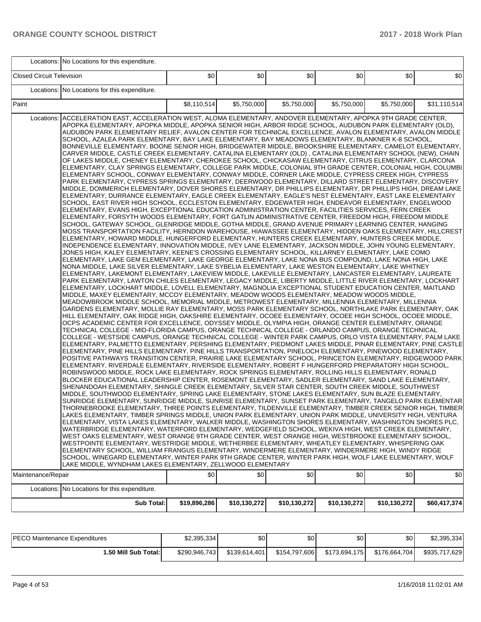|                                  | Locations: No Locations for this expenditure.                                                                                                                                                                                                                                                                                                                                                                                                                                                                                                                                                                                                                                                                                                                                                                                                                                                                                                                                                                                                                                                                                                                                                                                                                                                                                                                                                                                                                                                                                                                                                                                                                                                                                                                                                                                                                                                                                                                                                                                                                                                                                                                                                                                                                                                                                                                                                                                                                                                                                                                                                                                                                                                                                                                                                                                                                                                                                                                                                                                                                                                                                                                                                                                                                                                                                                                                                                                                                                                                                                                                                                                                                                                                                                                                                                                                                                                                                                                                                                                                                                                                                                                                                                                                                                                                                                                                                                                                                                                                                                                                                                                                                                                                                                                                                                                                                                                                                                                                                                                                                                                                                                                                                                                                                                                                                                                                                                                                          |              |              |              |              |              |              |
|----------------------------------|--------------------------------------------------------------------------------------------------------------------------------------------------------------------------------------------------------------------------------------------------------------------------------------------------------------------------------------------------------------------------------------------------------------------------------------------------------------------------------------------------------------------------------------------------------------------------------------------------------------------------------------------------------------------------------------------------------------------------------------------------------------------------------------------------------------------------------------------------------------------------------------------------------------------------------------------------------------------------------------------------------------------------------------------------------------------------------------------------------------------------------------------------------------------------------------------------------------------------------------------------------------------------------------------------------------------------------------------------------------------------------------------------------------------------------------------------------------------------------------------------------------------------------------------------------------------------------------------------------------------------------------------------------------------------------------------------------------------------------------------------------------------------------------------------------------------------------------------------------------------------------------------------------------------------------------------------------------------------------------------------------------------------------------------------------------------------------------------------------------------------------------------------------------------------------------------------------------------------------------------------------------------------------------------------------------------------------------------------------------------------------------------------------------------------------------------------------------------------------------------------------------------------------------------------------------------------------------------------------------------------------------------------------------------------------------------------------------------------------------------------------------------------------------------------------------------------------------------------------------------------------------------------------------------------------------------------------------------------------------------------------------------------------------------------------------------------------------------------------------------------------------------------------------------------------------------------------------------------------------------------------------------------------------------------------------------------------------------------------------------------------------------------------------------------------------------------------------------------------------------------------------------------------------------------------------------------------------------------------------------------------------------------------------------------------------------------------------------------------------------------------------------------------------------------------------------------------------------------------------------------------------------------------------------------------------------------------------------------------------------------------------------------------------------------------------------------------------------------------------------------------------------------------------------------------------------------------------------------------------------------------------------------------------------------------------------------------------------------------------------------------------------------------------------------------------------------------------------------------------------------------------------------------------------------------------------------------------------------------------------------------------------------------------------------------------------------------------------------------------------------------------------------------------------------------------------------------------------------------------------------------------------------------------------------------------------------------------------------------------------------------------------------------------------------------------------------------------------------------------------------------------------------------------------------------------------------------------------------------------------------------------------------------------------------------------------------------------------------------------------------------------------------------------------------------------------------------|--------------|--------------|--------------|--------------|--------------|--------------|
| <b>Closed Circuit Television</b> |                                                                                                                                                                                                                                                                                                                                                                                                                                                                                                                                                                                                                                                                                                                                                                                                                                                                                                                                                                                                                                                                                                                                                                                                                                                                                                                                                                                                                                                                                                                                                                                                                                                                                                                                                                                                                                                                                                                                                                                                                                                                                                                                                                                                                                                                                                                                                                                                                                                                                                                                                                                                                                                                                                                                                                                                                                                                                                                                                                                                                                                                                                                                                                                                                                                                                                                                                                                                                                                                                                                                                                                                                                                                                                                                                                                                                                                                                                                                                                                                                                                                                                                                                                                                                                                                                                                                                                                                                                                                                                                                                                                                                                                                                                                                                                                                                                                                                                                                                                                                                                                                                                                                                                                                                                                                                                                                                                                                                                                        | \$0          | \$0          | \$0          | \$0          | \$0          | \$0          |
|                                  | Locations: No Locations for this expenditure.                                                                                                                                                                                                                                                                                                                                                                                                                                                                                                                                                                                                                                                                                                                                                                                                                                                                                                                                                                                                                                                                                                                                                                                                                                                                                                                                                                                                                                                                                                                                                                                                                                                                                                                                                                                                                                                                                                                                                                                                                                                                                                                                                                                                                                                                                                                                                                                                                                                                                                                                                                                                                                                                                                                                                                                                                                                                                                                                                                                                                                                                                                                                                                                                                                                                                                                                                                                                                                                                                                                                                                                                                                                                                                                                                                                                                                                                                                                                                                                                                                                                                                                                                                                                                                                                                                                                                                                                                                                                                                                                                                                                                                                                                                                                                                                                                                                                                                                                                                                                                                                                                                                                                                                                                                                                                                                                                                                                          |              |              |              |              |              |              |
| Paint                            |                                                                                                                                                                                                                                                                                                                                                                                                                                                                                                                                                                                                                                                                                                                                                                                                                                                                                                                                                                                                                                                                                                                                                                                                                                                                                                                                                                                                                                                                                                                                                                                                                                                                                                                                                                                                                                                                                                                                                                                                                                                                                                                                                                                                                                                                                                                                                                                                                                                                                                                                                                                                                                                                                                                                                                                                                                                                                                                                                                                                                                                                                                                                                                                                                                                                                                                                                                                                                                                                                                                                                                                                                                                                                                                                                                                                                                                                                                                                                                                                                                                                                                                                                                                                                                                                                                                                                                                                                                                                                                                                                                                                                                                                                                                                                                                                                                                                                                                                                                                                                                                                                                                                                                                                                                                                                                                                                                                                                                                        | \$8,110,514  | \$5,750,000  | \$5,750,000  | \$5,750,000  | \$5,750,000  | \$31,110,514 |
| Maintenance/Repair               | Locations: ACCELERATION EAST, ACCELERATION WEST, ALOMA ELEMENTARY, ANDOVER ELEMENTARY, APOPKA 9TH GRADE CENTER,<br>APOPKA ELEMENTARY, APOPKA MIDDLE, APOPKA SENIOR HIGH, ARBOR RIDGE SCHOOL, AUDUBON PARK ELEMENTARY (OLD),<br>AUDUBON PARK ELEMENTARY RELIEF, AVALON CENTER FOR TECHNICAL EXCELLENCE, AVALON ELEMENTARY, AVALON MIDDLE<br>SCHOOL, AZALEA PARK ELEMENTARY, BAY LAKE ELEMENTARY, BAY MEADOWS ELEMENTARY, BLANKNER K-8 SCHOOL,<br>BONNEVILLE ELEMENTARY, BOONE SENIOR HIGH, BRIDGEWATER MIDDLE, BROOKSHIRE ELEMENTARY, CAMELOT ELEMENTARY,<br>CARVER MIDDLE, CASTLE CREEK ELEMENTARY, CATALINA ELEMENTARY (OLD), CATALINA ELEMENTARY SCHOOL (NEW), CHAIN<br>OF LAKES MIDDLE, CHENEY ELEMENTARY, CHEROKEE SCHOOL, CHICKASAW ELEMENTARY, CITRUS ELEMENTARY, CLARCONA<br>ELEMENTARY, CLAY SPRINGS ELEMENTARY, COLLEGE PARK MIDDLE, COLONIAL 9TH GRADE CENTER, COLONIAL HIGH, COLUMBI<br>ELEMENTARY SCHOOL, CONWAY ELEMENTARY, CONWAY MIDDLE, CORNER LAKE MIDDLE, CYPRESS CREEK HIGH, CYPRESS<br>PARK ELEMENTARY, CYPRESS SPRINGS ELEMENTARY, DEERWOOD ELEMENTARY, DILLARD STREET ELEMENTARY, DISCOVERY<br>MIDDLE, DOMMERICH ELEMENTARY, DOVER SHORES ELEMENTARY, DR PHILLIPS ELEMENTARY, DR PHILLIPS HIGH, DREAM LAKE<br>ELEMENTARY, DURRANCE ELEMENTARY, EAGLE CREEK ELEMENTARY, EAGLE'S NEST ELEMENTARY, EAST LAKE ELEMENTARY<br>SCHOOL, EAST RIVER HIGH SCHOOL, ECCLESTON ELEMENTARY, EDGEWATER HIGH, ENDEAVOR ELEMENTARY, ENGELWOOD<br>ELEMENTARY, EVANS HIGH, EXCEPTIONAL EDUCATION ADMINISTRATION CENTER, FACILITIES SERVICES, FERN CREEK<br>ELEMENTARY, FORSYTH WOODS ELEMENTARY, FORT GATLIN ADMINISTRATIVE CENTER, FREEDOM HIGH, FREEDOM MIDDLE<br>SCHOOL, GATEWAY SCHOOL, GLENRIDGE MIDDLE, GOTHA MIDDLE, GRAND AVENUE PRIMARY LEARNING CENTER, HANGING<br>MOSS TRANSPORTATION FACILITY, HERNDON WAREHOUSE, HIAWASSEE ELEMENTARY, HIDDEN OAKS ELEMENTARY, HILLCREST<br>ELEMENTARY, HOWARD MIDDLE, HUNGERFORD ELEMENTARY, HUNTERS CREEK ELEMENTARY, HUNTERS CREEK MIDDLE,<br>INDEPENDENCE ELEMENTARY, INNOVATION MIDDLE, IVEY LANE ELEMENTARY, JACKSON MIDDLE, JOHN YOUNG ELEMENTARY,<br>JONES HIGH, KALEY ELEMENTARY, KEENE'S CROSSING ELEMENTARY SCHOOL, KILLARNEY ELEMENTARY, LAKE COMO<br>ELEMENTARY, LAKE GEM ELEMENTARY, LAKE GEORGE ELEMENTARY, LAKE NONA BUS COMPOUND, LAKE NONA HIGH, LAKE<br>NONA MIDDLE, LAKE SILVER ELEMENTARY, LAKE SYBELIA ELEMENTARY, LAKE WESTON ELEMENTARY, LAKE WHITNEY<br>ELEMENTARY, LAKEMONT ELEMENTARY, LAKEVIEW MIDDLE, LAKEVILLE ELEMENTARY, LANCASTER ELEMENTARY, LAUREATE<br>PARK ELEMENTARY, LAWTON CHILES ELEMENTARY, LEGACY MIDDLE, LIBERTY MIDDLE, LITTLE RIVER ELEMENTARY, LOCKHART<br>ELEMENTARY, LOCKHART MIDDLE, LOVELL ELEMENTARY, MAGNOLIA EXCEPTIONAL STUDENT EDUCATION CENTER, MAITLAND<br>MIDDLE, MAXEY ELEMENTARY, MCCOY ELEMENTARY, MEADOW WOODS ELEMENTARY, MEADOW WOODS MIDDLE,<br>MEADOWBROOK MIDDLE SCHOOL, MEMORIAL MIDDLE, METROWEST ELEMENTARY, MILLENNIA ELEMENTARY, MILLENNIA<br>GARDENS ELEMENTARY, MOLLIE RAY ELEMENTARY, MOSS PARK ELEMENTARY SCHOOL, NORTHLAKE PARK ELEMENTARY, OAK<br>HILL ELEMENTARY, OAK RIDGE HIGH, OAKSHIRE ELEMENTARY, OCOEE ELEMENTARY, OCOEE HIGH SCHOOL, OCOEE MIDDLE,<br>OCPS ACADEMIC CENTER FOR EXCELLENCE, ODYSSEY MIDDLE, OLYMPIA HIGH, ORANGE CENTER ELEMENTARY, ORANGE<br>TECHNICAL COLLEGE - MID-FLORIDA CAMPUS, ORANGE TECHNICAL COLLEGE - ORLANDO CAMPUS, ORANGE TECHNICAL<br>COLLEGE - WESTSIDE CAMPUS, ORANGE TECHNICAL COLLEGE - WINTER PARK CAMPUS, ORLO VISTA ELEMENTARY, PALM LAKE<br>ELEMENTARY, PALMETTO ELEMENTARY, PERSHING ELEMENTARY, PIEDMONT LAKES MIDDLE, PINAR ELEMENTARY, PINE CASTLE<br>ELEMENTARY, PINE HILLS ELEMENTARY, PINE HILLS TRANSPORTATION, PINELOCH ELEMENTARY, PINEWOOD ELEMENTARY,<br>POSITIVE PATHWAYS TRANSITION CENTER, PRAIRIE LAKE ELEMENTARY SCHOOL, PRINCETON ELEMENTARY, RIDGEWOOD PARK<br>ELEMENTARY, RIVERDALE ELEMENTARY, RIVERSIDE ELEMENTARY, ROBERT F HUNGERFORD PREPARATORY HIGH SCHOOL,<br>ROBINSWOOD MIDDLE, ROCK LAKE ELEMENTARY, ROCK SPRINGS ELEMENTARY, ROLLING HILLS ELEMENTARY, RONALD<br>BLOCKER EDUCATIONAL LEADERSHIP CENTER, ROSEMONT ELEMENTARY, SADLER ELEMENTARY, SAND LAKE ELEMENTARY,<br>SHENANDOAH ELEMENTARY, SHINGLE CREEK ELEMENTARY, SILVER STAR CENTER, SOUTH CREEK MIDDLE, SOUTHWEST<br>MIDDLE, SOUTHWOOD ELEMENTARY, SPRING LAKE ELEMENTARY, STONE LAKES ELEMENTARY, SUN BLAZE ELEMENTARY,<br>SUNRIDGE ELEMENTARY, SUNRIDGE MIDDLE, SUNRISE ELEMENTARY, SUNSET PARK ELEMENTARY, TANGELO PARK ELEMENTAR<br>THORNEBROOKE ELEMENTARY, THREE POINTS ELEMENTARY, TILDENVILLE ELEMENTARY, TIMBER CREEK SENIOR HIGH, TIMBER<br>LAKES ELEMENTARY, TIMBER SPRINGS MIDDLE, UNION PARK ELEMENTARY, UNION PARK MIDDLE, UNIVERSITY HIGH, VENTURA<br>ELEMENTARY, VISTA LAKES ELEMENTARY, WALKER MIDDLE, WASHINGTON SHORES ELEMENTARY, WASHINGTON SHORES PLC,<br>WATERBRIDGE ELEMENTARY, WATERFORD ELEMENTARY, WEDGEFIELD SCHOOL, WEKIVA HIGH, WEST CREEK ELEMENTARY,<br>WEST OAKS ELEMENTARY, WEST ORANGE 9TH GRADE CENTER, WEST ORANGE HIGH, WESTBROOKE ELEMENTARY SCHOOL,<br>WESTPOINTE ELEMENTARY, WESTRIDGE MIDDLE, WETHERBEE ELEMENTARY, WHEATLEY ELEMENTARY, WHISPERING OAK<br>ELEMENTARY SCHOOL, WILLIAM FRANGUS ELEMENTARY, WINDERMERE ELEMENTARY, WINDERMERE HIGH, WINDY RIDGE<br>SCHOOL, WINEGARD ELEMENTARY, WINTER PARK 9TH GRADE CENTER, WINTER PARK HIGH, WOLF LAKE ELEMENTARY, WOLF<br>LAKE MIDDLE, WYNDHAM LAKES ELEMENTARY, ZELLWOOD ELEMENTARY | \$0          | \$0          | \$0          | \$0          | \$0          | \$0          |
|                                  | Locations: No Locations for this expenditure.                                                                                                                                                                                                                                                                                                                                                                                                                                                                                                                                                                                                                                                                                                                                                                                                                                                                                                                                                                                                                                                                                                                                                                                                                                                                                                                                                                                                                                                                                                                                                                                                                                                                                                                                                                                                                                                                                                                                                                                                                                                                                                                                                                                                                                                                                                                                                                                                                                                                                                                                                                                                                                                                                                                                                                                                                                                                                                                                                                                                                                                                                                                                                                                                                                                                                                                                                                                                                                                                                                                                                                                                                                                                                                                                                                                                                                                                                                                                                                                                                                                                                                                                                                                                                                                                                                                                                                                                                                                                                                                                                                                                                                                                                                                                                                                                                                                                                                                                                                                                                                                                                                                                                                                                                                                                                                                                                                                                          |              |              |              |              |              |              |
|                                  |                                                                                                                                                                                                                                                                                                                                                                                                                                                                                                                                                                                                                                                                                                                                                                                                                                                                                                                                                                                                                                                                                                                                                                                                                                                                                                                                                                                                                                                                                                                                                                                                                                                                                                                                                                                                                                                                                                                                                                                                                                                                                                                                                                                                                                                                                                                                                                                                                                                                                                                                                                                                                                                                                                                                                                                                                                                                                                                                                                                                                                                                                                                                                                                                                                                                                                                                                                                                                                                                                                                                                                                                                                                                                                                                                                                                                                                                                                                                                                                                                                                                                                                                                                                                                                                                                                                                                                                                                                                                                                                                                                                                                                                                                                                                                                                                                                                                                                                                                                                                                                                                                                                                                                                                                                                                                                                                                                                                                                                        |              |              |              |              |              |              |
|                                  | <b>Sub Total:</b>                                                                                                                                                                                                                                                                                                                                                                                                                                                                                                                                                                                                                                                                                                                                                                                                                                                                                                                                                                                                                                                                                                                                                                                                                                                                                                                                                                                                                                                                                                                                                                                                                                                                                                                                                                                                                                                                                                                                                                                                                                                                                                                                                                                                                                                                                                                                                                                                                                                                                                                                                                                                                                                                                                                                                                                                                                                                                                                                                                                                                                                                                                                                                                                                                                                                                                                                                                                                                                                                                                                                                                                                                                                                                                                                                                                                                                                                                                                                                                                                                                                                                                                                                                                                                                                                                                                                                                                                                                                                                                                                                                                                                                                                                                                                                                                                                                                                                                                                                                                                                                                                                                                                                                                                                                                                                                                                                                                                                                      | \$19,896,286 | \$10,130,272 | \$10,130,272 | \$10,130,272 | \$10,130,272 | \$60,417,374 |

| <b>IPECO Maintenance Expenditures</b> | \$2,395,334   | \$0 <sub>1</sub> | ¢∩<br>ΦU      | \$0           | \$0 <sub>1</sub> | \$2,395,334   |
|---------------------------------------|---------------|------------------|---------------|---------------|------------------|---------------|
| 1.50 Mill Sub Total:                  | \$290,946,743 | \$139.614.401    | \$154.797.606 | \$173,694,175 | \$176,664,704    | \$935,717,629 |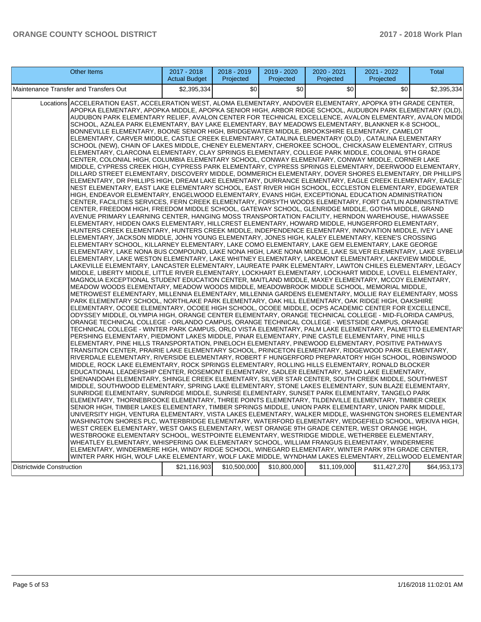| <b>Other Items</b>                                                                                                                                                                                                                                                                                                                                                                                                                                                                                                                                                                                                                                                                                                                                                                                                                                                                                                                                                                                                                                                                                                                                                                                                                                                                                                                                                                                                                                                                                                                                                                                                                                                                                                                                                                                                                                                                                                                                                                                                                                                                                                                                                                                                                                                                                                                                                                                                                                                                                                                                                                                                                                                                                                                                                                                                                                                                                                                                                                                                                                                                                                                                                                                                                                                                                                                                                                                                                                                                                                                                                                                                                                                                                                                                                                                                                                                                                                                                                                                                                                                                                                                                                                                                                                                                                                                                                                                                                                                                                                                                                                                                                                                                                                                                                                                                                                                                                                                                                                                                                                                                                                                                                                                                                         | $2017 - 2018$<br><b>Actual Budget</b> | 2018 - 2019<br>Projected | 2019 - 2020<br>Projected | 2020 - 2021<br>Projected | 2021 - 2022<br>Projected | Total        |
|--------------------------------------------------------------------------------------------------------------------------------------------------------------------------------------------------------------------------------------------------------------------------------------------------------------------------------------------------------------------------------------------------------------------------------------------------------------------------------------------------------------------------------------------------------------------------------------------------------------------------------------------------------------------------------------------------------------------------------------------------------------------------------------------------------------------------------------------------------------------------------------------------------------------------------------------------------------------------------------------------------------------------------------------------------------------------------------------------------------------------------------------------------------------------------------------------------------------------------------------------------------------------------------------------------------------------------------------------------------------------------------------------------------------------------------------------------------------------------------------------------------------------------------------------------------------------------------------------------------------------------------------------------------------------------------------------------------------------------------------------------------------------------------------------------------------------------------------------------------------------------------------------------------------------------------------------------------------------------------------------------------------------------------------------------------------------------------------------------------------------------------------------------------------------------------------------------------------------------------------------------------------------------------------------------------------------------------------------------------------------------------------------------------------------------------------------------------------------------------------------------------------------------------------------------------------------------------------------------------------------------------------------------------------------------------------------------------------------------------------------------------------------------------------------------------------------------------------------------------------------------------------------------------------------------------------------------------------------------------------------------------------------------------------------------------------------------------------------------------------------------------------------------------------------------------------------------------------------------------------------------------------------------------------------------------------------------------------------------------------------------------------------------------------------------------------------------------------------------------------------------------------------------------------------------------------------------------------------------------------------------------------------------------------------------------------------------------------------------------------------------------------------------------------------------------------------------------------------------------------------------------------------------------------------------------------------------------------------------------------------------------------------------------------------------------------------------------------------------------------------------------------------------------------------------------------------------------------------------------------------------------------------------------------------------------------------------------------------------------------------------------------------------------------------------------------------------------------------------------------------------------------------------------------------------------------------------------------------------------------------------------------------------------------------------------------------------------------------------------------------------------------------------------------------------------------------------------------------------------------------------------------------------------------------------------------------------------------------------------------------------------------------------------------------------------------------------------------------------------------------------------------------------------------------------------------------------------------------------------------|---------------------------------------|--------------------------|--------------------------|--------------------------|--------------------------|--------------|
| Maintenance Transfer and Transfers Out                                                                                                                                                                                                                                                                                                                                                                                                                                                                                                                                                                                                                                                                                                                                                                                                                                                                                                                                                                                                                                                                                                                                                                                                                                                                                                                                                                                                                                                                                                                                                                                                                                                                                                                                                                                                                                                                                                                                                                                                                                                                                                                                                                                                                                                                                                                                                                                                                                                                                                                                                                                                                                                                                                                                                                                                                                                                                                                                                                                                                                                                                                                                                                                                                                                                                                                                                                                                                                                                                                                                                                                                                                                                                                                                                                                                                                                                                                                                                                                                                                                                                                                                                                                                                                                                                                                                                                                                                                                                                                                                                                                                                                                                                                                                                                                                                                                                                                                                                                                                                                                                                                                                                                                                     | \$2,395,334                           | \$0                      | \$0                      | \$0                      | \$0                      | \$2,395,334  |
| ACCELERATION EAST, ACCELERATION WEST, ALOMA ELEMENTARY, ANDOVER ELEMENTARY, APOPKA 9TH GRADE CENTER,<br>Locations<br>APOPKA ELEMENTARY, APOPKA MIDDLE, APOPKA SENIOR HIGH, ARBOR RIDGE SCHOOL, AUDUBON PARK ELEMENTARY (OLD),<br>AUDUBON PARK ELEMENTARY RELIEF, AVALON CENTER FOR TECHNICAL EXCELLENCE, AVALON ELEMENTARY, AVALON MIDDI <br>SCHOOL, AZALEA PARK ELEMENTARY, BAY LAKE ELEMENTARY, BAY MEADOWS ELEMENTARY, BLANKNER K-8 SCHOOL,<br>BONNEVILLE ELEMENTARY, BOONE SENIOR HIGH, BRIDGEWATER MIDDLE, BROOKSHIRE ELEMENTARY, CAMELOT<br>ELEMENTARY, CARVER MIDDLE, CASTLE CREEK ELEMENTARY, CATALINA ELEMENTARY (OLD) , CATALINA ELEMENTARY<br>SCHOOL (NEW), CHAIN OF LAKES MIDDLE, CHENEY ELEMENTARY, CHEROKEE SCHOOL, CHICKASAW ELEMENTARY, CITRUS<br>ELEMENTARY, CLARCONA ELEMENTARY, CLAY SPRINGS ELEMENTARY, COLLEGE PARK MIDDLE, COLONIAL 9TH GRADE<br>CENTER, COLONIAL HIGH, COLUMBIA ELEMENTARY SCHOOL, CONWAY ELEMENTARY, CONWAY MIDDLE, CORNER LAKE<br>MIDDLE, CYPRESS CREEK HIGH, CYPRESS PARK ELEMENTARY, CYPRESS SPRINGS ELEMENTARY, DEERWOOD ELEMENTARY,<br>DILLARD STREET ELEMENTARY, DISCOVERY MIDDLE, DOMMERICH ELEMENTARY, DOVER SHORES ELEMENTARY, DR PHILLIPS<br>ELEMENTARY, DR PHILLIPS HIGH, DREAM LAKE ELEMENTARY, DURRANCE ELEMENTARY, EAGLE CREEK ELEMENTARY, EAGLE''<br>NEST ELEMENTARY, EAST LAKE ELEMENTARY SCHOOL, EAST RIVER HIGH SCHOOL, ECCLESTON ELEMENTARY, EDGEWATER<br>HIGH, ENDEAVOR ELEMENTARY, ENGELWOOD ELEMENTARY, EVANS HIGH, EXCEPTIONAL EDUCATION ADMINISTRATION<br>CENTER, FACILITIES SERVICES, FERN CREEK ELEMENTARY, FORSYTH WOODS ELEMENTARY, FORT GATLIN ADMINISTRATIVE<br>CENTER, FREEDOM HIGH, FREEDOM MIDDLE SCHOOL, GATEWAY SCHOOL, GLENRIDGE MIDDLE, GOTHA MIDDLE, GRAND<br>AVENUE PRIMARY LEARNING CENTER, HANGING MOSS TRANSPORTATION FACILITY, HERNDON WAREHOUSE, HIAWASSEE<br>ELEMENTARY, HIDDEN OAKS ELEMENTARY, HILLCREST ELEMENTARY, HOWARD MIDDLE, HUNGERFORD ELEMENTARY,<br>HUNTERS CREEK ELEMENTARY, HUNTERS CREEK MIDDLE, INDEPENDENCE ELEMENTARY, INNOVATION MIDDLE, IVEY LANE<br>ELEMENTARY, JACKSON MIDDLE, JOHN YOUNG ELEMENTARY, JONES HIGH, KALEY ELEMENTARY, KEENE'S CROSSING<br>ELEMENTARY SCHOOL, KILLARNEY ELEMENTARY, LAKE COMO ELEMENTARY, LAKE GEM ELEMENTARY, LAKE GEORGE<br>ELEMENTARY, LAKE NONA BUS COMPOUND, LAKE NONA HIGH, LAKE NONA MIDDLE, LAKE SILVER ELEMENTARY, LAKE SYBELIA<br>ELEMENTARY, LAKE WESTON ELEMENTARY, LAKE WHITNEY ELEMENTARY, LAKEMONT ELEMENTARY, LAKEVIEW MIDDLE,<br>LAKEVILLE ELEMENTARY, LANCASTER ELEMENTARY, LAUREATE PARK ELEMENTARY, LAWTON CHILES ELEMENTARY, LEGACY<br>MIDDLE, LIBERTY MIDDLE, LITTLE RIVER ELEMENTARY, LOCKHART ELEMENTARY, LOCKHART MIDDLE, LOVELL ELEMENTARY,<br>MAGNOLIA EXCEPTIONAL STUDENT EDUCATION CENTER, MAITLAND MIDDLE, MAXEY ELEMENTARY, MCCOY ELEMENTARY,<br>MEADOW WOODS ELEMENTARY, MEADOW WOODS MIDDLE, MEADOWBROOK MIDDLE SCHOOL, MEMORIAL MIDDLE,<br>METROWEST ELEMENTARY, MILLENNIA ELEMENTARY, MILLENNIA GARDENS ELEMENTARY, MOLLIE RAY ELEMENTARY, MOSS<br>PARK ELEMENTARY SCHOOL, NORTHLAKE PARK ELEMENTARY, OAK HILL ELEMENTARY, OAK RIDGE HIGH, OAKSHIRE<br>ELEMENTARY, OCOEE ELEMENTARY, OCOEE HIGH SCHOOL, OCOEE MIDDLE, OCPS ACADEMIC CENTER FOR EXCELLENCE,<br>ODYSSEY MIDDLE, OLYMPIA HIGH, ORANGE CENTER ELEMENTARY, ORANGE TECHNICAL COLLEGE - MID-FLORIDA CAMPUS,<br>ORANGE TECHNICAL COLLEGE - ORLANDO CAMPUS, ORANGE TECHNICAL COLLEGE - WESTSIDE CAMPUS, ORANGE<br>TECHNICAL COLLEGE - WINTER PARK CAMPUS, ORLO VISTA ELEMENTARY, PALM LAKE ELEMENTARY, PALMETTO ELEMENTARY<br>PERSHING ELEMENTARY, PIEDMONT LAKES MIDDLE, PINAR ELEMENTARY, PINE CASTLE ELEMENTARY, PINE HILLS<br>ELEMENTARY, PINE HILLS TRANSPORTATION, PINELOCH ELEMENTARY, PINEWOOD ELEMENTARY, POSITIVE PATHWAYS<br>TRANSITION CENTER, PRAIRIE LAKE ELEMENTARY SCHOOL, PRINCETON ELEMENTARY, RIDGEWOOD PARK ELEMENTARY,<br>RIVERDALE ELEMENTARY, RIVERSIDE ELEMENTARY, ROBERT F HUNGERFORD PREPARATORY HIGH SCHOOL, ROBINSWOOD<br>MIDDLE, ROCK LAKE ELEMENTARY, ROCK SPRINGS ELEMENTARY, ROLLING HILLS ELEMENTARY, RONALD BLOCKER<br>EDUCATIONAL LEADERSHIP CENTER, ROSEMONT ELEMENTARY, SADLER ELEMENTARY, SAND LAKE ELEMENTARY,<br>SHENANDOAH ELEMENTARY, SHINGLE CREEK ELEMENTARY, SILVER STAR CENTER, SOUTH CREEK MIDDLE, SOUTHWEST<br>MIDDLE, SOUTHWOOD ELEMENTARY, SPRING LAKE ELEMENTARY, STONE LAKES ELEMENTARY, SUN BLAZE ELEMENTARY,<br>SUNRIDGE ELEMENTARY, SUNRIDGE MIDDLE, SUNRISE ELEMENTARY, SUNSET PARK ELEMENTARY, TANGELO PARK<br>ELEMENTARY, THORNEBROOKE ELEMENTARY, THREE POINTS ELEMENTARY, TILDENVILLE ELEMENTARY, TIMBER CREEK<br>SENIOR HIGH, TIMBER LAKES ELEMENTARY, TIMBER SPRINGS MIDDLE, UNION PARK ELEMENTARY, UNION PARK MIDDLE,<br>UNIVERSITY HIGH, VENTURA ELEMENTARY, VISTA LAKES ELEMENTARY, WALKER MIDDLE, WASHINGTON SHORES ELEMENTAR<br>WASHINGTON SHORES PLC, WATERBRIDGE ELEMENTARY, WATERFORD ELEMENTARY, WEDGEFIELD SCHOOL, WEKIVA HIGH,<br>WEST CREEK ELEMENTARY, WEST OAKS ELEMENTARY, WEST ORANGE 9TH GRADE CENTER, WEST ORANGE HIGH,<br>WESTBROOKE ELEMENTARY SCHOOL, WESTPOINTE ELEMENTARY, WESTRIDGE MIDDLE, WETHERBEE ELEMENTARY,<br>WHEATLEY ELEMENTARY, WHISPERING OAK ELEMENTARY SCHOOL, WILLIAM FRANGUS ELEMENTARY, WINDERMERE |                                       |                          |                          |                          |                          |              |
| ELEMENTARY, WINDERMERE HIGH, WINDY RIDGE SCHOOL, WINEGARD ELEMENTARY, WINTER PARK 9TH GRADE CENTER,<br>WINTER PARK HIGH, WOLF LAKE ELEMENTARY, WOLF LAKE MIDDLE, WYNDHAM LAKES ELEMENTARY, ZELLWOOD ELEMENTAR<br><b>Districtwide Construction</b>                                                                                                                                                                                                                                                                                                                                                                                                                                                                                                                                                                                                                                                                                                                                                                                                                                                                                                                                                                                                                                                                                                                                                                                                                                                                                                                                                                                                                                                                                                                                                                                                                                                                                                                                                                                                                                                                                                                                                                                                                                                                                                                                                                                                                                                                                                                                                                                                                                                                                                                                                                                                                                                                                                                                                                                                                                                                                                                                                                                                                                                                                                                                                                                                                                                                                                                                                                                                                                                                                                                                                                                                                                                                                                                                                                                                                                                                                                                                                                                                                                                                                                                                                                                                                                                                                                                                                                                                                                                                                                                                                                                                                                                                                                                                                                                                                                                                                                                                                                                          | \$21,116,903                          | \$10,500,000             | \$10,800,000             | \$11,109,000             | \$11,427,270             | \$64,953,173 |
|                                                                                                                                                                                                                                                                                                                                                                                                                                                                                                                                                                                                                                                                                                                                                                                                                                                                                                                                                                                                                                                                                                                                                                                                                                                                                                                                                                                                                                                                                                                                                                                                                                                                                                                                                                                                                                                                                                                                                                                                                                                                                                                                                                                                                                                                                                                                                                                                                                                                                                                                                                                                                                                                                                                                                                                                                                                                                                                                                                                                                                                                                                                                                                                                                                                                                                                                                                                                                                                                                                                                                                                                                                                                                                                                                                                                                                                                                                                                                                                                                                                                                                                                                                                                                                                                                                                                                                                                                                                                                                                                                                                                                                                                                                                                                                                                                                                                                                                                                                                                                                                                                                                                                                                                                                            |                                       |                          |                          |                          |                          |              |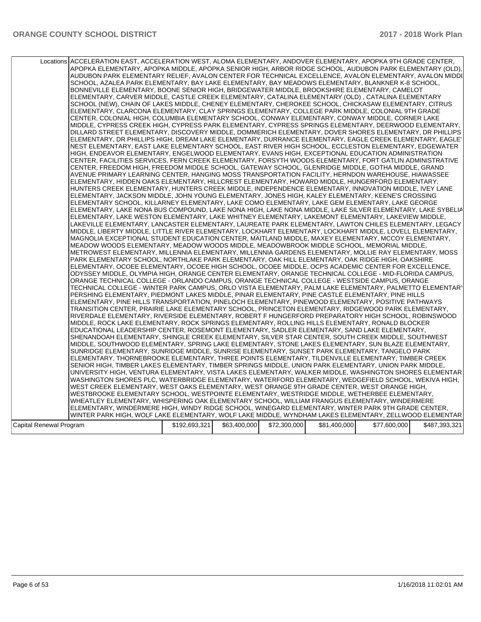|                         | Locations ACCELERATION EAST, ACCELERATION WEST, ALOMA ELEMENTARY, ANDOVER ELEMENTARY, APOPKA 9TH GRADE CENTER,<br>APOPKA ELEMENTARY, APOPKA MIDDLE, APOPKA SENIOR HIGH, ARBOR RIDGE SCHOOL, AUDUBON PARK ELEMENTARY (OLD),<br>AUDUBON PARK ELEMENTARY RELIEF, AVALON CENTER FOR TECHNICAL EXCELLENCE, AVALON ELEMENTARY, AVALON MIDDI<br>SCHOOL, AZALEA PARK ELEMENTARY, BAY LAKE ELEMENTARY, BAY MEADOWS ELEMENTARY, BLANKNER K-8 SCHOOL,<br>BONNEVILLE ELEMENTARY, BOONE SENIOR HIGH, BRIDGEWATER MIDDLE, BROOKSHIRE ELEMENTARY, CAMELOT<br>ELEMENTARY, CARVER MIDDLE, CASTLE CREEK ELEMENTARY, CATALINA ELEMENTARY (OLD), CATALINA ELEMENTARY<br>SCHOOL (NEW), CHAIN OF LAKES MIDDLE, CHENEY ELEMENTARY, CHEROKEE SCHOOL, CHICKASAW ELEMENTARY, CITRUS<br>ELEMENTARY, CLARCONA ELEMENTARY, CLAY SPRINGS ELEMENTARY, COLLEGE PARK MIDDLE, COLONIAL 9TH GRADE<br>CENTER, COLONIAL HIGH, COLUMBIA ELEMENTARY SCHOOL, CONWAY ELEMENTARY, CONWAY MIDDLE, CORNER LAKE<br>MIDDLE, CYPRESS CREEK HIGH, CYPRESS PARK ELEMENTARY, CYPRESS SPRINGS ELEMENTARY, DEERWOOD ELEMENTARY,<br>DILLARD STREET ELEMENTARY, DISCOVERY MIDDLE, DOMMERICH ELEMENTARY, DOVER SHORES ELEMENTARY, DR PHILLIPS<br>: ELEMENTARY, DR PHILLIPS HIGH, DREAM LAKE ELEMENTARY, DURRANCE ELEMENTARY, EAGLE CREEK ELEMENTARY, EAGLE <br>NEST ELEMENTARY, EAST LAKE ELEMENTARY SCHOOL, EAST RIVER HIGH SCHOOL, ECCLESTON ELEMENTARY, EDGEWATER<br>HIGH, ENDEAVOR ELEMENTARY, ENGELWOOD ELEMENTARY, EVANS HIGH, EXCEPTIONAL EDUCATION ADMINISTRATION<br>CENTER, FACILITIES SERVICES, FERN CREEK ELEMENTARY, FORSYTH WOODS ELEMENTARY, FORT GATLIN ADMINISTRATIVE<br>CENTER, FREEDOM HIGH, FREEDOM MIDDLE SCHOOL, GATEWAY SCHOOL, GLENRIDGE MIDDLE, GOTHA MIDDLE, GRAND<br>AVENUE PRIMARY LEARNING CENTER, HANGING MOSS TRANSPORTATION FACILITY, HERNDON WAREHOUSE, HIAWASSEE<br>ELEMENTARY, HIDDEN OAKS ELEMENTARY, HILLCREST ELEMENTARY, HOWARD MIDDLE, HUNGERFORD ELEMENTARY,<br>HUNTERS CREEK ELEMENTARY, HUNTERS CREEK MIDDLE, INDEPENDENCE ELEMENTARY, INNOVATION MIDDLE, IVEY LANE<br>ELEMENTARY, JACKSON MIDDLE, JOHN YOUNG ELEMENTARY, JONES HIGH, KALEY ELEMENTARY, KEENE'S CROSSING<br>ELEMENTARY SCHOOL, KILLARNEY ELEMENTARY, LAKE COMO ELEMENTARY, LAKE GEM ELEMENTARY, LAKE GEORGE<br>ELEMENTARY, LAKE NONA BUS COMPOUND, LAKE NONA HIGH, LAKE NONA MIDDLE, LAKE SILVER ELEMENTARY, LAKE SYBELIA<br>ELEMENTARY, LAKE WESTON ELEMENTARY, LAKE WHITNEY ELEMENTARY, LAKEMONT ELEMENTARY, LAKEVIEW MIDDLE,<br>LAKEVILLE ELEMENTARY, LANCASTER ELEMENTARY, LAUREATE PARK ELEMENTARY, LAWTON CHILES ELEMENTARY, LEGACY<br>MIDDLE, LIBERTY MIDDLE, LITTLE RIVER ELEMENTARY, LOCKHART ELEMENTARY, LOCKHART MIDDLE, LOVELL ELEMENTARY,<br>MAGNOLIA EXCEPTIONAL STUDENT EDUCATION CENTER, MAITLAND MIDDLE, MAXEY ELEMENTARY, MCCOY ELEMENTARY,<br>MEADOW WOODS ELEMENTARY, MEADOW WOODS MIDDLE, MEADOWBROOK MIDDLE SCHOOL, MEMORIAL MIDDLE,<br>METROWEST ELEMENTARY, MILLENNIA ELEMENTARY, MILLENNIA GARDENS ELEMENTARY, MOLLIE RAY ELEMENTARY, MOSS<br>PARK ELEMENTARY SCHOOL, NORTHLAKE PARK ELEMENTARY, OAK HILL ELEMENTARY, OAK RIDGE HIGH, OAKSHIRE<br>ELEMENTARY, OCOEE ELEMENTARY, OCOEE HIGH SCHOOL, OCOEE MIDDLE, OCPS ACADEMIC CENTER FOR EXCELLENCE,<br>ODYSSEY MIDDLE, OLYMPIA HIGH, ORANGE CENTER ELEMENTARY, ORANGE TECHNICAL COLLEGE - MID-FLORIDA CAMPUS,<br>ORANGE TECHNICAL COLLEGE - ORLANDO CAMPUS, ORANGE TECHNICAL COLLEGE - WESTSIDE CAMPUS, ORANGE<br>TECHNICAL COLLEGE - WINTER PARK CAMPUS, ORLO VISTA ELEMENTARY, PALM LAKE ELEMENTARY, PALMETTO ELEMENTARY<br>PERSHING ELEMENTARY, PIEDMONT LAKES MIDDLE, PINAR ELEMENTARY, PINE CASTLE ELEMENTARY, PINE HILLS<br>ELEMENTARY, PINE HILLS TRANSPORTATION, PINELOCH ELEMENTARY, PINEWOOD ELEMENTARY, POSITIVE PATHWAYS<br>TRANSITION CENTER, PRAIRIE LAKE ELEMENTARY SCHOOL, PRINCETON ELEMENTARY, RIDGEWOOD PARK ELEMENTARY,<br>RIVERDALE ELEMENTARY, RIVERSIDE ELEMENTARY, ROBERT F HUNGERFORD PREPARATORY HIGH SCHOOL, ROBINSWOOD<br>MIDDLE, ROCK LAKE ELEMENTARY, ROCK SPRINGS ELEMENTARY, ROLLING HILLS ELEMENTARY, RONALD BLOCKER<br>EDUCATIONAL LEADERSHIP CENTER, ROSEMONT ELEMENTARY, SADLER ELEMENTARY, SAND LAKE ELEMENTARY,<br>SHENANDOAH ELEMENTARY, SHINGLE CREEK ELEMENTARY, SILVER STAR CENTER, SOUTH CREEK MIDDLE, SOUTHWEST<br>MIDDLE, SOUTHWOOD ELEMENTARY, SPRING LAKE ELEMENTARY, STONE LAKES ELEMENTARY, SUN BLAZE ELEMENTARY,<br>SUNRIDGE ELEMENTARY, SUNRIDGE MIDDLE, SUNRISE ELEMENTARY, SUNSET PARK ELEMENTARY, TANGELO PARK<br>ELEMENTARY, THORNEBROOKE ELEMENTARY, THREE POINTS ELEMENTARY, TILDENVILLE ELEMENTARY, TIMBER CREEK<br>SENIOR HIGH, TIMBER LAKES ELEMENTARY, TIMBER SPRINGS MIDDLE, UNION PARK ELEMENTARY, UNION PARK MIDDLE,<br>UNIVERSITY HIGH, VENTURA ELEMENTARY, VISTA LAKES ELEMENTARY, WALKER MIDDLE, WASHINGTON SHORES ELEMENTAR<br>WASHINGTON SHORES PLC, WATERBRIDGE ELEMENTARY, WATERFORD ELEMENTARY, WEDGEFIELD SCHOOL, WEKIVA HIGH,<br>WEST CREEK ELEMENTARY, WEST OAKS ELEMENTARY, WEST ORANGE 9TH GRADE CENTER, WEST ORANGE HIGH,<br>WESTBROOKE ELEMENTARY SCHOOL, WESTPOINTE ELEMENTARY, WESTRIDGE MIDDLE, WETHERBEE ELEMENTARY, |               |              |              |              |              |               |
|-------------------------|---------------------------------------------------------------------------------------------------------------------------------------------------------------------------------------------------------------------------------------------------------------------------------------------------------------------------------------------------------------------------------------------------------------------------------------------------------------------------------------------------------------------------------------------------------------------------------------------------------------------------------------------------------------------------------------------------------------------------------------------------------------------------------------------------------------------------------------------------------------------------------------------------------------------------------------------------------------------------------------------------------------------------------------------------------------------------------------------------------------------------------------------------------------------------------------------------------------------------------------------------------------------------------------------------------------------------------------------------------------------------------------------------------------------------------------------------------------------------------------------------------------------------------------------------------------------------------------------------------------------------------------------------------------------------------------------------------------------------------------------------------------------------------------------------------------------------------------------------------------------------------------------------------------------------------------------------------------------------------------------------------------------------------------------------------------------------------------------------------------------------------------------------------------------------------------------------------------------------------------------------------------------------------------------------------------------------------------------------------------------------------------------------------------------------------------------------------------------------------------------------------------------------------------------------------------------------------------------------------------------------------------------------------------------------------------------------------------------------------------------------------------------------------------------------------------------------------------------------------------------------------------------------------------------------------------------------------------------------------------------------------------------------------------------------------------------------------------------------------------------------------------------------------------------------------------------------------------------------------------------------------------------------------------------------------------------------------------------------------------------------------------------------------------------------------------------------------------------------------------------------------------------------------------------------------------------------------------------------------------------------------------------------------------------------------------------------------------------------------------------------------------------------------------------------------------------------------------------------------------------------------------------------------------------------------------------------------------------------------------------------------------------------------------------------------------------------------------------------------------------------------------------------------------------------------------------------------------------------------------------------------------------------------------------------------------------------------------------------------------------------------------------------------------------------------------------------------------------------------------------------------------------------------------------------------------------------------------------------------------------------------------------------------------------------------------------------------------------------------------------------------------------------------------------------------------------------------------------------------------------------------------------------------------------------------------------------------------------------------------------------------------------------------------------------------------------------------------------------------------------------------------|---------------|--------------|--------------|--------------|--------------|---------------|
|                         |                                                                                                                                                                                                                                                                                                                                                                                                                                                                                                                                                                                                                                                                                                                                                                                                                                                                                                                                                                                                                                                                                                                                                                                                                                                                                                                                                                                                                                                                                                                                                                                                                                                                                                                                                                                                                                                                                                                                                                                                                                                                                                                                                                                                                                                                                                                                                                                                                                                                                                                                                                                                                                                                                                                                                                                                                                                                                                                                                                                                                                                                                                                                                                                                                                                                                                                                                                                                                                                                                                                                                                                                                                                                                                                                                                                                                                                                                                                                                                                                                                                                                                                                                                                                                                                                                                                                                                                                                                                                                                                                                                                                                                                                                                                                                                                                                                                                                                                                                                                                                                                                                                                                       |               |              |              |              |              |               |
|                         |                                                                                                                                                                                                                                                                                                                                                                                                                                                                                                                                                                                                                                                                                                                                                                                                                                                                                                                                                                                                                                                                                                                                                                                                                                                                                                                                                                                                                                                                                                                                                                                                                                                                                                                                                                                                                                                                                                                                                                                                                                                                                                                                                                                                                                                                                                                                                                                                                                                                                                                                                                                                                                                                                                                                                                                                                                                                                                                                                                                                                                                                                                                                                                                                                                                                                                                                                                                                                                                                                                                                                                                                                                                                                                                                                                                                                                                                                                                                                                                                                                                                                                                                                                                                                                                                                                                                                                                                                                                                                                                                                                                                                                                                                                                                                                                                                                                                                                                                                                                                                                                                                                                                       |               |              |              |              |              |               |
|                         |                                                                                                                                                                                                                                                                                                                                                                                                                                                                                                                                                                                                                                                                                                                                                                                                                                                                                                                                                                                                                                                                                                                                                                                                                                                                                                                                                                                                                                                                                                                                                                                                                                                                                                                                                                                                                                                                                                                                                                                                                                                                                                                                                                                                                                                                                                                                                                                                                                                                                                                                                                                                                                                                                                                                                                                                                                                                                                                                                                                                                                                                                                                                                                                                                                                                                                                                                                                                                                                                                                                                                                                                                                                                                                                                                                                                                                                                                                                                                                                                                                                                                                                                                                                                                                                                                                                                                                                                                                                                                                                                                                                                                                                                                                                                                                                                                                                                                                                                                                                                                                                                                                                                       |               |              |              |              |              |               |
|                         |                                                                                                                                                                                                                                                                                                                                                                                                                                                                                                                                                                                                                                                                                                                                                                                                                                                                                                                                                                                                                                                                                                                                                                                                                                                                                                                                                                                                                                                                                                                                                                                                                                                                                                                                                                                                                                                                                                                                                                                                                                                                                                                                                                                                                                                                                                                                                                                                                                                                                                                                                                                                                                                                                                                                                                                                                                                                                                                                                                                                                                                                                                                                                                                                                                                                                                                                                                                                                                                                                                                                                                                                                                                                                                                                                                                                                                                                                                                                                                                                                                                                                                                                                                                                                                                                                                                                                                                                                                                                                                                                                                                                                                                                                                                                                                                                                                                                                                                                                                                                                                                                                                                                       |               |              |              |              |              |               |
|                         | WHEATLEY ELEMENTARY, WHISPERING OAK ELEMENTARY SCHOOL, WILLIAM FRANGUS ELEMENTARY, WINDERMERE                                                                                                                                                                                                                                                                                                                                                                                                                                                                                                                                                                                                                                                                                                                                                                                                                                                                                                                                                                                                                                                                                                                                                                                                                                                                                                                                                                                                                                                                                                                                                                                                                                                                                                                                                                                                                                                                                                                                                                                                                                                                                                                                                                                                                                                                                                                                                                                                                                                                                                                                                                                                                                                                                                                                                                                                                                                                                                                                                                                                                                                                                                                                                                                                                                                                                                                                                                                                                                                                                                                                                                                                                                                                                                                                                                                                                                                                                                                                                                                                                                                                                                                                                                                                                                                                                                                                                                                                                                                                                                                                                                                                                                                                                                                                                                                                                                                                                                                                                                                                                                         |               |              |              |              |              |               |
|                         | ELEMENTARY, WINDERMERE HIGH, WINDY RIDGE SCHOOL, WINEGARD ELEMENTARY, WINTER PARK 9TH GRADE CENTER,                                                                                                                                                                                                                                                                                                                                                                                                                                                                                                                                                                                                                                                                                                                                                                                                                                                                                                                                                                                                                                                                                                                                                                                                                                                                                                                                                                                                                                                                                                                                                                                                                                                                                                                                                                                                                                                                                                                                                                                                                                                                                                                                                                                                                                                                                                                                                                                                                                                                                                                                                                                                                                                                                                                                                                                                                                                                                                                                                                                                                                                                                                                                                                                                                                                                                                                                                                                                                                                                                                                                                                                                                                                                                                                                                                                                                                                                                                                                                                                                                                                                                                                                                                                                                                                                                                                                                                                                                                                                                                                                                                                                                                                                                                                                                                                                                                                                                                                                                                                                                                   |               |              |              |              |              |               |
|                         | WINTER PARK HIGH, WOLF LAKE ELEMENTARY, WOLF LAKE MIDDLE, WYNDHAM LAKES ELEMENTARY, ZELLWOOD ELEMENTAR                                                                                                                                                                                                                                                                                                                                                                                                                                                                                                                                                                                                                                                                                                                                                                                                                                                                                                                                                                                                                                                                                                                                                                                                                                                                                                                                                                                                                                                                                                                                                                                                                                                                                                                                                                                                                                                                                                                                                                                                                                                                                                                                                                                                                                                                                                                                                                                                                                                                                                                                                                                                                                                                                                                                                                                                                                                                                                                                                                                                                                                                                                                                                                                                                                                                                                                                                                                                                                                                                                                                                                                                                                                                                                                                                                                                                                                                                                                                                                                                                                                                                                                                                                                                                                                                                                                                                                                                                                                                                                                                                                                                                                                                                                                                                                                                                                                                                                                                                                                                                                |               |              |              |              |              |               |
| Capital Renewal Program |                                                                                                                                                                                                                                                                                                                                                                                                                                                                                                                                                                                                                                                                                                                                                                                                                                                                                                                                                                                                                                                                                                                                                                                                                                                                                                                                                                                                                                                                                                                                                                                                                                                                                                                                                                                                                                                                                                                                                                                                                                                                                                                                                                                                                                                                                                                                                                                                                                                                                                                                                                                                                                                                                                                                                                                                                                                                                                                                                                                                                                                                                                                                                                                                                                                                                                                                                                                                                                                                                                                                                                                                                                                                                                                                                                                                                                                                                                                                                                                                                                                                                                                                                                                                                                                                                                                                                                                                                                                                                                                                                                                                                                                                                                                                                                                                                                                                                                                                                                                                                                                                                                                                       | \$192,693,321 | \$63,400,000 | \$72,300,000 | \$81,400,000 | \$77,600,000 | \$487,393,321 |
|                         |                                                                                                                                                                                                                                                                                                                                                                                                                                                                                                                                                                                                                                                                                                                                                                                                                                                                                                                                                                                                                                                                                                                                                                                                                                                                                                                                                                                                                                                                                                                                                                                                                                                                                                                                                                                                                                                                                                                                                                                                                                                                                                                                                                                                                                                                                                                                                                                                                                                                                                                                                                                                                                                                                                                                                                                                                                                                                                                                                                                                                                                                                                                                                                                                                                                                                                                                                                                                                                                                                                                                                                                                                                                                                                                                                                                                                                                                                                                                                                                                                                                                                                                                                                                                                                                                                                                                                                                                                                                                                                                                                                                                                                                                                                                                                                                                                                                                                                                                                                                                                                                                                                                                       |               |              |              |              |              |               |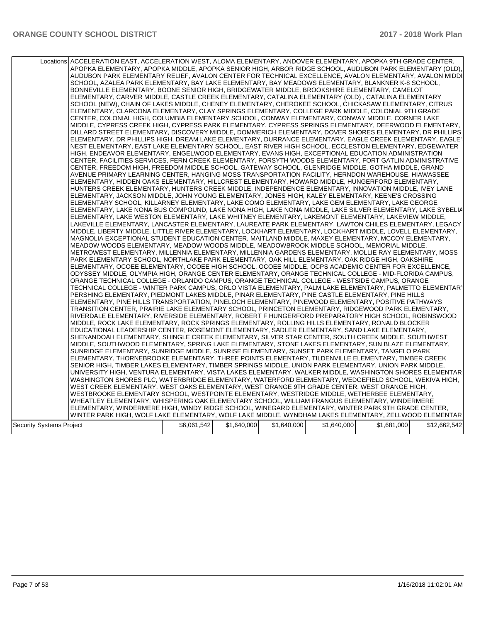|                          | Locations ACCELERATION EAST, ACCELERATION WEST, ALOMA ELEMENTARY, ANDOVER ELEMENTARY, APOPKA 9TH GRADE CENTER,<br>APOPKA ELEMENTARY, APOPKA MIDDLE, APOPKA SENIOR HIGH, ARBOR RIDGE SCHOOL, AUDUBON PARK ELEMENTARY (OLD),<br>AUDUBON PARK ELEMENTARY RELIEF, AVALON CENTER FOR TECHNICAL EXCELLENCE, AVALON ELEMENTARY, AVALON MIDDI<br>SCHOOL, AZALEA PARK ELEMENTARY, BAY LAKE ELEMENTARY, BAY MEADOWS ELEMENTARY, BLANKNER K-8 SCHOOL,<br>BONNEVILLE ELEMENTARY, BOONE SENIOR HIGH, BRIDGEWATER MIDDLE, BROOKSHIRE ELEMENTARY, CAMELOT<br>ELEMENTARY, CARVER MIDDLE, CASTLE CREEK ELEMENTARY, CATALINA ELEMENTARY (OLD), CATALINA ELEMENTARY<br>SCHOOL (NEW), CHAIN OF LAKES MIDDLE, CHENEY ELEMENTARY, CHEROKEE SCHOOL, CHICKASAW ELEMENTARY, CITRUS<br>ELEMENTARY, CLARCONA ELEMENTARY, CLAY SPRINGS ELEMENTARY, COLLEGE PARK MIDDLE, COLONIAL 9TH GRADE<br>CENTER, COLONIAL HIGH, COLUMBIA ELEMENTARY SCHOOL, CONWAY ELEMENTARY, CONWAY MIDDLE, CORNER LAKE<br>MIDDLE, CYPRESS CREEK HIGH, CYPRESS PARK ELEMENTARY, CYPRESS SPRINGS ELEMENTARY, DEERWOOD ELEMENTARY,<br>DILLARD STREET ELEMENTARY, DISCOVERY MIDDLE, DOMMERICH ELEMENTARY, DOVER SHORES ELEMENTARY, DR PHILLIPS<br>: ELEMENTARY, DR PHILLIPS HIGH, DREAM LAKE ELEMENTARY, DURRANCE ELEMENTARY, EAGLE CREEK ELEMENTARY, EAGLE <br>NEST ELEMENTARY, EAST LAKE ELEMENTARY SCHOOL, EAST RIVER HIGH SCHOOL, ECCLESTON ELEMENTARY, EDGEWATER<br>HIGH, ENDEAVOR ELEMENTARY, ENGELWOOD ELEMENTARY, EVANS HIGH, EXCEPTIONAL EDUCATION ADMINISTRATION<br>CENTER, FACILITIES SERVICES, FERN CREEK ELEMENTARY, FORSYTH WOODS ELEMENTARY, FORT GATLIN ADMINISTRATIVE<br>CENTER, FREEDOM HIGH, FREEDOM MIDDLE SCHOOL, GATEWAY SCHOOL, GLENRIDGE MIDDLE, GOTHA MIDDLE, GRAND<br>AVENUE PRIMARY LEARNING CENTER, HANGING MOSS TRANSPORTATION FACILITY, HERNDON WAREHOUSE, HIAWASSEE<br>ELEMENTARY, HIDDEN OAKS ELEMENTARY, HILLCREST ELEMENTARY, HOWARD MIDDLE, HUNGERFORD ELEMENTARY,<br>HUNTERS CREEK ELEMENTARY, HUNTERS CREEK MIDDLE, INDEPENDENCE ELEMENTARY, INNOVATION MIDDLE, IVEY LANE<br>ELEMENTARY, JACKSON MIDDLE, JOHN YOUNG ELEMENTARY, JONES HIGH, KALEY ELEMENTARY, KEENE'S CROSSING<br>ELEMENTARY SCHOOL, KILLARNEY ELEMENTARY, LAKE COMO ELEMENTARY, LAKE GEM ELEMENTARY, LAKE GEORGE<br>ELEMENTARY, LAKE NONA BUS COMPOUND, LAKE NONA HIGH, LAKE NONA MIDDLE, LAKE SILVER ELEMENTARY, LAKE SYBELIA<br>ELEMENTARY, LAKE WESTON ELEMENTARY, LAKE WHITNEY ELEMENTARY, LAKEMONT ELEMENTARY, LAKEVIEW MIDDLE,<br>LAKEVILLE ELEMENTARY, LANCASTER ELEMENTARY, LAUREATE PARK ELEMENTARY, LAWTON CHILES ELEMENTARY, LEGACY<br>MIDDLE, LIBERTY MIDDLE, LITTLE RIVER ELEMENTARY, LOCKHART ELEMENTARY, LOCKHART MIDDLE, LOVELL ELEMENTARY,<br>MAGNOLIA EXCEPTIONAL STUDENT EDUCATION CENTER, MAITLAND MIDDLE, MAXEY ELEMENTARY, MCCOY ELEMENTARY,<br>MEADOW WOODS ELEMENTARY, MEADOW WOODS MIDDLE, MEADOWBROOK MIDDLE SCHOOL, MEMORIAL MIDDLE,<br>METROWEST ELEMENTARY, MILLENNIA ELEMENTARY, MILLENNIA GARDENS ELEMENTARY, MOLLIE RAY ELEMENTARY, MOSS<br>PARK ELEMENTARY SCHOOL, NORTHLAKE PARK ELEMENTARY, OAK HILL ELEMENTARY, OAK RIDGE HIGH, OAKSHIRE<br>ELEMENTARY, OCOEE ELEMENTARY, OCOEE HIGH SCHOOL, OCOEE MIDDLE, OCPS ACADEMIC CENTER FOR EXCELLENCE,<br>ODYSSEY MIDDLE, OLYMPIA HIGH, ORANGE CENTER ELEMENTARY, ORANGE TECHNICAL COLLEGE - MID-FLORIDA CAMPUS,<br>ORANGE TECHNICAL COLLEGE - ORLANDO CAMPUS, ORANGE TECHNICAL COLLEGE - WESTSIDE CAMPUS, ORANGE<br>TECHNICAL COLLEGE - WINTER PARK CAMPUS, ORLO VISTA ELEMENTARY, PALM LAKE ELEMENTARY, PALMETTO ELEMENTARY<br>PERSHING ELEMENTARY, PIEDMONT LAKES MIDDLE, PINAR ELEMENTARY, PINE CASTLE ELEMENTARY, PINE HILLS<br>ELEMENTARY, PINE HILLS TRANSPORTATION, PINELOCH ELEMENTARY, PINEWOOD ELEMENTARY, POSITIVE PATHWAYS<br>TRANSITION CENTER, PRAIRIE LAKE ELEMENTARY SCHOOL, PRINCETON ELEMENTARY, RIDGEWOOD PARK ELEMENTARY,<br>RIVERDALE ELEMENTARY, RIVERSIDE ELEMENTARY, ROBERT F HUNGERFORD PREPARATORY HIGH SCHOOL, ROBINSWOOD<br>MIDDLE, ROCK LAKE ELEMENTARY, ROCK SPRINGS ELEMENTARY, ROLLING HILLS ELEMENTARY, RONALD BLOCKER<br>EDUCATIONAL LEADERSHIP CENTER, ROSEMONT ELEMENTARY, SADLER ELEMENTARY, SAND LAKE ELEMENTARY,<br>SHENANDOAH ELEMENTARY, SHINGLE CREEK ELEMENTARY, SILVER STAR CENTER, SOUTH CREEK MIDDLE, SOUTHWEST<br>MIDDLE, SOUTHWOOD ELEMENTARY, SPRING LAKE ELEMENTARY, STONE LAKES ELEMENTARY, SUN BLAZE ELEMENTARY,<br>SUNRIDGE ELEMENTARY, SUNRIDGE MIDDLE, SUNRISE ELEMENTARY, SUNSET PARK ELEMENTARY, TANGELO PARK<br>ELEMENTARY, THORNEBROOKE ELEMENTARY, THREE POINTS ELEMENTARY, TILDENVILLE ELEMENTARY, TIMBER CREEK<br>SENIOR HIGH, TIMBER LAKES ELEMENTARY, TIMBER SPRINGS MIDDLE, UNION PARK ELEMENTARY, UNION PARK MIDDLE,<br>UNIVERSITY HIGH, VENTURA ELEMENTARY, VISTA LAKES ELEMENTARY, WALKER MIDDLE, WASHINGTON SHORES ELEMENTAR<br>WASHINGTON SHORES PLC, WATERBRIDGE ELEMENTARY, WATERFORD ELEMENTARY, WEDGEFIELD SCHOOL, WEKIVA HIGH,<br>WEST CREEK ELEMENTARY, WEST OAKS ELEMENTARY, WEST ORANGE 9TH GRADE CENTER, WEST ORANGE HIGH, |             |             |             |             |             |              |  |  |
|--------------------------|---------------------------------------------------------------------------------------------------------------------------------------------------------------------------------------------------------------------------------------------------------------------------------------------------------------------------------------------------------------------------------------------------------------------------------------------------------------------------------------------------------------------------------------------------------------------------------------------------------------------------------------------------------------------------------------------------------------------------------------------------------------------------------------------------------------------------------------------------------------------------------------------------------------------------------------------------------------------------------------------------------------------------------------------------------------------------------------------------------------------------------------------------------------------------------------------------------------------------------------------------------------------------------------------------------------------------------------------------------------------------------------------------------------------------------------------------------------------------------------------------------------------------------------------------------------------------------------------------------------------------------------------------------------------------------------------------------------------------------------------------------------------------------------------------------------------------------------------------------------------------------------------------------------------------------------------------------------------------------------------------------------------------------------------------------------------------------------------------------------------------------------------------------------------------------------------------------------------------------------------------------------------------------------------------------------------------------------------------------------------------------------------------------------------------------------------------------------------------------------------------------------------------------------------------------------------------------------------------------------------------------------------------------------------------------------------------------------------------------------------------------------------------------------------------------------------------------------------------------------------------------------------------------------------------------------------------------------------------------------------------------------------------------------------------------------------------------------------------------------------------------------------------------------------------------------------------------------------------------------------------------------------------------------------------------------------------------------------------------------------------------------------------------------------------------------------------------------------------------------------------------------------------------------------------------------------------------------------------------------------------------------------------------------------------------------------------------------------------------------------------------------------------------------------------------------------------------------------------------------------------------------------------------------------------------------------------------------------------------------------------------------------------------------------------------------------------------------------------------------------------------------------------------------------------------------------------------------------------------------------------------------------------------------------------------------------------------------------------------------------------------------------------------------------------------------------------------------------------------------------------------------------------------------------------------------------------------------------------------------------------------------------------------------------------------------------------------------------------------------------------------------------------------------------------------------------------------------------------------------------------------------------------------------------------------------------------------------------------------------------------------------------------------------|-------------|-------------|-------------|-------------|-------------|--------------|--|--|
|                          |                                                                                                                                                                                                                                                                                                                                                                                                                                                                                                                                                                                                                                                                                                                                                                                                                                                                                                                                                                                                                                                                                                                                                                                                                                                                                                                                                                                                                                                                                                                                                                                                                                                                                                                                                                                                                                                                                                                                                                                                                                                                                                                                                                                                                                                                                                                                                                                                                                                                                                                                                                                                                                                                                                                                                                                                                                                                                                                                                                                                                                                                                                                                                                                                                                                                                                                                                                                                                                                                                                                                                                                                                                                                                                                                                                                                                                                                                                                                                                                                                                                                                                                                                                                                                                                                                                                                                                                                                                                                                                                                                                                                                                                                                                                                                                                                                                                                                                                                                                                                                                       |             |             |             |             |             |              |  |  |
|                          |                                                                                                                                                                                                                                                                                                                                                                                                                                                                                                                                                                                                                                                                                                                                                                                                                                                                                                                                                                                                                                                                                                                                                                                                                                                                                                                                                                                                                                                                                                                                                                                                                                                                                                                                                                                                                                                                                                                                                                                                                                                                                                                                                                                                                                                                                                                                                                                                                                                                                                                                                                                                                                                                                                                                                                                                                                                                                                                                                                                                                                                                                                                                                                                                                                                                                                                                                                                                                                                                                                                                                                                                                                                                                                                                                                                                                                                                                                                                                                                                                                                                                                                                                                                                                                                                                                                                                                                                                                                                                                                                                                                                                                                                                                                                                                                                                                                                                                                                                                                                                                       |             |             |             |             |             |              |  |  |
|                          |                                                                                                                                                                                                                                                                                                                                                                                                                                                                                                                                                                                                                                                                                                                                                                                                                                                                                                                                                                                                                                                                                                                                                                                                                                                                                                                                                                                                                                                                                                                                                                                                                                                                                                                                                                                                                                                                                                                                                                                                                                                                                                                                                                                                                                                                                                                                                                                                                                                                                                                                                                                                                                                                                                                                                                                                                                                                                                                                                                                                                                                                                                                                                                                                                                                                                                                                                                                                                                                                                                                                                                                                                                                                                                                                                                                                                                                                                                                                                                                                                                                                                                                                                                                                                                                                                                                                                                                                                                                                                                                                                                                                                                                                                                                                                                                                                                                                                                                                                                                                                                       |             |             |             |             |             |              |  |  |
|                          |                                                                                                                                                                                                                                                                                                                                                                                                                                                                                                                                                                                                                                                                                                                                                                                                                                                                                                                                                                                                                                                                                                                                                                                                                                                                                                                                                                                                                                                                                                                                                                                                                                                                                                                                                                                                                                                                                                                                                                                                                                                                                                                                                                                                                                                                                                                                                                                                                                                                                                                                                                                                                                                                                                                                                                                                                                                                                                                                                                                                                                                                                                                                                                                                                                                                                                                                                                                                                                                                                                                                                                                                                                                                                                                                                                                                                                                                                                                                                                                                                                                                                                                                                                                                                                                                                                                                                                                                                                                                                                                                                                                                                                                                                                                                                                                                                                                                                                                                                                                                                                       |             |             |             |             |             |              |  |  |
|                          |                                                                                                                                                                                                                                                                                                                                                                                                                                                                                                                                                                                                                                                                                                                                                                                                                                                                                                                                                                                                                                                                                                                                                                                                                                                                                                                                                                                                                                                                                                                                                                                                                                                                                                                                                                                                                                                                                                                                                                                                                                                                                                                                                                                                                                                                                                                                                                                                                                                                                                                                                                                                                                                                                                                                                                                                                                                                                                                                                                                                                                                                                                                                                                                                                                                                                                                                                                                                                                                                                                                                                                                                                                                                                                                                                                                                                                                                                                                                                                                                                                                                                                                                                                                                                                                                                                                                                                                                                                                                                                                                                                                                                                                                                                                                                                                                                                                                                                                                                                                                                                       |             |             |             |             |             |              |  |  |
|                          | WESTBROOKE ELEMENTARY SCHOOL, WESTPOINTE ELEMENTARY, WESTRIDGE MIDDLE, WETHERBEE ELEMENTARY,<br>WHEATLEY ELEMENTARY, WHISPERING OAK ELEMENTARY SCHOOL, WILLIAM FRANGUS ELEMENTARY, WINDERMERE                                                                                                                                                                                                                                                                                                                                                                                                                                                                                                                                                                                                                                                                                                                                                                                                                                                                                                                                                                                                                                                                                                                                                                                                                                                                                                                                                                                                                                                                                                                                                                                                                                                                                                                                                                                                                                                                                                                                                                                                                                                                                                                                                                                                                                                                                                                                                                                                                                                                                                                                                                                                                                                                                                                                                                                                                                                                                                                                                                                                                                                                                                                                                                                                                                                                                                                                                                                                                                                                                                                                                                                                                                                                                                                                                                                                                                                                                                                                                                                                                                                                                                                                                                                                                                                                                                                                                                                                                                                                                                                                                                                                                                                                                                                                                                                                                                         |             |             |             |             |             |              |  |  |
|                          |                                                                                                                                                                                                                                                                                                                                                                                                                                                                                                                                                                                                                                                                                                                                                                                                                                                                                                                                                                                                                                                                                                                                                                                                                                                                                                                                                                                                                                                                                                                                                                                                                                                                                                                                                                                                                                                                                                                                                                                                                                                                                                                                                                                                                                                                                                                                                                                                                                                                                                                                                                                                                                                                                                                                                                                                                                                                                                                                                                                                                                                                                                                                                                                                                                                                                                                                                                                                                                                                                                                                                                                                                                                                                                                                                                                                                                                                                                                                                                                                                                                                                                                                                                                                                                                                                                                                                                                                                                                                                                                                                                                                                                                                                                                                                                                                                                                                                                                                                                                                                                       |             |             |             |             |             |              |  |  |
|                          | ELEMENTARY, WINDERMERE HIGH, WINDY RIDGE SCHOOL, WINEGARD ELEMENTARY, WINTER PARK 9TH GRADE CENTER,                                                                                                                                                                                                                                                                                                                                                                                                                                                                                                                                                                                                                                                                                                                                                                                                                                                                                                                                                                                                                                                                                                                                                                                                                                                                                                                                                                                                                                                                                                                                                                                                                                                                                                                                                                                                                                                                                                                                                                                                                                                                                                                                                                                                                                                                                                                                                                                                                                                                                                                                                                                                                                                                                                                                                                                                                                                                                                                                                                                                                                                                                                                                                                                                                                                                                                                                                                                                                                                                                                                                                                                                                                                                                                                                                                                                                                                                                                                                                                                                                                                                                                                                                                                                                                                                                                                                                                                                                                                                                                                                                                                                                                                                                                                                                                                                                                                                                                                                   |             |             |             |             |             |              |  |  |
|                          | WINTER PARK HIGH, WOLF LAKE ELEMENTARY, WOLF LAKE MIDDLE, WYNDHAM LAKES ELEMENTARY, ZELLWOOD ELEMENTAR                                                                                                                                                                                                                                                                                                                                                                                                                                                                                                                                                                                                                                                                                                                                                                                                                                                                                                                                                                                                                                                                                                                                                                                                                                                                                                                                                                                                                                                                                                                                                                                                                                                                                                                                                                                                                                                                                                                                                                                                                                                                                                                                                                                                                                                                                                                                                                                                                                                                                                                                                                                                                                                                                                                                                                                                                                                                                                                                                                                                                                                                                                                                                                                                                                                                                                                                                                                                                                                                                                                                                                                                                                                                                                                                                                                                                                                                                                                                                                                                                                                                                                                                                                                                                                                                                                                                                                                                                                                                                                                                                                                                                                                                                                                                                                                                                                                                                                                                |             |             |             |             |             |              |  |  |
|                          |                                                                                                                                                                                                                                                                                                                                                                                                                                                                                                                                                                                                                                                                                                                                                                                                                                                                                                                                                                                                                                                                                                                                                                                                                                                                                                                                                                                                                                                                                                                                                                                                                                                                                                                                                                                                                                                                                                                                                                                                                                                                                                                                                                                                                                                                                                                                                                                                                                                                                                                                                                                                                                                                                                                                                                                                                                                                                                                                                                                                                                                                                                                                                                                                                                                                                                                                                                                                                                                                                                                                                                                                                                                                                                                                                                                                                                                                                                                                                                                                                                                                                                                                                                                                                                                                                                                                                                                                                                                                                                                                                                                                                                                                                                                                                                                                                                                                                                                                                                                                                                       |             |             |             |             |             |              |  |  |
| Security Systems Project |                                                                                                                                                                                                                                                                                                                                                                                                                                                                                                                                                                                                                                                                                                                                                                                                                                                                                                                                                                                                                                                                                                                                                                                                                                                                                                                                                                                                                                                                                                                                                                                                                                                                                                                                                                                                                                                                                                                                                                                                                                                                                                                                                                                                                                                                                                                                                                                                                                                                                                                                                                                                                                                                                                                                                                                                                                                                                                                                                                                                                                                                                                                                                                                                                                                                                                                                                                                                                                                                                                                                                                                                                                                                                                                                                                                                                                                                                                                                                                                                                                                                                                                                                                                                                                                                                                                                                                                                                                                                                                                                                                                                                                                                                                                                                                                                                                                                                                                                                                                                                                       | \$6,061,542 | \$1,640,000 | \$1,640,000 | \$1,640,000 | \$1,681,000 | \$12,662,542 |  |  |
|                          |                                                                                                                                                                                                                                                                                                                                                                                                                                                                                                                                                                                                                                                                                                                                                                                                                                                                                                                                                                                                                                                                                                                                                                                                                                                                                                                                                                                                                                                                                                                                                                                                                                                                                                                                                                                                                                                                                                                                                                                                                                                                                                                                                                                                                                                                                                                                                                                                                                                                                                                                                                                                                                                                                                                                                                                                                                                                                                                                                                                                                                                                                                                                                                                                                                                                                                                                                                                                                                                                                                                                                                                                                                                                                                                                                                                                                                                                                                                                                                                                                                                                                                                                                                                                                                                                                                                                                                                                                                                                                                                                                                                                                                                                                                                                                                                                                                                                                                                                                                                                                                       |             |             |             |             |             |              |  |  |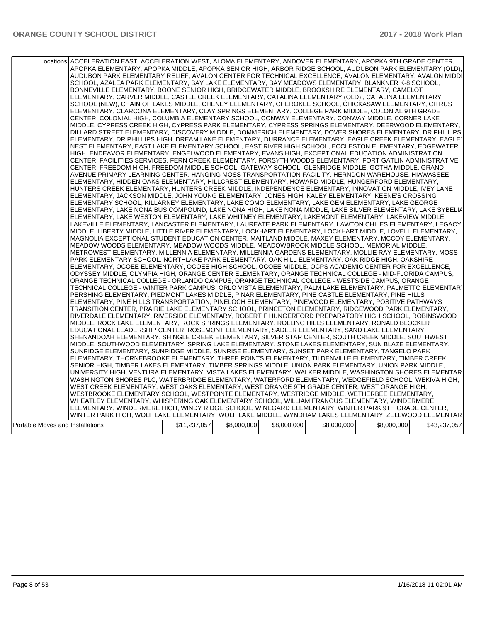|                                  | Locations ACCELERATION EAST, ACCELERATION WEST, ALOMA ELEMENTARY, ANDOVER ELEMENTARY, APOPKA 9TH GRADE CENTER,<br>APOPKA ELEMENTARY, APOPKA MIDDLE, APOPKA SENIOR HIGH, ARBOR RIDGE SCHOOL, AUDUBON PARK ELEMENTARY (OLD),<br>AUDUBON PARK ELEMENTARY RELIEF, AVALON CENTER FOR TECHNICAL EXCELLENCE, AVALON ELEMENTARY, AVALON MIDDI<br>SCHOOL, AZALEA PARK ELEMENTARY, BAY LAKE ELEMENTARY, BAY MEADOWS ELEMENTARY, BLANKNER K-8 SCHOOL,<br>BONNEVILLE ELEMENTARY, BOONE SENIOR HIGH, BRIDGEWATER MIDDLE, BROOKSHIRE ELEMENTARY, CAMELOT<br>ELEMENTARY, CARVER MIDDLE, CASTLE CREEK ELEMENTARY, CATALINA ELEMENTARY (OLD), CATALINA ELEMENTARY<br>SCHOOL (NEW), CHAIN OF LAKES MIDDLE, CHENEY ELEMENTARY, CHEROKEE SCHOOL, CHICKASAW ELEMENTARY, CITRUS<br>ELEMENTARY, CLARCONA ELEMENTARY, CLAY SPRINGS ELEMENTARY, COLLEGE PARK MIDDLE, COLONIAL 9TH GRADE<br>CENTER, COLONIAL HIGH, COLUMBIA ELEMENTARY SCHOOL, CONWAY ELEMENTARY, CONWAY MIDDLE, CORNER LAKE<br>MIDDLE, CYPRESS CREEK HIGH, CYPRESS PARK ELEMENTARY, CYPRESS SPRINGS ELEMENTARY, DEERWOOD ELEMENTARY,<br>DILLARD STREET ELEMENTARY. DISCOVERY MIDDLE. DOMMERICH ELEMENTARY. DOVER SHORES ELEMENTARY. DR PHILLIPS<br>: ELEMENTARY, DR PHILLIPS HIGH, DREAM LAKE ELEMENTARY, DURRANCE ELEMENTARY, EAGLE CREEK ELEMENTARY, EAGLE <br>NEST ELEMENTARY, EAST LAKE ELEMENTARY SCHOOL, EAST RIVER HIGH SCHOOL, ECCLESTON ELEMENTARY, EDGEWATER<br>HIGH, ENDEAVOR ELEMENTARY, ENGELWOOD ELEMENTARY, EVANS HIGH, EXCEPTIONAL EDUCATION ADMINISTRATION<br>CENTER, FACILITIES SERVICES, FERN CREEK ELEMENTARY, FORSYTH WOODS ELEMENTARY, FORT GATLIN ADMINISTRATIVE<br>CENTER, FREEDOM HIGH, FREEDOM MIDDLE SCHOOL, GATEWAY SCHOOL, GLENRIDGE MIDDLE, GOTHA MIDDLE, GRAND<br>AVENUE PRIMARY LEARNING CENTER, HANGING MOSS TRANSPORTATION FACILITY, HERNDON WAREHOUSE, HIAWASSEE<br>ELEMENTARY, HIDDEN OAKS ELEMENTARY, HILLCREST ELEMENTARY, HOWARD MIDDLE, HUNGERFORD ELEMENTARY,<br>HUNTERS CREEK ELEMENTARY, HUNTERS CREEK MIDDLE, INDEPENDENCE ELEMENTARY, INNOVATION MIDDLE, IVEY LANE<br>ELEMENTARY, JACKSON MIDDLE, JOHN YOUNG ELEMENTARY, JONES HIGH, KALEY ELEMENTARY, KEENE'S CROSSING<br>ELEMENTARY SCHOOL, KILLARNEY ELEMENTARY, LAKE COMO ELEMENTARY, LAKE GEM ELEMENTARY, LAKE GEORGE<br>ELEMENTARY, LAKE NONA BUS COMPOUND, LAKE NONA HIGH, LAKE NONA MIDDLE, LAKE SILVER ELEMENTARY, LAKE SYBELIA<br>ELEMENTARY, LAKE WESTON ELEMENTARY, LAKE WHITNEY ELEMENTARY, LAKEMONT ELEMENTARY, LAKEVIEW MIDDLE,<br>LAKEVILLE ELEMENTARY, LANCASTER ELEMENTARY, LAUREATE PARK ELEMENTARY, LAWTON CHILES ELEMENTARY, LEGACY<br>MIDDLE, LIBERTY MIDDLE, LITTLE RIVER ELEMENTARY, LOCKHART ELEMENTARY, LOCKHART MIDDLE, LOVELL ELEMENTARY,<br>MAGNOLIA EXCEPTIONAL STUDENT EDUCATION CENTER, MAITLAND MIDDLE, MAXEY ELEMENTARY, MCCOY ELEMENTARY,<br>MEADOW WOODS ELEMENTARY, MEADOW WOODS MIDDLE, MEADOWBROOK MIDDLE SCHOOL, MEMORIAL MIDDLE,<br>METROWEST ELEMENTARY, MILLENNIA ELEMENTARY, MILLENNIA GARDENS ELEMENTARY, MOLLIE RAY ELEMENTARY, MOSS<br>PARK ELEMENTARY SCHOOL, NORTHLAKE PARK ELEMENTARY, OAK HILL ELEMENTARY, OAK RIDGE HIGH, OAKSHIRE<br>ELEMENTARY, OCOEE ELEMENTARY, OCOEE HIGH SCHOOL, OCOEE MIDDLE, OCPS ACADEMIC CENTER FOR EXCELLENCE,<br>ODYSSEY MIDDLE, OLYMPIA HIGH, ORANGE CENTER ELEMENTARY, ORANGE TECHNICAL COLLEGE - MID-FLORIDA CAMPUS,<br>ORANGE TECHNICAL COLLEGE - ORLANDO CAMPUS, ORANGE TECHNICAL COLLEGE - WESTSIDE CAMPUS, ORANGE<br>TECHNICAL COLLEGE - WINTER PARK CAMPUS, ORLO VISTA ELEMENTARY, PALM LAKE ELEMENTARY, PALMETTO ELEMENTARY<br>PERSHING ELEMENTARY, PIEDMONT LAKES MIDDLE, PINAR ELEMENTARY, PINE CASTLE ELEMENTARY, PINE HILLS<br>ELEMENTARY, PINE HILLS TRANSPORTATION, PINELOCH ELEMENTARY, PINEWOOD ELEMENTARY, POSITIVE PATHWAYS<br>TRANSITION CENTER, PRAIRIE LAKE ELEMENTARY SCHOOL, PRINCETON ELEMENTARY, RIDGEWOOD PARK ELEMENTARY,<br>RIVERDALE ELEMENTARY, RIVERSIDE ELEMENTARY, ROBERT F HUNGERFORD PREPARATORY HIGH SCHOOL, ROBINSWOOD<br>MIDDLE, ROCK LAKE ELEMENTARY, ROCK SPRINGS ELEMENTARY, ROLLING HILLS ELEMENTARY, RONALD BLOCKER<br>EDUCATIONAL LEADERSHIP CENTER, ROSEMONT ELEMENTARY, SADLER ELEMENTARY, SAND LAKE ELEMENTARY,<br>SHENANDOAH ELEMENTARY, SHINGLE CREEK ELEMENTARY, SILVER STAR CENTER, SOUTH CREEK MIDDLE, SOUTHWEST<br>MIDDLE, SOUTHWOOD ELEMENTARY, SPRING LAKE ELEMENTARY, STONE LAKES ELEMENTARY, SUN BLAZE ELEMENTARY,<br>SUNRIDGE ELEMENTARY, SUNRIDGE MIDDLE, SUNRISE ELEMENTARY, SUNSET PARK ELEMENTARY, TANGELO PARK<br>ELEMENTARY, THORNEBROOKE ELEMENTARY, THREE POINTS ELEMENTARY, TILDENVILLE ELEMENTARY, TIMBER CREEK<br>SENIOR HIGH, TIMBER LAKES ELEMENTARY, TIMBER SPRINGS MIDDLE, UNION PARK ELEMENTARY, UNION PARK MIDDLE,<br>UNIVERSITY HIGH, VENTURA ELEMENTARY, VISTA LAKES ELEMENTARY, WALKER MIDDLE, WASHINGTON SHORES ELEMENTAR<br>WASHINGTON SHORES PLC, WATERBRIDGE ELEMENTARY, WATERFORD ELEMENTARY, WEDGEFIELD SCHOOL, WEKIVA HIGH,<br>WEST CREEK ELEMENTARY, WEST OAKS ELEMENTARY, WEST ORANGE 9TH GRADE CENTER, WEST ORANGE HIGH,<br>WESTBROOKE ELEMENTARY SCHOOL, WESTPOINTE ELEMENTARY, WESTRIDGE MIDDLE, WETHERBEE ELEMENTARY,<br>WHEATLEY ELEMENTARY, WHISPERING OAK ELEMENTARY SCHOOL, WILLIAM FRANGUS ELEMENTARY, WINDERMERE |              |             |             |             |             |              |
|----------------------------------|----------------------------------------------------------------------------------------------------------------------------------------------------------------------------------------------------------------------------------------------------------------------------------------------------------------------------------------------------------------------------------------------------------------------------------------------------------------------------------------------------------------------------------------------------------------------------------------------------------------------------------------------------------------------------------------------------------------------------------------------------------------------------------------------------------------------------------------------------------------------------------------------------------------------------------------------------------------------------------------------------------------------------------------------------------------------------------------------------------------------------------------------------------------------------------------------------------------------------------------------------------------------------------------------------------------------------------------------------------------------------------------------------------------------------------------------------------------------------------------------------------------------------------------------------------------------------------------------------------------------------------------------------------------------------------------------------------------------------------------------------------------------------------------------------------------------------------------------------------------------------------------------------------------------------------------------------------------------------------------------------------------------------------------------------------------------------------------------------------------------------------------------------------------------------------------------------------------------------------------------------------------------------------------------------------------------------------------------------------------------------------------------------------------------------------------------------------------------------------------------------------------------------------------------------------------------------------------------------------------------------------------------------------------------------------------------------------------------------------------------------------------------------------------------------------------------------------------------------------------------------------------------------------------------------------------------------------------------------------------------------------------------------------------------------------------------------------------------------------------------------------------------------------------------------------------------------------------------------------------------------------------------------------------------------------------------------------------------------------------------------------------------------------------------------------------------------------------------------------------------------------------------------------------------------------------------------------------------------------------------------------------------------------------------------------------------------------------------------------------------------------------------------------------------------------------------------------------------------------------------------------------------------------------------------------------------------------------------------------------------------------------------------------------------------------------------------------------------------------------------------------------------------------------------------------------------------------------------------------------------------------------------------------------------------------------------------------------------------------------------------------------------------------------------------------------------------------------------------------------------------------------------------------------------------------------------------------------------------------------------------------------------------------------------------------------------------------------------------------------------------------------------------------------------------------------------------------------------------------------------------------------------------------------------------------------------------------------------------------------------------------------------------------------------------------------------------------------------------------------------------------------------------------------------------------------------------------------------------------------|--------------|-------------|-------------|-------------|-------------|--------------|
|                                  |                                                                                                                                                                                                                                                                                                                                                                                                                                                                                                                                                                                                                                                                                                                                                                                                                                                                                                                                                                                                                                                                                                                                                                                                                                                                                                                                                                                                                                                                                                                                                                                                                                                                                                                                                                                                                                                                                                                                                                                                                                                                                                                                                                                                                                                                                                                                                                                                                                                                                                                                                                                                                                                                                                                                                                                                                                                                                                                                                                                                                                                                                                                                                                                                                                                                                                                                                                                                                                                                                                                                                                                                                                                                                                                                                                                                                                                                                                                                                                                                                                                                                                                                                                                                                                                                                                                                                                                                                                                                                                                                                                                                                                                                                                                                                                                                                                                                                                                                                                                                                                                                                                                                                                                                                                        |              |             |             |             |             |              |
|                                  |                                                                                                                                                                                                                                                                                                                                                                                                                                                                                                                                                                                                                                                                                                                                                                                                                                                                                                                                                                                                                                                                                                                                                                                                                                                                                                                                                                                                                                                                                                                                                                                                                                                                                                                                                                                                                                                                                                                                                                                                                                                                                                                                                                                                                                                                                                                                                                                                                                                                                                                                                                                                                                                                                                                                                                                                                                                                                                                                                                                                                                                                                                                                                                                                                                                                                                                                                                                                                                                                                                                                                                                                                                                                                                                                                                                                                                                                                                                                                                                                                                                                                                                                                                                                                                                                                                                                                                                                                                                                                                                                                                                                                                                                                                                                                                                                                                                                                                                                                                                                                                                                                                                                                                                                                                        |              |             |             |             |             |              |
|                                  |                                                                                                                                                                                                                                                                                                                                                                                                                                                                                                                                                                                                                                                                                                                                                                                                                                                                                                                                                                                                                                                                                                                                                                                                                                                                                                                                                                                                                                                                                                                                                                                                                                                                                                                                                                                                                                                                                                                                                                                                                                                                                                                                                                                                                                                                                                                                                                                                                                                                                                                                                                                                                                                                                                                                                                                                                                                                                                                                                                                                                                                                                                                                                                                                                                                                                                                                                                                                                                                                                                                                                                                                                                                                                                                                                                                                                                                                                                                                                                                                                                                                                                                                                                                                                                                                                                                                                                                                                                                                                                                                                                                                                                                                                                                                                                                                                                                                                                                                                                                                                                                                                                                                                                                                                                        |              |             |             |             |             |              |
|                                  |                                                                                                                                                                                                                                                                                                                                                                                                                                                                                                                                                                                                                                                                                                                                                                                                                                                                                                                                                                                                                                                                                                                                                                                                                                                                                                                                                                                                                                                                                                                                                                                                                                                                                                                                                                                                                                                                                                                                                                                                                                                                                                                                                                                                                                                                                                                                                                                                                                                                                                                                                                                                                                                                                                                                                                                                                                                                                                                                                                                                                                                                                                                                                                                                                                                                                                                                                                                                                                                                                                                                                                                                                                                                                                                                                                                                                                                                                                                                                                                                                                                                                                                                                                                                                                                                                                                                                                                                                                                                                                                                                                                                                                                                                                                                                                                                                                                                                                                                                                                                                                                                                                                                                                                                                                        |              |             |             |             |             |              |
|                                  |                                                                                                                                                                                                                                                                                                                                                                                                                                                                                                                                                                                                                                                                                                                                                                                                                                                                                                                                                                                                                                                                                                                                                                                                                                                                                                                                                                                                                                                                                                                                                                                                                                                                                                                                                                                                                                                                                                                                                                                                                                                                                                                                                                                                                                                                                                                                                                                                                                                                                                                                                                                                                                                                                                                                                                                                                                                                                                                                                                                                                                                                                                                                                                                                                                                                                                                                                                                                                                                                                                                                                                                                                                                                                                                                                                                                                                                                                                                                                                                                                                                                                                                                                                                                                                                                                                                                                                                                                                                                                                                                                                                                                                                                                                                                                                                                                                                                                                                                                                                                                                                                                                                                                                                                                                        |              |             |             |             |             |              |
|                                  | ELEMENTARY, WINDERMERE HIGH, WINDY RIDGE SCHOOL, WINEGARD ELEMENTARY, WINTER PARK 9TH GRADE CENTER,                                                                                                                                                                                                                                                                                                                                                                                                                                                                                                                                                                                                                                                                                                                                                                                                                                                                                                                                                                                                                                                                                                                                                                                                                                                                                                                                                                                                                                                                                                                                                                                                                                                                                                                                                                                                                                                                                                                                                                                                                                                                                                                                                                                                                                                                                                                                                                                                                                                                                                                                                                                                                                                                                                                                                                                                                                                                                                                                                                                                                                                                                                                                                                                                                                                                                                                                                                                                                                                                                                                                                                                                                                                                                                                                                                                                                                                                                                                                                                                                                                                                                                                                                                                                                                                                                                                                                                                                                                                                                                                                                                                                                                                                                                                                                                                                                                                                                                                                                                                                                                                                                                                                    |              |             |             |             |             |              |
|                                  |                                                                                                                                                                                                                                                                                                                                                                                                                                                                                                                                                                                                                                                                                                                                                                                                                                                                                                                                                                                                                                                                                                                                                                                                                                                                                                                                                                                                                                                                                                                                                                                                                                                                                                                                                                                                                                                                                                                                                                                                                                                                                                                                                                                                                                                                                                                                                                                                                                                                                                                                                                                                                                                                                                                                                                                                                                                                                                                                                                                                                                                                                                                                                                                                                                                                                                                                                                                                                                                                                                                                                                                                                                                                                                                                                                                                                                                                                                                                                                                                                                                                                                                                                                                                                                                                                                                                                                                                                                                                                                                                                                                                                                                                                                                                                                                                                                                                                                                                                                                                                                                                                                                                                                                                                                        |              |             |             |             |             |              |
|                                  | WINTER PARK HIGH, WOLF LAKE ELEMENTARY, WOLF LAKE MIDDLE, WYNDHAM LAKES ELEMENTARY, ZELLWOOD ELEMENTAR                                                                                                                                                                                                                                                                                                                                                                                                                                                                                                                                                                                                                                                                                                                                                                                                                                                                                                                                                                                                                                                                                                                                                                                                                                                                                                                                                                                                                                                                                                                                                                                                                                                                                                                                                                                                                                                                                                                                                                                                                                                                                                                                                                                                                                                                                                                                                                                                                                                                                                                                                                                                                                                                                                                                                                                                                                                                                                                                                                                                                                                                                                                                                                                                                                                                                                                                                                                                                                                                                                                                                                                                                                                                                                                                                                                                                                                                                                                                                                                                                                                                                                                                                                                                                                                                                                                                                                                                                                                                                                                                                                                                                                                                                                                                                                                                                                                                                                                                                                                                                                                                                                                                 |              |             |             |             |             |              |
|                                  |                                                                                                                                                                                                                                                                                                                                                                                                                                                                                                                                                                                                                                                                                                                                                                                                                                                                                                                                                                                                                                                                                                                                                                                                                                                                                                                                                                                                                                                                                                                                                                                                                                                                                                                                                                                                                                                                                                                                                                                                                                                                                                                                                                                                                                                                                                                                                                                                                                                                                                                                                                                                                                                                                                                                                                                                                                                                                                                                                                                                                                                                                                                                                                                                                                                                                                                                                                                                                                                                                                                                                                                                                                                                                                                                                                                                                                                                                                                                                                                                                                                                                                                                                                                                                                                                                                                                                                                                                                                                                                                                                                                                                                                                                                                                                                                                                                                                                                                                                                                                                                                                                                                                                                                                                                        |              |             |             |             |             |              |
| Portable Moves and Installations |                                                                                                                                                                                                                                                                                                                                                                                                                                                                                                                                                                                                                                                                                                                                                                                                                                                                                                                                                                                                                                                                                                                                                                                                                                                                                                                                                                                                                                                                                                                                                                                                                                                                                                                                                                                                                                                                                                                                                                                                                                                                                                                                                                                                                                                                                                                                                                                                                                                                                                                                                                                                                                                                                                                                                                                                                                                                                                                                                                                                                                                                                                                                                                                                                                                                                                                                                                                                                                                                                                                                                                                                                                                                                                                                                                                                                                                                                                                                                                                                                                                                                                                                                                                                                                                                                                                                                                                                                                                                                                                                                                                                                                                                                                                                                                                                                                                                                                                                                                                                                                                                                                                                                                                                                                        | \$11,237,057 | \$8,000,000 | \$8,000,000 | \$8,000,000 | \$8,000,000 | \$43,237,057 |
|                                  |                                                                                                                                                                                                                                                                                                                                                                                                                                                                                                                                                                                                                                                                                                                                                                                                                                                                                                                                                                                                                                                                                                                                                                                                                                                                                                                                                                                                                                                                                                                                                                                                                                                                                                                                                                                                                                                                                                                                                                                                                                                                                                                                                                                                                                                                                                                                                                                                                                                                                                                                                                                                                                                                                                                                                                                                                                                                                                                                                                                                                                                                                                                                                                                                                                                                                                                                                                                                                                                                                                                                                                                                                                                                                                                                                                                                                                                                                                                                                                                                                                                                                                                                                                                                                                                                                                                                                                                                                                                                                                                                                                                                                                                                                                                                                                                                                                                                                                                                                                                                                                                                                                                                                                                                                                        |              |             |             |             |             |              |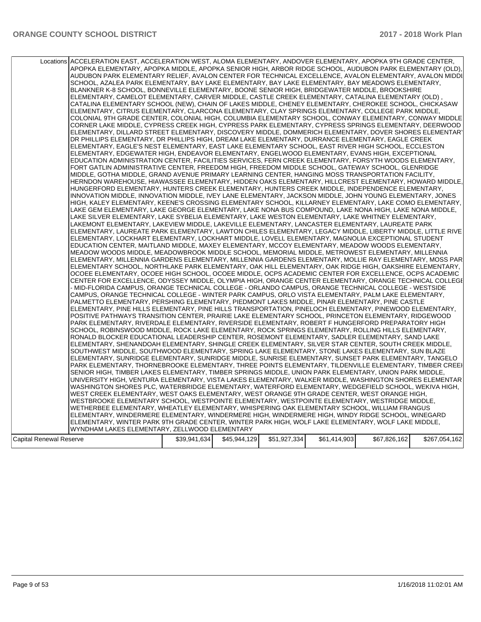|                         | Locations ACCELERATION EAST, ACCELERATION WEST, ALOMA ELEMENTARY, ANDOVER ELEMENTARY, APOPKA 9TH GRADE CENTER,<br>APOPKA ELEMENTARY, APOPKA MIDDLE, APOPKA SENIOR HIGH, ARBOR RIDGE SCHOOL, AUDUBON PARK ELEMENTARY (OLD),<br>AUDUBON PARK ELEMENTARY RELIEF, AVALON CENTER FOR TECHNICAL EXCELLENCE, AVALON ELEMENTARY, AVALON MIDDI<br>SCHOOL, AZALEA PARK ELEMENTARY, BAY LAKE ELEMENTARY, BAY LAKE ELEMENTARY, BAY MEADOWS ELEMENTARY,<br>BLANKNER K-8 SCHOOL, BONNEVILLE ELEMENTARY, BOONE SENIOR HIGH, BRIDGEWATER MIDDLE, BROOKSHIRE<br>ELEMENTARY, CAMELOT ELEMENTARY, CARVER MIDDLE, CASTLE CREEK ELEMENTARY, CATALINA ELEMENTARY (OLD),<br>CATALINA ELEMENTARY SCHOOL (NEW), CHAIN OF LAKES MIDDLE, CHENEY ELEMENTARY, CHEROKEE SCHOOL, CHICKASAW<br>ELEMENTARY, CITRUS ELEMENTARY, CLARCONA ELEMENTARY, CLAY SPRINGS ELEMENTARY, COLLEGE PARK MIDDLE,<br>COLONIAL 9TH GRADE CENTER, COLONIAL HIGH, COLUMBIA ELEMENTARY SCHOOL, CONWAY ELEMENTARY, CONWAY MIDDLE<br>CORNER LAKE MIDDLE, CYPRESS CREEK HIGH, CYPRESS PARK ELEMENTARY, CYPRESS SPRINGS ELEMENTARY, DEERWOOD<br>ELEMENTARY, DILLARD STREET ELEMENTARY, DISCOVERY MIDDLE, DOMMERICH ELEMENTARY, DOVER SHORES ELEMENTARY<br>DR PHILLIPS ELEMENTARY, DR PHILLIPS HIGH, DREAM LAKE ELEMENTARY, DURRANCE ELEMENTARY, EAGLE CREEK<br>ELEMENTARY, EAGLE'S NEST ELEMENTARY, EAST LAKE ELEMENTARY SCHOOL, EAST RIVER HIGH SCHOOL, ECCLESTON<br>ELEMENTARY, EDGEWATER HIGH, ENDEAVOR ELEMENTARY, ENGELWOOD ELEMENTARY, EVANS HIGH, EXCEPTIONAL<br>EDUCATION ADMINISTRATION CENTER, FACILITIES SERVICES, FERN CREEK ELEMENTARY, FORSYTH WOODS ELEMENTARY,<br>FORT GATLIN ADMINISTRATIVE CENTER, FREEDOM HIGH, FREEDOM MIDDLE SCHOOL, GATEWAY SCHOOL, GLENRIDGE<br>MIDDLE, GOTHA MIDDLE, GRAND AVENUE PRIMARY LEARNING CENTER, HANGING MOSS TRANSPORTATION FACILITY,<br>HERNDON WAREHOUSE, HIAWASSEE ELEMENTARY, HIDDEN OAKS ELEMENTARY, HILLCREST ELEMENTARY, HOWARD MIDDLE.<br>HUNGERFORD ELEMENTARY, HUNTERS CREEK ELEMENTARY, HUNTERS CREEK MIDDLE, INDEPENDENCE ELEMENTARY,<br>INNOVATION MIDDLE, INNOVATION MIDDLE, IVEY LANE ELEMENTARY, JACKSON MIDDLE, JOHN YOUNG ELEMENTARY, JONES<br>HIGH, KALEY ELEMENTARY, KEENE'S CROSSING ELEMENTARY SCHOOL, KILLARNEY ELEMENTARY, LAKE COMO ELEMENTARY,<br>LAKE GEM ELEMENTARY, LAKE GEORGE ELEMENTARY, LAKE NONA BUS COMPOUND, LAKE NONA HIGH, LAKE NONA MIDDLE,<br>LAKE SILVER ELEMENTARY, LAKE SYBELIA ELEMENTARY, LAKE WESTON ELEMENTARY, LAKE WHITNEY ELEMENTARY,<br>LAKEMONT ELEMENTARY, LAKEVIEW MIDDLE, LAKEVILLE ELEMENTARY, LANCASTER ELEMENTARY, LAUREATE PARK<br>ELEMENTARY, LAUREATE PARK ELEMENTARY, LAWTON CHILES ELEMENTARY, LEGACY MIDDLE, LIBERTY MIDDLE, LITTLE RIVE<br>ELEMENTARY, LOCKHART ELEMENTARY, LOCKHART MIDDLE, LOVELL ELEMENTARY, MAGNOLIA EXCEPTIONAL STUDENT<br>EDUCATION CENTER, MAITLAND MIDDLE, MAXEY ELEMENTARY, MCCOY ELEMENTARY, MEADOW WOODS ELEMENTARY,<br>MEADOW WOODS MIDDLE, MEADOWBROOK MIDDLE SCHOOL, MEMORIAL MIDDLE, METROWEST ELEMENTARY, MILLENNIA<br>ELEMENTARY, MILLENNIA GARDENS ELEMENTARY, MILLENNIA GARDENS ELEMENTARY, MOLLIE RAY ELEMENTARY, MOSS PAR<br>ELEMENTARY SCHOOL, NORTHLAKE PARK ELEMENTARY, OAK HILL ELEMENTARY, OAK RIDGE HIGH, OAKSHIRE ELEMENTARY,<br>OCOEE ELEMENTARY, OCOEE HIGH SCHOOL, OCOEE MIDDLE, OCPS ACADEMIC CENTER FOR EXCELLENCE, OCPS ACADEMIC<br>CENTER FOR EXCELLENCE, ODYSSEY MIDDLE, OLYMPIA HIGH, ORANGE CENTER ELEMENTARY, ORANGE TECHNICAL COLLEGI<br>- MID-FLORIDA CAMPUS, ORANGE TECHNICAL COLLEGE - ORLANDO CAMPUS, ORANGE TECHNICAL COLLEGE - WESTSIDE<br>CAMPUS, ORANGE TECHNICAL COLLEGE - WINTER PARK CAMPUS, ORLO VISTA ELEMENTARY, PALM LAKE ELEMENTARY,<br>PALMETTO ELEMENTARY, PERSHING ELEMENTARY, PIEDMONT LAKES MIDDLE, PINAR ELEMENTARY, PINE CASTLE<br>ELEMENTARY, PINE HILLS ELEMENTARY, PINE HILLS TRANSPORTATION, PINELOCH ELEMENTARY, PINEWOOD ELEMENTARY,<br>POSITIVE PATHWAYS TRANSITION CENTER, PRAIRIE LAKE ELEMENTARY SCHOOL, PRINCETON ELEMENTARY, RIDGEWOOD<br>PARK ELEMENTARY, RIVERDALE ELEMENTARY, RIVERSIDE ELEMENTARY, ROBERT F HUNGERFORD PREPARATORY HIGH<br>SCHOOL, ROBINSWOOD MIDDLE, ROCK LAKE ELEMENTARY, ROCK SPRINGS ELEMENTARY, ROLLING HILLS ELEMENTARY,<br>RONALD BLOCKER EDUCATIONAL LEADERSHIP CENTER, ROSEMONT ELEMENTARY, SADLER ELEMENTARY, SAND LAKE<br>ELEMENTARY, SHENANDOAH ELEMENTARY, SHINGLE CREEK ELEMENTARY, SILVER STAR CENTER, SOUTH CREEK MIDDLE,<br>SOUTHWEST MIDDLE, SOUTHWOOD ELEMENTARY, SPRING LAKE ELEMENTARY, STONE LAKES ELEMENTARY, SUN BLAZE<br>ELEMENTARY, SUNRIDGE ELEMENTARY, SUNRIDGE MIDDLE, SUNRISE ELEMENTARY, SUNSET PARK ELEMENTARY, TANGELO |              |              |              |              |              |               |
|-------------------------|-----------------------------------------------------------------------------------------------------------------------------------------------------------------------------------------------------------------------------------------------------------------------------------------------------------------------------------------------------------------------------------------------------------------------------------------------------------------------------------------------------------------------------------------------------------------------------------------------------------------------------------------------------------------------------------------------------------------------------------------------------------------------------------------------------------------------------------------------------------------------------------------------------------------------------------------------------------------------------------------------------------------------------------------------------------------------------------------------------------------------------------------------------------------------------------------------------------------------------------------------------------------------------------------------------------------------------------------------------------------------------------------------------------------------------------------------------------------------------------------------------------------------------------------------------------------------------------------------------------------------------------------------------------------------------------------------------------------------------------------------------------------------------------------------------------------------------------------------------------------------------------------------------------------------------------------------------------------------------------------------------------------------------------------------------------------------------------------------------------------------------------------------------------------------------------------------------------------------------------------------------------------------------------------------------------------------------------------------------------------------------------------------------------------------------------------------------------------------------------------------------------------------------------------------------------------------------------------------------------------------------------------------------------------------------------------------------------------------------------------------------------------------------------------------------------------------------------------------------------------------------------------------------------------------------------------------------------------------------------------------------------------------------------------------------------------------------------------------------------------------------------------------------------------------------------------------------------------------------------------------------------------------------------------------------------------------------------------------------------------------------------------------------------------------------------------------------------------------------------------------------------------------------------------------------------------------------------------------------------------------------------------------------------------------------------------------------------------------------------------------------------------------------------------------------------------------------------------------------------------------------------------------------------------------------------------------------------------------------------------------------------------------------------------------------------------------------------------------------------------------------------------------------------------------------------------------------------------------------------------------------------------------------------------------------------------------------------------------------------------------------------------------------------------------------------------------------------------------------------------------------------------------------------------------------------------------------------------------------------------------------------|--------------|--------------|--------------|--------------|--------------|---------------|
|                         |                                                                                                                                                                                                                                                                                                                                                                                                                                                                                                                                                                                                                                                                                                                                                                                                                                                                                                                                                                                                                                                                                                                                                                                                                                                                                                                                                                                                                                                                                                                                                                                                                                                                                                                                                                                                                                                                                                                                                                                                                                                                                                                                                                                                                                                                                                                                                                                                                                                                                                                                                                                                                                                                                                                                                                                                                                                                                                                                                                                                                                                                                                                                                                                                                                                                                                                                                                                                                                                                                                                                                                                                                                                                                                                                                                                                                                                                                                                                                                                                                                                                                                                                                                                                                                                                                                                                                                                                                                                                                                                                                                                                                                   |              |              |              |              |              |               |
|                         |                                                                                                                                                                                                                                                                                                                                                                                                                                                                                                                                                                                                                                                                                                                                                                                                                                                                                                                                                                                                                                                                                                                                                                                                                                                                                                                                                                                                                                                                                                                                                                                                                                                                                                                                                                                                                                                                                                                                                                                                                                                                                                                                                                                                                                                                                                                                                                                                                                                                                                                                                                                                                                                                                                                                                                                                                                                                                                                                                                                                                                                                                                                                                                                                                                                                                                                                                                                                                                                                                                                                                                                                                                                                                                                                                                                                                                                                                                                                                                                                                                                                                                                                                                                                                                                                                                                                                                                                                                                                                                                                                                                                                                   |              |              |              |              |              |               |
|                         | PARK ELEMENTARY, THORNEBROOKE ELEMENTARY, THREE POINTS ELEMENTARY, TILDENVILLE ELEMENTARY, TIMBER CREEI<br>SENIOR HIGH, TIMBER LAKES ELEMENTARY, TIMBER SPRINGS MIDDLE, UNION PARK ELEMENTARY, UNION PARK MIDDLE,<br>UNIVERSITY HIGH, VENTURA ELEMENTARY, VISTA LAKES ELEMENTARY, WALKER MIDDLE, WASHINGTON SHORES ELEMENTAR<br>WASHINGTON SHORES PLC, WATERBRIDGE ELEMENTARY, WATERFORD ELEMENTARY, WEDGEFIELD SCHOOL, WEKIVA HIGH,<br>WEST CREEK ELEMENTARY, WEST OAKS ELEMENTARY, WEST ORANGE 9TH GRADE CENTER, WEST ORANGE HIGH,<br>WESTBROOKE ELEMENTARY SCHOOL, WESTPOINTE ELEMENTARY, WESTPOINTE ELEMENTARY, WESTRIDGE MIDDLE,<br>WETHERBEE ELEMENTARY, WHEATLEY ELEMENTARY, WHISPERING OAK ELEMENTARY SCHOOL, WILLIAM FRANGUS<br>ELEMENTARY, WINDERMERE ELEMENTARY, WINDERMERE HIGH, WINDERMERE HIGH, WINDY RIDGE SCHOOL, WINEGARD<br>ELEMENTARY, WINTER PARK 9TH GRADE CENTER, WINTER PARK HIGH, WOLF LAKE ELEMENTARY, WOLF LAKE MIDDLE,                                                                                                                                                                                                                                                                                                                                                                                                                                                                                                                                                                                                                                                                                                                                                                                                                                                                                                                                                                                                                                                                                                                                                                                                                                                                                                                                                                                                                                                                                                                                                                                                                                                                                                                                                                                                                                                                                                                                                                                                                                                                                                                                                                                                                                                                                                                                                                                                                                                                                                                                                                                                                                                                                                                                                                                                                                                                                                                                                                                                                                                                                                                                                                                                                                                                                                                                                                                                                                                                                                                                                                                                                                                                                 |              |              |              |              |              |               |
| Capital Renewal Reserve | WYNDHAM LAKES ELEMENTARY, ZELLWOOD ELEMENTARY                                                                                                                                                                                                                                                                                                                                                                                                                                                                                                                                                                                                                                                                                                                                                                                                                                                                                                                                                                                                                                                                                                                                                                                                                                                                                                                                                                                                                                                                                                                                                                                                                                                                                                                                                                                                                                                                                                                                                                                                                                                                                                                                                                                                                                                                                                                                                                                                                                                                                                                                                                                                                                                                                                                                                                                                                                                                                                                                                                                                                                                                                                                                                                                                                                                                                                                                                                                                                                                                                                                                                                                                                                                                                                                                                                                                                                                                                                                                                                                                                                                                                                                                                                                                                                                                                                                                                                                                                                                                                                                                                                                     | \$39,941,634 | \$45,944,129 | \$51,927,334 | \$61,414,903 | \$67,826,162 | \$267,054,162 |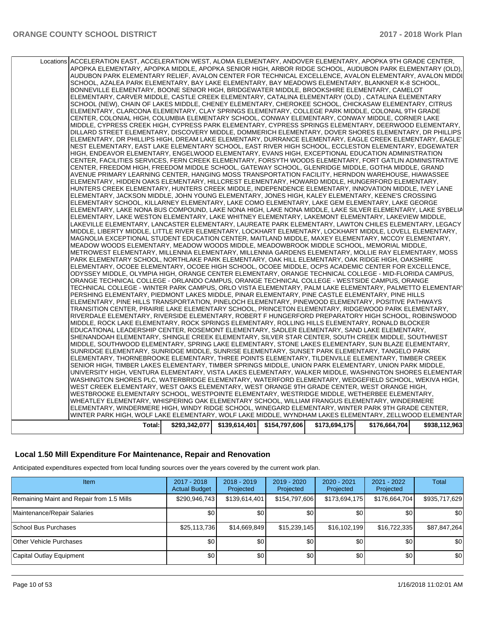| Locations ACCELERATION EAST, ACCELERATION WEST, ALOMA ELEMENTARY, ANDOVER ELEMENTARY, APOPKA 9TH GRADE CENTER,                                                                                                      |               |               |               |               |               |               |
|---------------------------------------------------------------------------------------------------------------------------------------------------------------------------------------------------------------------|---------------|---------------|---------------|---------------|---------------|---------------|
| APOPKA ELEMENTARY, APOPKA MIDDLE, APOPKA SENIOR HIGH, ARBOR RIDGE SCHOOL, AUDUBON PARK ELEMENTARY (OLD),                                                                                                            |               |               |               |               |               |               |
| AUDUBON PARK ELEMENTARY RELIEF, AVALON CENTER FOR TECHNICAL EXCELLENCE, AVALON ELEMENTARY, AVALON MIDDI                                                                                                             |               |               |               |               |               |               |
| SCHOOL, AZALEA PARK ELEMENTARY, BAY LAKE ELEMENTARY, BAY MEADOWS ELEMENTARY, BLANKNER K-8 SCHOOL,                                                                                                                   |               |               |               |               |               |               |
| BONNEVILLE ELEMENTARY, BOONE SENIOR HIGH, BRIDGEWATER MIDDLE, BROOKSHIRE ELEMENTARY, CAMELOT                                                                                                                        |               |               |               |               |               |               |
| ELEMENTARY, CARVER MIDDLE, CASTLE CREEK ELEMENTARY, CATALINA ELEMENTARY (OLD), CATALINA ELEMENTARY                                                                                                                  |               |               |               |               |               |               |
| SCHOOL (NEW), CHAIN OF LAKES MIDDLE, CHENEY ELEMENTARY, CHEROKEE SCHOOL, CHICKASAW ELEMENTARY, CITRUS                                                                                                               |               |               |               |               |               |               |
| ELEMENTARY, CLARCONA ELEMENTARY, CLAY SPRINGS ELEMENTARY, COLLEGE PARK MIDDLE, COLONIAL 9TH GRADE                                                                                                                   |               |               |               |               |               |               |
| CENTER, COLONIAL HIGH, COLUMBIA ELEMENTARY SCHOOL, CONWAY ELEMENTARY, CONWAY MIDDLE, CORNER LAKE                                                                                                                    |               |               |               |               |               |               |
| MIDDLE, CYPRESS CREEK HIGH, CYPRESS PARK ELEMENTARY, CYPRESS SPRINGS ELEMENTARY, DEERWOOD ELEMENTARY,                                                                                                               |               |               |               |               |               |               |
| DILLARD STREET ELEMENTARY, DISCOVERY MIDDLE, DOMMERICH ELEMENTARY, DOVER SHORES ELEMENTARY, DR PHILLIPS<br>ELEMENTARY, DR PHILLIPS HIGH, DREAM LAKE ELEMENTARY, DURRANCE ELEMENTARY, EAGLE CREEK ELEMENTARY, EAGLE" |               |               |               |               |               |               |
| NEST ELEMENTARY, EAST LAKE ELEMENTARY SCHOOL, EAST RIVER HIGH SCHOOL, ECCLESTON ELEMENTARY, EDGEWATER                                                                                                               |               |               |               |               |               |               |
| HIGH, ENDEAVOR ELEMENTARY, ENGELWOOD ELEMENTARY, EVANS HIGH, EXCEPTIONAL EDUCATION ADMINISTRATION                                                                                                                   |               |               |               |               |               |               |
| CENTER, FACILITIES SERVICES, FERN CREEK ELEMENTARY, FORSYTH WOODS ELEMENTARY, FORT GATLIN ADMINISTRATIVE                                                                                                            |               |               |               |               |               |               |
| CENTER, FREEDOM HIGH, FREEDOM MIDDLE SCHOOL, GATEWAY SCHOOL, GLENRIDGE MIDDLE, GOTHA MIDDLE, GRAND                                                                                                                  |               |               |               |               |               |               |
| AVENUE PRIMARY LEARNING CENTER, HANGING MOSS TRANSPORTATION FACILITY, HERNDON WAREHOUSE, HIAWASSEE                                                                                                                  |               |               |               |               |               |               |
| ELEMENTARY, HIDDEN OAKS ELEMENTARY, HILLCREST ELEMENTARY, HOWARD MIDDLE, HUNGERFORD ELEMENTARY,                                                                                                                     |               |               |               |               |               |               |
| HUNTERS CREEK ELEMENTARY, HUNTERS CREEK MIDDLE, INDEPENDENCE ELEMENTARY, INNOVATION MIDDLE, IVEY LANE                                                                                                               |               |               |               |               |               |               |
| ELEMENTARY, JACKSON MIDDLE, JOHN YOUNG ELEMENTARY, JONES HIGH, KALEY ELEMENTARY, KEENE'S CROSSING                                                                                                                   |               |               |               |               |               |               |
| ELEMENTARY SCHOOL, KILLARNEY ELEMENTARY, LAKE COMO ELEMENTARY, LAKE GEM ELEMENTARY, LAKE GEORGE                                                                                                                     |               |               |               |               |               |               |
| ELEMENTARY. LAKE NONA BUS COMPOUND. LAKE NONA HIGH. LAKE NONA MIDDLE. LAKE SILVER ELEMENTARY. LAKE SYBELIA                                                                                                          |               |               |               |               |               |               |
| ELEMENTARY, LAKE WESTON ELEMENTARY, LAKE WHITNEY ELEMENTARY, LAKEMONT ELEMENTARY, LAKEVIEW MIDDLE,                                                                                                                  |               |               |               |               |               |               |
| LAKEVILLE ELEMENTARY, LANCASTER ELEMENTARY, LAUREATE PARK ELEMENTARY, LAWTON CHILES ELEMENTARY, LEGACY                                                                                                              |               |               |               |               |               |               |
| MIDDLE, LIBERTY MIDDLE, LITTLE RIVER ELEMENTARY, LOCKHART ELEMENTARY, LOCKHART MIDDLE, LOVELL ELEMENTARY,                                                                                                           |               |               |               |               |               |               |
| MAGNOLIA EXCEPTIONAL STUDENT EDUCATION CENTER, MAITLAND MIDDLE, MAXEY ELEMENTARY, MCCOY ELEMENTARY,                                                                                                                 |               |               |               |               |               |               |
| MEADOW WOODS ELEMENTARY, MEADOW WOODS MIDDLE, MEADOWBROOK MIDDLE SCHOOL, MEMORIAL MIDDLE,                                                                                                                           |               |               |               |               |               |               |
| METROWEST ELEMENTARY, MILLENNIA ELEMENTARY, MILLENNIA GARDENS ELEMENTARY, MOLLIE RAY ELEMENTARY, MOSS                                                                                                               |               |               |               |               |               |               |
| PARK ELEMENTARY SCHOOL, NORTHLAKE PARK ELEMENTARY, OAK HILL ELEMENTARY, OAK RIDGE HIGH, OAKSHIRE                                                                                                                    |               |               |               |               |               |               |
| ELEMENTARY, OCOEE ELEMENTARY, OCOEE HIGH SCHOOL, OCOEE MIDDLE, OCPS ACADEMIC CENTER FOR EXCELLENCE,                                                                                                                 |               |               |               |               |               |               |
| ODYSSEY MIDDLE, OLYMPIA HIGH, ORANGE CENTER ELEMENTARY, ORANGE TECHNICAL COLLEGE - MID-FLORIDA CAMPUS,<br>ORANGE TECHNICAL COLLEGE - ORLANDO CAMPUS, ORANGE TECHNICAL COLLEGE - WESTSIDE CAMPUS, ORANGE             |               |               |               |               |               |               |
| TECHNICAL COLLEGE - WINTER PARK CAMPUS, ORLO VISTA ELEMENTARY, PALM LAKE ELEMENTARY, PALMETTO ELEMENTARY                                                                                                            |               |               |               |               |               |               |
| PERSHING ELEMENTARY, PIEDMONT LAKES MIDDLE, PINAR ELEMENTARY, PINE CASTLE ELEMENTARY, PINE HILLS                                                                                                                    |               |               |               |               |               |               |
| ELEMENTARY, PINE HILLS TRANSPORTATION, PINELOCH ELEMENTARY, PINEWOOD ELEMENTARY, POSITIVE PATHWAYS                                                                                                                  |               |               |               |               |               |               |
| TRANSITION CENTER, PRAIRIE LAKE ELEMENTARY SCHOOL, PRINCETON ELEMENTARY, RIDGEWOOD PARK ELEMENTARY,                                                                                                                 |               |               |               |               |               |               |
| RIVERDALE ELEMENTARY, RIVERSIDE ELEMENTARY, ROBERT F HUNGERFORD PREPARATORY HIGH SCHOOL, ROBINSWOOD                                                                                                                 |               |               |               |               |               |               |
| MIDDLE, ROCK LAKE ELEMENTARY, ROCK SPRINGS ELEMENTARY, ROLLING HILLS ELEMENTARY, RONALD BLOCKER                                                                                                                     |               |               |               |               |               |               |
| EDUCATIONAL LEADERSHIP CENTER, ROSEMONT ELEMENTARY, SADLER ELEMENTARY, SAND LAKE ELEMENTARY,                                                                                                                        |               |               |               |               |               |               |
| SHENANDOAH ELEMENTARY, SHINGLE CREEK ELEMENTARY, SILVER STAR CENTER, SOUTH CREEK MIDDLE, SOUTHWEST                                                                                                                  |               |               |               |               |               |               |
| MIDDLE, SOUTHWOOD ELEMENTARY, SPRING LAKE ELEMENTARY, STONE LAKES ELEMENTARY, SUN BLAZE ELEMENTARY,                                                                                                                 |               |               |               |               |               |               |
| SUNRIDGE ELEMENTARY, SUNRIDGE MIDDLE, SUNRISE ELEMENTARY, SUNSET PARK ELEMENTARY, TANGELO PARK                                                                                                                      |               |               |               |               |               |               |
| ELEMENTARY, THORNEBROOKE ELEMENTARY, THREE POINTS ELEMENTARY, TILDENVILLE ELEMENTARY, TIMBER CREEK                                                                                                                  |               |               |               |               |               |               |
| SENIOR HIGH, TIMBER LAKES ELEMENTARY, TIMBER SPRINGS MIDDLE, UNION PARK ELEMENTARY, UNION PARK MIDDLE,                                                                                                              |               |               |               |               |               |               |
| UNIVERSITY HIGH, VENTURA ELEMENTARY, VISTA LAKES ELEMENTARY, WALKER MIDDLE, WASHINGTON SHORES ELEMENTAR                                                                                                             |               |               |               |               |               |               |
| WASHINGTON SHORES PLC, WATERBRIDGE ELEMENTARY, WATERFORD ELEMENTARY, WEDGEFIELD SCHOOL, WEKIVA HIGH,                                                                                                                |               |               |               |               |               |               |
| WEST CREEK ELEMENTARY, WEST OAKS ELEMENTARY, WEST ORANGE 9TH GRADE CENTER, WEST ORANGE HIGH,                                                                                                                        |               |               |               |               |               |               |
| WESTBROOKE ELEMENTARY SCHOOL, WESTPOINTE ELEMENTARY, WESTRIDGE MIDDLE, WETHERBEE ELEMENTARY,                                                                                                                        |               |               |               |               |               |               |
| WHEATLEY ELEMENTARY, WHISPERING OAK ELEMENTARY SCHOOL, WILLIAM FRANGUS ELEMENTARY, WINDERMERE                                                                                                                       |               |               |               |               |               |               |
| ELEMENTARY, WINDERMERE HIGH, WINDY RIDGE SCHOOL, WINEGARD ELEMENTARY, WINTER PARK 9TH GRADE CENTER,<br>WINTER PARK HIGH, WOLF LAKE ELEMENTARY, WOLF LAKE MIDDLE, WYNDHAM LAKES ELEMENTARY, ZELLWOOD ELEMENTAR       |               |               |               |               |               |               |
|                                                                                                                                                                                                                     |               |               |               |               |               |               |
| Total:                                                                                                                                                                                                              | \$293,342,077 | \$139,614,401 | \$154,797,606 | \$173,694,175 | \$176,664,704 | \$938,112,963 |

## **Local 1.50 Mill Expenditure For Maintenance, Repair and Renovation**

Anticipated expenditures expected from local funding sources over the years covered by the current work plan.

| <b>Item</b>                               | 2017 - 2018<br><b>Actual Budget</b> | $2018 - 2019$<br>Projected | 2019 - 2020<br>Projected | 2020 - 2021<br>Projected | 2021 - 2022<br>Projected | <b>Total</b>  |
|-------------------------------------------|-------------------------------------|----------------------------|--------------------------|--------------------------|--------------------------|---------------|
| Remaining Maint and Repair from 1.5 Mills | \$290,946,743                       | \$139,614,401              | \$154,797,606            | \$173,694,175            | \$176,664,704            | \$935,717,629 |
| Maintenance/Repair Salaries               | \$0                                 | \$0                        | \$0 <sub>1</sub>         | \$0                      | \$0                      | \$0           |
| School Bus Purchases                      | \$25,113,736                        | \$14,669,849               | \$15,239,145             | \$16,102,199             | \$16,722,335             | \$87,847,264  |
| Other Vehicle Purchases                   | \$0                                 | \$0 <sub>1</sub>           | \$0 <sub>1</sub>         | \$0                      | \$0                      | \$0           |
| Capital Outlay Equipment                  | \$0                                 | \$0 <sub>1</sub>           | \$0                      | \$0                      | \$0                      | \$0           |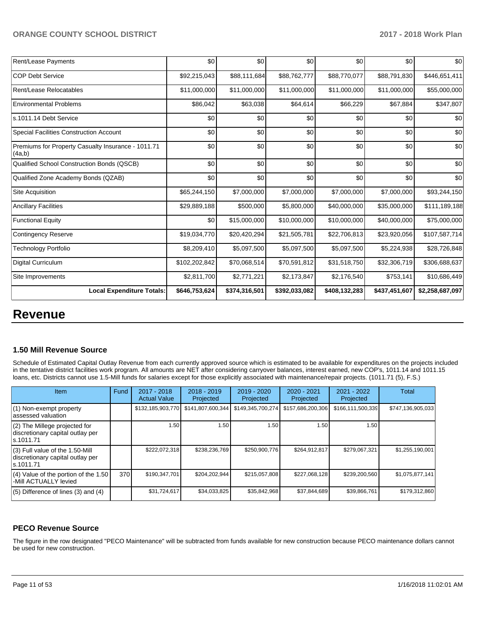| <b>Rent/Lease Payments</b>                                   | \$0           | \$0           | \$0           | \$0           | \$0           | \$0             |
|--------------------------------------------------------------|---------------|---------------|---------------|---------------|---------------|-----------------|
| <b>COP Debt Service</b>                                      | \$92,215,043  | \$88,111,684  | \$88,762,777  | \$88,770,077  | \$88,791,830  | \$446,651,411   |
| Rent/Lease Relocatables                                      | \$11,000,000  | \$11,000,000  | \$11,000,000  | \$11,000,000  | \$11,000,000  | \$55,000,000    |
| <b>Environmental Problems</b>                                | \$86,042      | \$63,038      | \$64,614      | \$66,229      | \$67,884      | \$347,807       |
| ls.1011.14 Debt Service                                      | \$0           | \$0           | \$0           | \$0           | \$0           | \$0             |
| <b>Special Facilities Construction Account</b>               | \$0           | \$0           | \$0           | \$0           | \$0           | \$0             |
| Premiums for Property Casualty Insurance - 1011.71<br>(4a,b) | \$0           | \$0           | \$0           | \$0           | \$0           | \$0             |
| Qualified School Construction Bonds (QSCB)                   | \$0           | \$0           | \$0           | \$0           | \$0           | \$0             |
| Qualified Zone Academy Bonds (QZAB)                          | \$0           | \$0           | \$0           | \$0           | \$0           | \$0             |
| Site Acquisition                                             | \$65,244,150  | \$7,000,000   | \$7,000,000   | \$7,000,000   | \$7,000,000   | \$93,244,150    |
| <b>Ancillary Facilities</b>                                  | \$29,889,188  | \$500,000     | \$5,800,000   | \$40,000,000  | \$35,000,000  | \$111,189,188   |
| <b>Functional Equity</b>                                     | \$0           | \$15,000,000  | \$10,000,000  | \$10,000,000  | \$40,000,000  | \$75,000,000    |
| Contingency Reserve                                          | \$19,034,770  | \$20,420,294  | \$21,505,781  | \$22,706,813  | \$23,920,056  | \$107,587,714   |
| Technology Portfolio                                         | \$8,209,410   | \$5,097,500   | \$5,097,500   | \$5,097,500   | \$5,224,938   | \$28,726,848    |
| <b>Digital Curriculum</b>                                    | \$102,202,842 | \$70,068,514  | \$70,591,812  | \$31,518,750  | \$32,306,719  | \$306,688,637   |
| Site Improvements                                            | \$2,811,700   | \$2,771,221   | \$2,173,847   | \$2,176,540   | \$753,141     | \$10,686,449    |
| <b>Local Expenditure Totals:</b>                             | \$646,753,624 | \$374,316,501 | \$392,033,082 | \$408,132,283 | \$437,451,607 | \$2,258,687,097 |

# **Revenue**

#### **1.50 Mill Revenue Source**

Schedule of Estimated Capital Outlay Revenue from each currently approved source which is estimated to be available for expenditures on the projects included in the tentative district facilities work program. All amounts are NET after considering carryover balances, interest earned, new COP's, 1011.14 and 1011.15 loans, etc. Districts cannot use 1.5-Mill funds for salaries except for those explicitly associated with maintenance/repair projects. (1011.71 (5), F.S.)

| Item                                                                                | Fund | $2017 - 2018$<br><b>Actual Value</b> | $2018 - 2019$<br>Projected | $2019 - 2020$<br>Projected | $2020 - 2021$<br>Projected | 2021 - 2022<br>Projected | <b>Total</b>      |
|-------------------------------------------------------------------------------------|------|--------------------------------------|----------------------------|----------------------------|----------------------------|--------------------------|-------------------|
| (1) Non-exempt property<br>lassessed valuation                                      |      | \$132,185,903,770                    | \$141,807,600,344          | \$149,345,700,274          | \$157,686,200,306          | \$166,111,500,339        | \$747,136,905,033 |
| $(2)$ The Millege projected for<br>discretionary capital outlay per<br>ls.1011.71   |      | 1.50                                 | 1.50                       | 1.50                       | 1.50                       | 1.50                     |                   |
| $(3)$ Full value of the 1.50-Mill<br>discretionary capital outlay per<br>ls.1011.71 |      | \$222,072,318                        | \$238,236,769              | \$250,900,776              | \$264,912,817              | \$279,067,321            | \$1,255,190,001   |
| $(4)$ Value of the portion of the 1.50<br>-Mill ACTUALLY levied                     | 370  | \$190,347,701                        | \$204.202.944              | \$215,057,808              | \$227,068,128              | \$239,200,560            | \$1,075,877,141   |
| $(5)$ Difference of lines $(3)$ and $(4)$                                           |      | \$31,724,617                         | \$34,033,825               | \$35,842,968               | \$37,844,689               | \$39,866,761             | \$179,312,860     |

#### **PECO Revenue Source**

The figure in the row designated "PECO Maintenance" will be subtracted from funds available for new construction because PECO maintenance dollars cannot be used for new construction.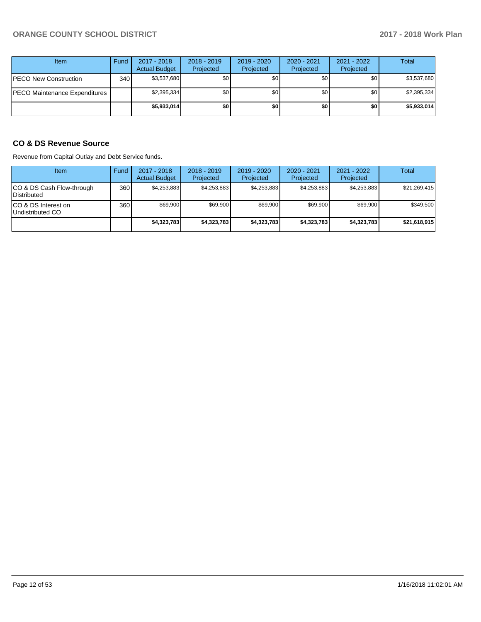| Item                          | Fund | 2017 - 2018<br><b>Actual Budget</b> | $2018 - 2019$<br>Projected | 2019 - 2020<br>Projected | 2020 - 2021<br>Projected | 2021 - 2022<br>Projected | Total       |
|-------------------------------|------|-------------------------------------|----------------------------|--------------------------|--------------------------|--------------------------|-------------|
| <b>PECO New Construction</b>  | 340  | \$3,537,680                         | \$0                        | \$0                      | \$0 <sub>1</sub>         | \$0                      | \$3,537,680 |
| PECO Maintenance Expenditures |      | \$2,395,334                         | \$0                        | \$0                      | \$0 <sub>1</sub>         | \$0                      | \$2,395,334 |
|                               |      | \$5,933,014                         | \$0                        | \$0                      | \$0                      | \$0                      | \$5,933,014 |

## **CO & DS Revenue Source**

Revenue from Capital Outlay and Debt Service funds.

| Item                                      | Fund | $2017 - 2018$<br><b>Actual Budget</b> | $2018 - 2019$<br>Projected | $2019 - 2020$<br>Projected | $2020 - 2021$<br>Projected | $2021 - 2022$<br>Projected | <b>Total</b> |
|-------------------------------------------|------|---------------------------------------|----------------------------|----------------------------|----------------------------|----------------------------|--------------|
| ICO & DS Cash Flow-through<br>Distributed | 360  | \$4.253.883                           | \$4,253,883                | \$4,253,883                | \$4.253.883                | \$4,253,883                | \$21,269,415 |
| ICO & DS Interest on<br>Undistributed CO  | 360  | \$69,900                              | \$69,900                   | \$69,900                   | \$69,900                   | \$69,900                   | \$349,500    |
|                                           |      | \$4,323,783                           | \$4,323,783                | \$4,323,783                | \$4,323,783                | \$4,323,783                | \$21,618,915 |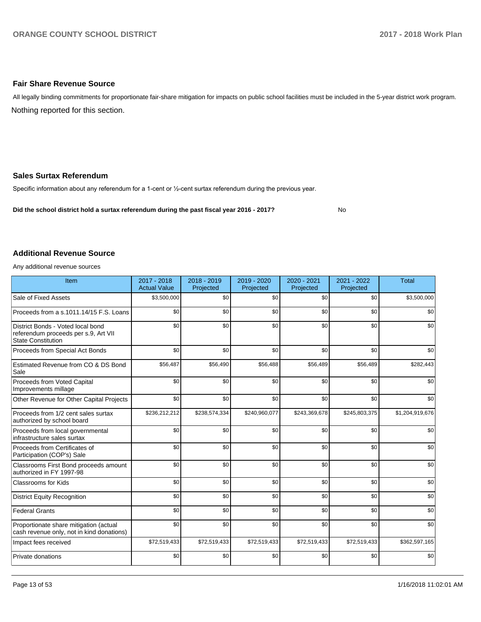#### **Fair Share Revenue Source**

Nothing reported for this section. All legally binding commitments for proportionate fair-share mitigation for impacts on public school facilities must be included in the 5-year district work program.

#### **Sales Surtax Referendum**

Specific information about any referendum for a 1-cent or 1/2-cent surtax referendum during the previous year.

**Did the school district hold a surtax referendum during the past fiscal year 2016 - 2017?**

No

#### **Additional Revenue Source**

Any additional revenue sources

| Item                                                                                                   | 2017 - 2018<br><b>Actual Value</b> | 2018 - 2019<br>Projected | 2019 - 2020<br>Projected | 2020 - 2021<br>Projected | 2021 - 2022<br>Projected | <b>Total</b>    |
|--------------------------------------------------------------------------------------------------------|------------------------------------|--------------------------|--------------------------|--------------------------|--------------------------|-----------------|
| Sale of Fixed Assets                                                                                   | \$3,500,000                        | \$0                      | \$0                      | \$0                      | \$0                      | \$3,500,000     |
| Proceeds from a s.1011.14/15 F.S. Loans                                                                | \$0                                | \$0                      | \$0                      | \$0                      | \$0                      | \$0             |
| District Bonds - Voted local bond<br>referendum proceeds per s.9, Art VII<br><b>State Constitution</b> | \$0                                | \$0                      | \$0                      | \$0                      | \$0                      | \$0             |
| Proceeds from Special Act Bonds                                                                        | \$0                                | \$0                      | \$0                      | \$0                      | \$0                      | \$0             |
| Estimated Revenue from CO & DS Bond<br>Sale                                                            | \$56,487                           | \$56,490                 | \$56,488                 | \$56,489                 | \$56,489                 | \$282,443       |
| Proceeds from Voted Capital<br>Improvements millage                                                    | \$0                                | \$0                      | \$0                      | \$0                      | \$0                      | \$0             |
| Other Revenue for Other Capital Projects                                                               | \$0                                | \$0                      | \$0                      | \$0                      | \$0                      | \$0             |
| Proceeds from 1/2 cent sales surtax<br>authorized by school board                                      | \$236,212,212                      | \$238,574,334            | \$240,960,077            | \$243,369,678            | \$245,803,375            | \$1,204,919,676 |
| Proceeds from local governmental<br>infrastructure sales surtax                                        | \$0                                | \$0                      | \$0                      | \$0                      | \$0                      | \$0             |
| Proceeds from Certificates of<br>Participation (COP's) Sale                                            | \$0                                | \$0                      | \$0                      | \$0                      | \$0                      | \$0             |
| Classrooms First Bond proceeds amount<br>authorized in FY 1997-98                                      | \$0                                | \$0                      | \$0                      | \$0                      | \$0                      | \$0             |
| <b>Classrooms for Kids</b>                                                                             | \$0                                | \$0                      | \$0                      | \$0                      | \$0                      | \$0             |
| <b>District Equity Recognition</b>                                                                     | \$0                                | \$0                      | \$0                      | \$0                      | \$0                      | \$0             |
| <b>Federal Grants</b>                                                                                  | \$0                                | \$0                      | \$0                      | \$0                      | \$0                      | \$0             |
| Proportionate share mitigation (actual<br>cash revenue only, not in kind donations)                    | \$0                                | \$0                      | \$0                      | \$0                      | \$0                      | \$0             |
| Impact fees received                                                                                   | \$72,519,433                       | \$72,519,433             | \$72,519,433             | \$72,519,433             | \$72,519,433             | \$362,597,165   |
| Private donations                                                                                      | \$0                                | \$0                      | \$0                      | \$0                      | \$0                      | \$0             |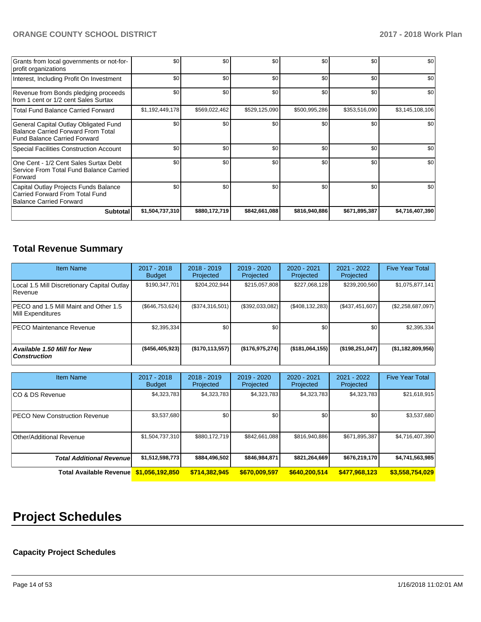| Grants from local governments or not-for-<br>profit organizations                                                         | \$0             | \$0           | \$0           | \$0           | \$0           | \$0             |
|---------------------------------------------------------------------------------------------------------------------------|-----------------|---------------|---------------|---------------|---------------|-----------------|
| Interest, Including Profit On Investment                                                                                  | \$0             | \$0           | \$0           | \$0           | \$0           | \$0             |
| Revenue from Bonds pledging proceeds<br>from 1 cent or 1/2 cent Sales Surtax                                              | \$0             | \$0           | \$0           | \$0           | \$0           | \$0             |
| <b>Total Fund Balance Carried Forward</b>                                                                                 | \$1,192,449,178 | \$569,022,462 | \$529,125,090 | \$500,995,286 | \$353,516,090 | \$3,145,108,106 |
| General Capital Outlay Obligated Fund<br><b>Balance Carried Forward From Total</b><br><b>Fund Balance Carried Forward</b> | \$0             | \$0           | \$0           | \$0           | \$0           | \$0             |
| Special Facilities Construction Account                                                                                   | \$0             | \$0           | \$0           | \$0           | \$0           | \$0             |
| One Cent - 1/2 Cent Sales Surtax Debt<br>Service From Total Fund Balance Carried<br>Forward                               | \$0             | \$0           | \$0           | \$0           | \$0           | \$0             |
| Capital Outlay Projects Funds Balance<br>Carried Forward From Total Fund<br>Balance Carried Forward                       | \$0             | \$0           | \$0           | \$0           | \$0           | \$0             |
| <b>Subtotal</b>                                                                                                           | \$1,504,737,310 | \$880,172,719 | \$842,661,088 | \$816,940,886 | \$671,895,387 | \$4,716,407,390 |

# **Total Revenue Summary**

| <b>Item Name</b>                                            | 2017 - 2018<br><b>Budget</b> | $2018 - 2019$<br>Projected | 2019 - 2020<br>Projected | $2020 - 2021$<br>Projected | 2021 - 2022<br>Projected | <b>Five Year Total</b> |
|-------------------------------------------------------------|------------------------------|----------------------------|--------------------------|----------------------------|--------------------------|------------------------|
| Local 1.5 Mill Discretionary Capital Outlay<br>l Revenue    | \$190,347,701                | \$204,202,944              | \$215,057,808            | \$227,068,128              | \$239,200,560            | \$1,075,877,141        |
| IPECO and 1.5 Mill Maint and Other 1.5<br>Mill Expenditures | $(\$646,753,624)$            | (\$374,316,501)            | (\$392,033,082)          | (\$408, 132, 283)          | (\$437,451,607)          | (\$2,258,687,097)      |
| IPECO Maintenance Revenue                                   | \$2,395,334                  | \$0                        | \$0                      | \$0                        | \$0 <sub>1</sub>         | \$2,395,334            |
| Available 1.50 Mill for New<br><b>Construction</b>          | ( \$456, 405, 923)           | (\$170, 113, 557)          | (\$176,975,274)          | $($ \$181,064,155)         | (\$198, 251, 047)        | (\$1,182,809,956)      |

| <b>Item Name</b>                     | 2017 - 2018<br><b>Budget</b> | $2018 - 2019$<br>Projected | 2019 - 2020<br>Projected | $2020 - 2021$<br>Projected | 2021 - 2022<br>Projected | <b>Five Year Total</b> |
|--------------------------------------|------------------------------|----------------------------|--------------------------|----------------------------|--------------------------|------------------------|
| ICO & DS Revenue                     | \$4,323,783                  | \$4,323,783                | \$4,323,783              | \$4,323,783                | \$4,323,783              | \$21,618,915           |
| <b>PECO New Construction Revenue</b> | \$3,537,680                  | \$0 <sub>1</sub>           | \$0                      | \$0                        | \$0                      | \$3,537,680            |
| Other/Additional Revenue             | \$1,504,737,310              | \$880,172,719              | \$842,661,088            | \$816,940,886              | \$671,895,387            | \$4,716,407,390        |
| <b>Total Additional Revenuel</b>     | \$1,512,598,773              | \$884,496,502              | \$846,984,871            | \$821,264,669              | \$676,219,170            | \$4,741,563,985        |
| <b>Total Available Revenue</b>       | \$1.056.192.850              | \$714,382,945              | \$670,009.597            | \$640,200,514              | \$477,968,123            | \$3,558,754,029        |

# **Project Schedules**

## **Capacity Project Schedules**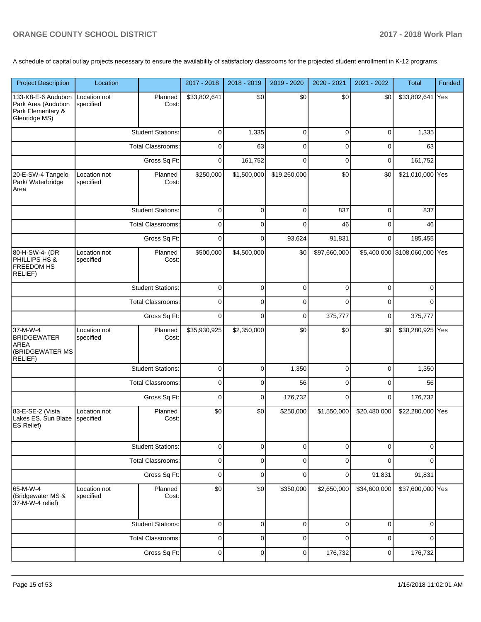A schedule of capital outlay projects necessary to ensure the availability of satisfactory classrooms for the projected student enrollment in K-12 programs.

| <b>Project Description</b>                                                     | Location                                 |                          | 2017 - 2018  | 2018 - 2019 | 2019 - 2020  | 2020 - 2021  | 2021 - 2022  | <b>Total</b>                  | Funded |
|--------------------------------------------------------------------------------|------------------------------------------|--------------------------|--------------|-------------|--------------|--------------|--------------|-------------------------------|--------|
| 133-K8-E-6 Audubon<br>Park Area (Audubon<br>Park Elementary &<br>Glenridge MS) | Location not<br>specified                | Planned<br>Cost:         | \$33,802,641 | \$0         | \$0          | \$0          | \$0          | \$33,802,641 Yes              |        |
|                                                                                |                                          | <b>Student Stations:</b> | 0            | 1,335       | 0            | $\mathbf 0$  | 0            | 1,335                         |        |
|                                                                                |                                          | <b>Total Classrooms:</b> | 0            | 63          | $\mathbf 0$  | $\mathbf 0$  | 0            | 63                            |        |
|                                                                                |                                          | Gross Sq Ft:             | 0            | 161,752     | $\mathbf 0$  | $\mathbf 0$  | 0            | 161,752                       |        |
| 20-E-SW-4 Tangelo<br>Park/ Waterbridge<br>Area                                 | Location not<br>specified                | Planned<br>Cost:         | \$250,000    | \$1,500,000 | \$19,260,000 | \$0          | \$0          | \$21,010,000 Yes              |        |
|                                                                                |                                          | <b>Student Stations:</b> | $\mathbf 0$  | $\mathbf 0$ | $\mathbf 0$  | 837          | 0            | 837                           |        |
|                                                                                |                                          | <b>Total Classrooms:</b> | $\mathbf 0$  | $\mathbf 0$ | $\mathbf 0$  | 46           | 0            | 46                            |        |
|                                                                                |                                          | Gross Sq Ft:             | $\mathbf 0$  | $\mathbf 0$ | 93,624       | 91,831       | 0            | 185,455                       |        |
| 80-H-SW-4- (DR<br>PHILLIPS HS &<br>FREEDOM HS<br>RELIEF)                       | Location not<br>specified                | Planned<br>Cost:         | \$500,000    | \$4,500,000 | \$0          | \$97,660,000 |              | \$5,400,000 \$108,060,000 Yes |        |
|                                                                                |                                          | <b>Student Stations:</b> | $\mathbf 0$  | $\mathbf 0$ | $\pmb{0}$    | $\mathbf 0$  | 0            | $\Omega$                      |        |
|                                                                                | <b>Total Classrooms:</b><br>Gross Sq Ft: |                          | $\pmb{0}$    | $\mathbf 0$ | $\pmb{0}$    | $\mathbf 0$  | 0            | $\Omega$                      |        |
|                                                                                |                                          |                          | $\mathbf 0$  | $\mathbf 0$ | $\mathbf 0$  | 375,777      | 0            | 375,777                       |        |
| 37-M-W-4<br><b>BRIDGEWATER</b><br>AREA<br>(BRIDGEWATER MS<br>RELIEF)           | Location not<br>specified                | Planned<br>Cost:         | \$35,930,925 | \$2,350,000 | \$0          | \$0          | \$0          | \$38,280,925 Yes              |        |
|                                                                                |                                          | <b>Student Stations:</b> | $\pmb{0}$    | 0           | 1,350        | $\mathbf 0$  | 0            | 1,350                         |        |
|                                                                                |                                          | <b>Total Classrooms:</b> | $\pmb{0}$    | $\mathbf 0$ | 56           | $\mathbf 0$  | 0            | 56                            |        |
|                                                                                |                                          | Gross Sq Ft:             | $\pmb{0}$    | $\mathbf 0$ | 176,732      | $\mathbf 0$  | 0            | 176,732                       |        |
| 83-E-SE-2 (Vista<br>Lakes ES, Sun Blaze<br>ES Relief)                          | Location not<br>specified                | Planned<br>Cost:         | \$0          | \$0         | \$250,000    | \$1,550,000  | \$20,480,000 | \$22,280,000 Yes              |        |
|                                                                                |                                          | <b>Student Stations:</b> | $\pmb{0}$    | $\pmb{0}$   | $\pmb{0}$    | $\mathbf 0$  | 0            | 0                             |        |
|                                                                                |                                          | <b>Total Classrooms:</b> | $\pmb{0}$    | $\mathbf 0$ | $\pmb{0}$    | $\mathbf 0$  | $\Omega$     | $\Omega$                      |        |
|                                                                                |                                          | Gross Sq Ft:             | $\pmb{0}$    | $\mathbf 0$ | $\pmb{0}$    | 0            | 91,831       | 91,831                        |        |
| 65-M-W-4<br>(Bridgewater MS &<br>37-M-W-4 relief)                              | Location not<br>specified                | Planned<br>Cost:         | \$0          | \$0         | \$350,000    | \$2,650,000  | \$34,600,000 | \$37,600,000 Yes              |        |
|                                                                                |                                          | <b>Student Stations:</b> | $\pmb{0}$    | 0           | $\pmb{0}$    | $\mathbf 0$  | 0            | 0                             |        |
|                                                                                |                                          | <b>Total Classrooms:</b> | $\pmb{0}$    | $\pmb{0}$   | $\mathbf 0$  | $\mathbf 0$  | 0            | $\Omega$                      |        |
|                                                                                |                                          | Gross Sq Ft:             | $\pmb{0}$    | $\pmb{0}$   | $\pmb{0}$    | 176,732      | 0            | 176,732                       |        |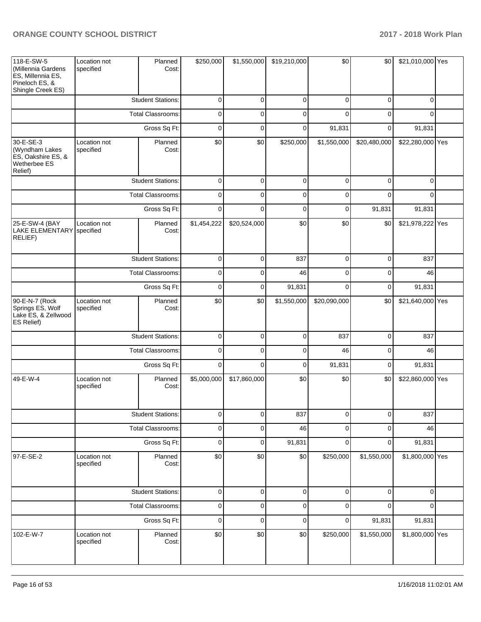| 118-E-SW-5<br>(Millennia Gardens<br>ES, Millennia ES,<br>Pineloch ES, &<br>Shingle Creek ES) | Location not<br>specified | Planned<br>Cost:         | \$250,000   | \$1,550,000  | \$19,210,000 | \$0          | \$0          | \$21,010,000 Yes |  |
|----------------------------------------------------------------------------------------------|---------------------------|--------------------------|-------------|--------------|--------------|--------------|--------------|------------------|--|
|                                                                                              |                           | <b>Student Stations:</b> | $\mathbf 0$ | $\mathbf 0$  | $\mathbf 0$  | $\mathbf 0$  | 0            | $\Omega$         |  |
|                                                                                              |                           | <b>Total Classrooms:</b> | 0           | $\mathbf 0$  | 0            | $\Omega$     | $\Omega$     | $\Omega$         |  |
|                                                                                              |                           | Gross Sq Ft:             | $\mathbf 0$ | $\mathbf 0$  | 0            | 91,831       | 0            | 91,831           |  |
| 30-E-SE-3<br>(Wyndham Lakes<br>ES, Oakshire ES, &<br>Wetherbee ES<br>Relief)                 | Location not<br>specified | Planned<br>Cost:         | \$0         | \$0          | \$250,000    | \$1,550,000  | \$20,480,000 | \$22,280,000 Yes |  |
|                                                                                              |                           | <b>Student Stations:</b> | 0           | $\mathbf 0$  | 0            | 0            | 0            | $\Omega$         |  |
|                                                                                              |                           | <b>Total Classrooms:</b> | 0           | $\mathbf 0$  | $\mathbf 0$  | 0            | $\Omega$     | 0                |  |
|                                                                                              | Gross Sq Ft:              |                          | 0           | $\mathbf 0$  | 0            | 0            | 91,831       | 91,831           |  |
| 25-E-SW-4 (BAY<br>LAKE ELEMENTARY specified<br>RELIEF)                                       | Location not              | Planned<br>Cost:         | \$1,454,222 | \$20,524,000 | \$0          | \$0          | \$0          | \$21,978,222 Yes |  |
|                                                                                              |                           | <b>Student Stations:</b> | $\pmb{0}$   | $\mathbf 0$  | 837          | $\mathbf 0$  | 0            | 837              |  |
|                                                                                              | <b>Total Classrooms:</b>  |                          | $\pmb{0}$   | $\mathbf 0$  | 46           | $\mathbf 0$  | 0            | 46               |  |
|                                                                                              | Gross Sq Ft:              |                          | $\mathbf 0$ | $\mathbf 0$  | 91,831       | $\Omega$     | 0            | 91,831           |  |
| 90-E-N-7 (Rock<br>Springs ES, Wolf<br>Lake ES, & Zellwood<br>ES Relief)                      | Location not<br>specified | Planned<br>Cost:         | \$0         | \$0          | \$1,550,000  | \$20,090,000 | \$0          | \$21,640,000 Yes |  |
|                                                                                              |                           | <b>Student Stations:</b> | 0           | $\mathbf 0$  | 0            | 837          | 0            | 837              |  |
|                                                                                              |                           | <b>Total Classrooms:</b> | 0           | 0            | 0            | 46           | 0            | 46               |  |
|                                                                                              |                           | Gross Sq Ft:             | 0           | $\mathbf 0$  | 0            | 91,831       | 0            | 91,831           |  |
| 49-E-W-4                                                                                     | Location not<br>specified | Planned<br>Cost:         | \$5,000,000 | \$17,860,000 | \$0          | \$0          | \$0          | \$22,860,000 Yes |  |
|                                                                                              |                           | <b>Student Stations:</b> | 0           | $\mathbf 0$  | 837          | 0            | 0            | 837              |  |
|                                                                                              |                           | <b>Total Classrooms:</b> | $\pmb{0}$   | 0            | 46           | $\mathbf 0$  | 0            | 46               |  |
|                                                                                              |                           | Gross Sq Ft:             | $\pmb{0}$   | 0            | 91,831       | $\mathbf 0$  | 0            | 91,831           |  |
| 97-E-SE-2                                                                                    | Location not<br>specified | Planned<br>Cost:         | \$0         | \$0          | \$0          | \$250,000    | \$1,550,000  | \$1,800,000 Yes  |  |
|                                                                                              |                           | <b>Student Stations:</b> | $\pmb{0}$   | 0            | $\pmb{0}$    | $\mathbf 0$  | 0            | 0                |  |
|                                                                                              |                           | Total Classrooms:        | 0           | 0            | 0            | $\mathbf 0$  | 0            | 0                |  |
|                                                                                              |                           | Gross Sq Ft:             | 0           | 0            | 0            | $\pmb{0}$    | 91,831       | 91,831           |  |
| 102-E-W-7                                                                                    | Location not<br>specified | Planned<br>Cost:         | \$0         | \$0          | \$0          | \$250,000    | \$1,550,000  | \$1,800,000 Yes  |  |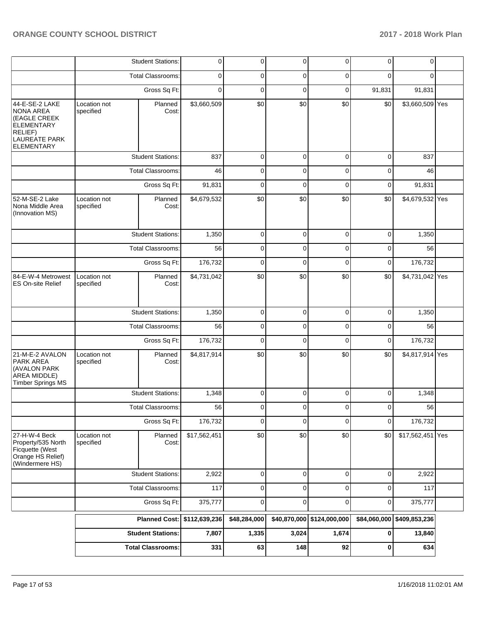|                                                                                                |                           | <b>Total Classrooms:</b>    | 331          | 63           | 148         | 92                         | 0            | 634             |     |
|------------------------------------------------------------------------------------------------|---------------------------|-----------------------------|--------------|--------------|-------------|----------------------------|--------------|-----------------|-----|
|                                                                                                |                           | <b>Student Stations:</b>    | 7,807        | 1,335        | 3,024       | 1,674                      | 0            | 13,840          |     |
|                                                                                                |                           | Planned Cost: \$112,639,236 |              | \$48,284,000 |             | \$40,870,000 \$124,000,000 | \$84,060,000 | \$409,853,236   |     |
|                                                                                                |                           | Gross Sq Ft:                | 375,777      | 0            | 0           | 0                          | 0            | 375,777         |     |
|                                                                                                |                           | <b>Total Classrooms:</b>    | 117          | 0            | 0           | $\mathbf 0$                | $\mathbf 0$  | 117             |     |
|                                                                                                |                           | <b>Student Stations:</b>    | 2,922        | 0            | $\mathbf 0$ | 0                          | $\mathbf 0$  | 2,922           |     |
| 27-H-W-4 Beck<br>Property/535 North<br>Ficquette (West<br>Orange HS Relief)<br>(Windermere HS) | Location not<br>specified | Planned<br>Cost:            | \$17,562,451 | \$0          | \$0         | \$0                        | \$0          | \$17,562,451    | Yes |
|                                                                                                |                           | Gross Sq Ft:                | 176,732      | 0            | 0           | 0                          | $\mathbf 0$  | 176,732         |     |
|                                                                                                |                           | Total Classrooms:           | 56           | $\Omega$     | $\Omega$    | $\Omega$                   | $\Omega$     | 56              |     |
|                                                                                                |                           | <b>Student Stations:</b>    | 1,348        | 0            | 0           | $\mathbf 0$                | $\mathbf 0$  | 1,348           |     |
| 21-M-E-2 AVALON<br>PARK AREA<br>(AVALON PARK<br>AREA MIDDLE)<br>Timber Springs MS              | Location not<br>specified | Planned<br>Cost:            | \$4,817,914  | \$0          | \$0         | \$0                        | \$0          | \$4,817,914 Yes |     |
|                                                                                                |                           | Gross Sq Ft:                | 176,732      | 0            | 0           | 0                          | 0            | 176,732         |     |
|                                                                                                |                           | <b>Total Classrooms:</b>    | 56           | 0            | 0           | 0                          | 0            | 56              |     |
|                                                                                                |                           | <b>Student Stations:</b>    | 1,350        | 0            | 0           | 0                          | 0            | 1,350           |     |
| 84-E-W-4 Metrowest<br><b>ES On-site Relief</b>                                                 | Location not<br>specified | Planned<br>Cost:            | \$4,731,042  | \$0          | \$0         | \$0                        | \$0          | \$4,731,042 Yes |     |
|                                                                                                |                           | Gross Sq Ft:                | 176,732      | $\mathbf 0$  | $\mathbf 0$ | 0                          | 0            | 176,732         |     |
|                                                                                                |                           | <b>Total Classrooms:</b>    | 56           | 0            | 0           | 0                          | 0            | 56              |     |
|                                                                                                |                           | <b>Student Stations:</b>    | 1,350        | 0            | 0           | $\mathbf 0$                | $\mathbf 0$  | 1,350           |     |
| 52-M-SE-2 Lake<br>Nona Middle Area<br>(Innovation MS)                                          | Location not<br>specified | Planned<br>Cost:            | \$4,679,532  | \$0          | \$0         | \$0                        | \$0          | \$4,679,532 Yes |     |
|                                                                                                |                           | Gross Sq Ft:                | 91,831       | 0            | 0           | 0                          | 0            | 91,831          |     |
|                                                                                                |                           | <b>Total Classrooms:</b>    | 46           | 0            | 0           | 0                          | 0            | 46              |     |
| RELIEF)<br><b>LAUREATE PARK</b><br><b>ELEMENTARY</b>                                           |                           | <b>Student Stations:</b>    | 837          | 0            | 0           | 0                          | 0            | 837             |     |
| 44-E-SE-2 LAKE<br><b>NONA AREA</b><br>(EAGLE CREEK<br><b>ELEMENTARY</b>                        | Location not<br>specified | Planned<br>Cost:            | \$3,660,509  | \$0          | \$0         | \$0                        | \$0          | \$3,660,509 Yes |     |
|                                                                                                |                           | Gross Sq Ft:                | $\Omega$     | 0            | 0           | 0                          | 91,831       | 91,831          |     |
|                                                                                                |                           | <b>Total Classrooms:</b>    | 0            | 0            | 0           | 0                          | $\Omega$     | $\Omega$        |     |
|                                                                                                |                           | <b>Student Stations:</b>    | 0            | 0            | 0           | 0                          | 0            | $\mathbf 0$     |     |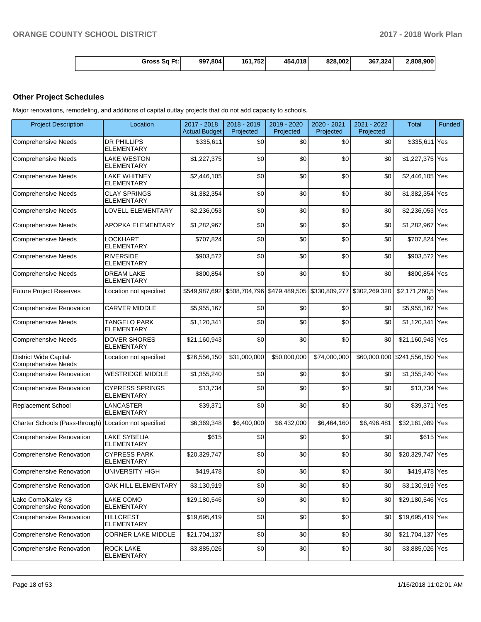| Gross Sq Ft: | 997,804 | .752<br>161 | 4,018<br>454 | 828,002 | 367.324 | 2.808.900 |
|--------------|---------|-------------|--------------|---------|---------|-----------|
|--------------|---------|-------------|--------------|---------|---------|-----------|

# **Other Project Schedules**

Major renovations, remodeling, and additions of capital outlay projects that do not add capacity to schools.

| <b>Project Description</b>                                  | Location                                    | 2017 - 2018<br><b>Actual Budget</b> | 2018 - 2019<br>Projected | 2019 - 2020<br>Projected                                              | 2020 - 2021<br>Projected | 2021 - 2022<br>Projected | <b>Total</b>                   | Funded |
|-------------------------------------------------------------|---------------------------------------------|-------------------------------------|--------------------------|-----------------------------------------------------------------------|--------------------------|--------------------------|--------------------------------|--------|
| <b>Comprehensive Needs</b>                                  | <b>DR PHILLIPS</b><br><b>ELEMENTARY</b>     | \$335,611                           | \$0                      | \$0                                                                   | \$0                      | \$0                      | \$335,611 Yes                  |        |
| <b>Comprehensive Needs</b>                                  | <b>LAKE WESTON</b><br>ELEMENTARY            | \$1,227,375                         | \$0                      | \$0                                                                   | \$0                      | \$0                      | \$1,227,375 Yes                |        |
| <b>Comprehensive Needs</b>                                  | <b>LAKE WHITNEY</b><br><b>ELEMENTARY</b>    | \$2,446,105                         | \$0                      | \$0                                                                   | \$0                      | \$0                      | \$2,446,105 Yes                |        |
| <b>Comprehensive Needs</b>                                  | <b>CLAY SPRINGS</b><br><b>ELEMENTARY</b>    | \$1,382,354                         | \$0                      | \$0                                                                   | \$0                      | \$0                      | \$1,382,354 Yes                |        |
| <b>Comprehensive Needs</b>                                  | LOVELL ELEMENTARY                           | \$2,236,053                         | \$0                      | \$0                                                                   | \$0                      | \$0                      | \$2,236,053 Yes                |        |
| <b>Comprehensive Needs</b>                                  | APOPKA ELEMENTARY                           | \$1,282,967                         | \$0                      | \$0                                                                   | \$0                      | \$0                      | \$1,282,967 Yes                |        |
| <b>Comprehensive Needs</b>                                  | LOCKHART<br>ELEMENTARY                      | \$707,824                           | \$0                      | \$0                                                                   | \$0                      | \$0                      | \$707,824 Yes                  |        |
| <b>Comprehensive Needs</b>                                  | <b>RIVERSIDE</b><br><b>ELEMENTARY</b>       | \$903,572                           | \$0                      | \$0                                                                   | \$0                      | \$0                      | \$903,572 Yes                  |        |
| <b>Comprehensive Needs</b>                                  | <b>DREAM LAKE</b><br><b>ELEMENTARY</b>      | \$800,854                           | \$0                      | \$0                                                                   | \$0                      | \$0                      | \$800,854 Yes                  |        |
| <b>Future Project Reserves</b>                              | Location not specified                      |                                     |                          | \$549,987,692 \$508,704,796 \$479,489,505 \$330,809,277 \$302,269,320 |                          |                          | \$2,171,260,5 Yes<br>90        |        |
| Comprehensive Renovation                                    | <b>CARVER MIDDLE</b>                        | \$5,955,167                         | \$0                      | \$0                                                                   | \$0                      | \$0                      | \$5,955,167 Yes                |        |
| <b>Comprehensive Needs</b>                                  | <b>TANGELO PARK</b><br><b>ELEMENTARY</b>    | \$1,120,341                         | \$0                      | \$0                                                                   | \$0                      | \$0                      | \$1,120,341                    | Yes    |
| <b>Comprehensive Needs</b>                                  | <b>DOVER SHORES</b><br><b>ELEMENTARY</b>    | \$21,160,943                        | \$0                      | \$0                                                                   | \$0                      | \$0                      | \$21,160,943 Yes               |        |
| <b>District Wide Capital-</b><br><b>Comprehensive Needs</b> | Location not specified                      | \$26,556,150                        | \$31,000,000             | \$50,000,000                                                          | \$74,000,000             |                          | \$60,000,000 \$241,556,150 Yes |        |
| Comprehensive Renovation                                    | <b>WESTRIDGE MIDDLE</b>                     | \$1,355,240                         | \$0                      | \$0                                                                   | \$0                      | \$0                      | \$1,355,240 Yes                |        |
| Comprehensive Renovation                                    | <b>CYPRESS SPRINGS</b><br><b>ELEMENTARY</b> | \$13,734                            | \$0                      | \$0                                                                   | \$0                      | \$0                      | \$13,734 Yes                   |        |
| Replacement School                                          | LANCASTER<br><b>ELEMENTARY</b>              | \$39,371                            | \$0                      | \$0                                                                   | \$0                      | \$0                      | \$39,371 Yes                   |        |
| Charter Schools (Pass-through) Location not specified       |                                             | \$6,369,348                         | \$6,400,000              | \$6,432,000                                                           | \$6,464,160              | \$6.496.481              | \$32,161,989 Yes               |        |
| <b>Comprehensive Renovation</b>                             | <b>LAKE SYBELIA</b><br><b>ELEMENTARY</b>    | \$615                               | \$0                      | \$0                                                                   | \$0                      | \$0                      | \$615 Yes                      |        |
| <b>Comprehensive Renovation</b>                             | <b>CYPRESS PARK</b><br><b>ELEMENTARY</b>    | \$20,329,747                        | \$0                      | \$0                                                                   | \$0                      | \$0                      | \$20,329,747 Yes               |        |
| Comprehensive Renovation                                    | <b>UNIVERSITY HIGH</b>                      | \$419,478                           | \$0                      | \$0                                                                   | \$0                      | \$0                      | \$419,478 Yes                  |        |
| <b>Comprehensive Renovation</b>                             | OAK HILL ELEMENTARY                         | \$3,130,919                         | \$0                      | \$0                                                                   | \$0                      | \$0                      | \$3,130,919 Yes                |        |
| Lake Como/Kaley K8<br>Comprehensive Renovation              | LAKE COMO<br><b>ELEMENTARY</b>              | \$29,180,546                        | \$0                      | \$0                                                                   | \$0                      | \$0                      | \$29,180,546 Yes               |        |
| Comprehensive Renovation                                    | <b>HILLCREST</b><br><b>ELEMENTARY</b>       | \$19,695,419                        | \$0                      | \$0                                                                   | \$0                      | \$0                      | \$19,695,419 Yes               |        |
| Comprehensive Renovation                                    | CORNER LAKE MIDDLE                          | \$21,704,137                        | \$0                      | \$0                                                                   | \$0                      | \$0                      | \$21,704,137 Yes               |        |
| Comprehensive Renovation                                    | <b>ROCK LAKE</b><br><b>ELEMENTARY</b>       | \$3,885,026                         | \$0                      | \$0                                                                   | \$0                      | \$0                      | \$3,885,026 Yes                |        |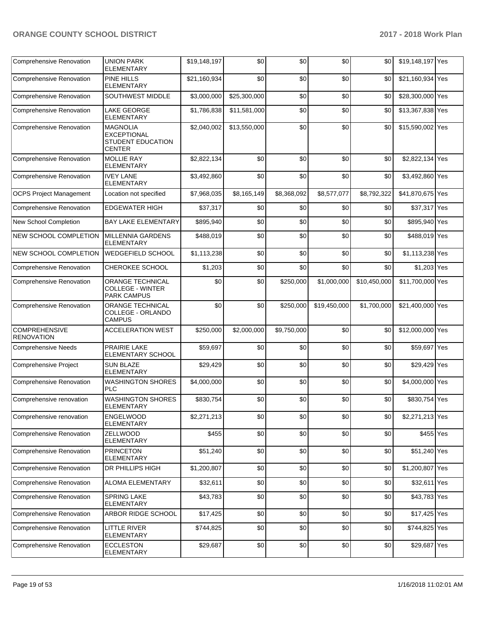| <b>Comprehensive Renovation</b>           | <b>UNION PARK</b><br>ELEMENTARY                                                    | \$19,148,197 | \$0          | \$0         | \$0          | \$0          | \$19,148,197 Yes |  |
|-------------------------------------------|------------------------------------------------------------------------------------|--------------|--------------|-------------|--------------|--------------|------------------|--|
| <b>Comprehensive Renovation</b>           | <b>PINE HILLS</b><br><b>ELEMENTARY</b>                                             | \$21,160,934 | \$0          | \$0         | \$0          | \$0          | \$21,160,934 Yes |  |
| Comprehensive Renovation                  | SOUTHWEST MIDDLE                                                                   | \$3,000,000  | \$25,300,000 | \$0         | \$0          | \$0          | \$28,300,000 Yes |  |
| <b>Comprehensive Renovation</b>           | <b>LAKE GEORGE</b><br>ELEMENTARY                                                   | \$1,786,838  | \$11,581,000 | \$0         | \$0          | \$0          | \$13,367,838 Yes |  |
| Comprehensive Renovation                  | <b>MAGNOLIA</b><br><b>EXCEPTIONAL</b><br><b>STUDENT EDUCATION</b><br><b>CENTER</b> | \$2,040,002  | \$13,550,000 | \$0         | \$0          | \$0          | \$15,590,002 Yes |  |
| <b>Comprehensive Renovation</b>           | <b>MOLLIE RAY</b><br><b>ELEMENTARY</b>                                             | \$2,822,134  | \$0          | \$0         | \$0          | \$0          | \$2,822,134 Yes  |  |
| Comprehensive Renovation                  | <b>IVEY LANE</b><br><b>ELEMENTARY</b>                                              | \$3,492,860  | \$0          | \$0         | \$0          | \$0          | \$3,492,860 Yes  |  |
| <b>OCPS Project Management</b>            | Location not specified                                                             | \$7,968,035  | \$8,165,149  | \$8,368,092 | \$8,577,077  | \$8,792,322  | \$41,870,675 Yes |  |
| <b>Comprehensive Renovation</b>           | <b>EDGEWATER HIGH</b>                                                              | \$37,317     | \$0          | \$0         | \$0          | \$0          | \$37,317 Yes     |  |
| New School Completion                     | <b>BAY LAKE ELEMENTARY</b>                                                         | \$895,940    | \$0          | \$0         | \$0          | \$0          | \$895,940 Yes    |  |
| NEW SCHOOL COMPLETION                     | <b>MILLENNIA GARDENS</b><br><b>ELEMENTARY</b>                                      | \$488,019    | \$0          | \$0         | \$0          | \$0          | \$488,019 Yes    |  |
| NEW SCHOOL COMPLETION                     | <b>WEDGEFIELD SCHOOL</b>                                                           | \$1,113,238  | \$0          | \$0         | \$0          | \$0          | \$1,113,238 Yes  |  |
| <b>Comprehensive Renovation</b>           | CHEROKEE SCHOOL                                                                    | \$1,203      | \$0          | \$0         | \$0          | \$0          | \$1,203 Yes      |  |
| <b>Comprehensive Renovation</b>           | ORANGE TECHNICAL<br><b>COLLEGE - WINTER</b><br><b>PARK CAMPUS</b>                  | \$0          | \$0          | \$250,000   | \$1,000,000  | \$10,450,000 | \$11,700,000 Yes |  |
| Comprehensive Renovation                  | ORANGE TECHNICAL<br>COLLEGE - ORLANDO<br><b>CAMPUS</b>                             | \$0          | \$0          | \$250,000   | \$19,450,000 | \$1,700,000  | \$21,400,000 Yes |  |
| <b>COMPREHENSIVE</b><br><b>RENOVATION</b> | <b>ACCELERATION WEST</b>                                                           | \$250,000    | \$2,000,000  | \$9,750,000 | \$0          | \$0          | \$12,000,000 Yes |  |
| <b>Comprehensive Needs</b>                | PRAIRIE LAKE<br>ELEMENTARY SCHOOL                                                  | \$59,697     | \$0          | \$0         | \$0          | \$0          | \$59,697 Yes     |  |
| <b>Comprehensive Project</b>              | <b>SUN BLAZE</b><br><b>ELEMENTARY</b>                                              | \$29,429     | \$0          | \$0         | \$0          | \$0          | \$29,429 Yes     |  |
| <b>Comprehensive Renovation</b>           | <b>WASHINGTON SHORES</b><br><b>PLC</b>                                             | \$4,000,000  | \$0          | \$0         | \$0          | \$0          | \$4,000,000 Yes  |  |
| Comprehensive renovation                  | <b>WASHINGTON SHORES</b><br>ELEMENTARY                                             | \$830,754    | \$0          | \$0         | \$0          | \$0          | \$830,754 Yes    |  |
| Comprehensive renovation                  | <b>ENGELWOOD</b><br>ELEMENTARY                                                     | \$2,271,213  | \$0          | \$0         | \$0          | \$0          | \$2,271,213 Yes  |  |
| Comprehensive Renovation                  | <b>ZELLWOOD</b><br><b>ELEMENTARY</b>                                               | \$455        | \$0          | \$0         | \$0          | \$0          | \$455 Yes        |  |
| Comprehensive Renovation                  | <b>PRINCETON</b><br><b>ELEMENTARY</b>                                              | \$51,240     | \$0          | \$0         | \$0          | \$0          | \$51,240 Yes     |  |
| Comprehensive Renovation                  | DR PHILLIPS HIGH                                                                   | \$1,200,807  | \$0          | \$0         | \$0          | \$0          | \$1,200,807 Yes  |  |
| Comprehensive Renovation                  | <b>ALOMA ELEMENTARY</b>                                                            | \$32,611     | \$0          | \$0         | \$0          | \$0          | \$32,611 Yes     |  |
| Comprehensive Renovation                  | SPRING LAKE<br>ELEMENTARY                                                          | \$43,783     | \$0          | \$0         | \$0          | \$0          | \$43,783 Yes     |  |
| Comprehensive Renovation                  | ARBOR RIDGE SCHOOL                                                                 | \$17,425     | \$0          | \$0         | \$0          | \$0          | \$17,425 Yes     |  |
| Comprehensive Renovation                  | <b>LITTLE RIVER</b><br><b>ELEMENTARY</b>                                           | \$744,825    | \$0          | \$0         | \$0          | \$0          | \$744,825 Yes    |  |
| Comprehensive Renovation                  | <b>ECCLESTON</b><br>ELEMENTARY                                                     | \$29,687     | \$0          | \$0         | \$0          | \$0          | \$29,687 Yes     |  |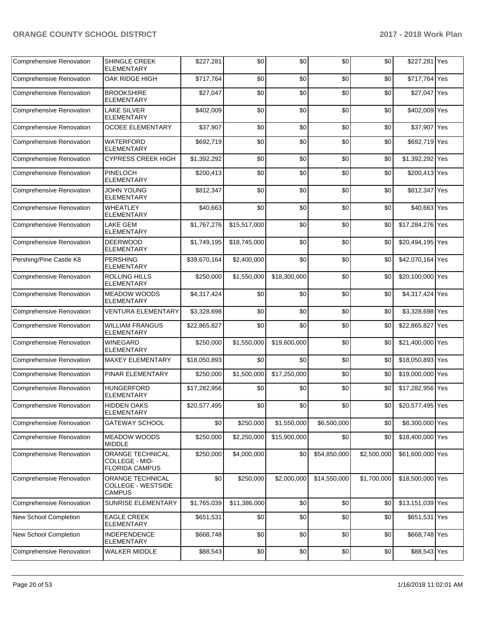| <b>Comprehensive Renovation</b> | SHINGLE CREEK<br><b>ELEMENTARY</b>                             | \$227,281    | \$0              | \$0          | \$0              | \$0         | \$227,281 Yes    |  |
|---------------------------------|----------------------------------------------------------------|--------------|------------------|--------------|------------------|-------------|------------------|--|
| Comprehensive Renovation        | OAK RIDGE HIGH                                                 | \$717,764    | \$0              | \$0          | \$0              | \$0         | \$717,764 Yes    |  |
| <b>Comprehensive Renovation</b> | <b>BROOKSHIRE</b><br><b>ELEMENTARY</b>                         | \$27,047     | \$0              | \$0          | \$0              | \$0         | \$27,047 Yes     |  |
| <b>Comprehensive Renovation</b> | <b>LAKE SILVER</b><br><b>ELEMENTARY</b>                        | \$402,009    | \$0              | \$0          | \$0              | \$0         | \$402,009 Yes    |  |
| Comprehensive Renovation        | <b>OCOEE ELEMENTARY</b>                                        | \$37,907     | \$0              | \$0          | \$0              | \$0         | \$37,907 Yes     |  |
| <b>Comprehensive Renovation</b> | <b>WATERFORD</b><br><b>ELEMENTARY</b>                          | \$692,719    | \$0              | \$0          | \$0              | \$0         | \$692,719 Yes    |  |
| Comprehensive Renovation        | <b>CYPRESS CREEK HIGH</b>                                      | \$1,392,292  | \$0              | \$0          | \$0              | \$0         | \$1,392,292 Yes  |  |
| <b>Comprehensive Renovation</b> | <b>PINELOCH</b><br><b>ELEMENTARY</b>                           | \$200,413    | \$0              | \$0          | \$0              | \$0         | \$200,413 Yes    |  |
| <b>Comprehensive Renovation</b> | <b>JOHN YOUNG</b><br><b>ELEMENTARY</b>                         | \$812,347    | \$0              | \$0          | \$0              | \$0         | \$812,347 Yes    |  |
| <b>Comprehensive Renovation</b> | <b>WHEATLEY</b><br><b>ELEMENTARY</b>                           | \$40,663     | \$0              | \$0          | \$0              | \$0         | \$40,663 Yes     |  |
| <b>Comprehensive Renovation</b> | <b>LAKE GEM</b><br><b>ELEMENTARY</b>                           | \$1,767,276  | \$15,517,000     | \$0          | \$0              | \$0         | \$17,284,276 Yes |  |
| <b>Comprehensive Renovation</b> | <b>DEERWOOD</b><br>ELEMENTARY                                  | \$1,749,195  | \$18,745,000     | \$0          | \$0              | \$0         | \$20,494,195 Yes |  |
| Pershing/Pine Castle K8         | <b>PERSHING</b><br>ELEMENTARY                                  | \$39,670,164 | \$2,400,000      | \$0          | \$0              | \$0         | \$42,070,164 Yes |  |
| Comprehensive Renovation        | <b>ROLLING HILLS</b><br><b>ELEMENTARY</b>                      | \$250,000    | \$1,550,000      | \$18,300,000 | \$0              | \$0         | \$20,100,000 Yes |  |
| <b>Comprehensive Renovation</b> | <b>MEADOW WOODS</b><br><b>ELEMENTARY</b>                       | \$4,317,424  | \$0              | \$0          | \$0              | \$0         | \$4,317,424 Yes  |  |
| <b>Comprehensive Renovation</b> | <b>VENTURA ELEMENTARY</b>                                      | \$3,328,698  | \$0              | \$0          | \$0              | \$0         | \$3,328,698 Yes  |  |
| Comprehensive Renovation        | <b>WILLIAM FRANGUS</b><br><b>ELEMENTARY</b>                    | \$22,865,827 | \$0              | \$0          | \$0              | \$0         | \$22,865,827 Yes |  |
| Comprehensive Renovation        | <b>WINEGARD</b><br><b>ELEMENTARY</b>                           | \$250,000    | \$1,550,000      | \$19,600,000 | \$0              | \$0         | \$21,400,000 Yes |  |
| <b>Comprehensive Renovation</b> | <b>MAXEY ELEMENTARY</b>                                        | \$18,050,893 | \$0              | \$0          | \$0              | \$0         | \$18,050,893 Yes |  |
| <b>Comprehensive Renovation</b> | PINAR ELEMENTARY                                               | \$250,000    | \$1,500,000      | \$17,250,000 | \$0              | \$0         | \$19,000,000 Yes |  |
| <b>Comprehensive Renovation</b> | <b>HUNGERFORD</b><br><b>ELEMENTARY</b>                         | \$17,282,956 | \$0              | \$0          | \$0              | \$0         | \$17,282,956 Yes |  |
| Comprehensive Renovation        | <b>HIDDEN OAKS</b><br><b>ELEMENTARY</b>                        | \$20,577,495 | \$0 <sub>1</sub> | \$0          | \$0 <sub>1</sub> | \$0         | \$20,577,495 Yes |  |
| Comprehensive Renovation        | <b>GATEWAY SCHOOL</b>                                          | \$0          | \$250,000        | \$1,550,000  | \$6,500,000      | \$0         | \$8,300,000 Yes  |  |
| <b>Comprehensive Renovation</b> | <b>MEADOW WOODS</b><br><b>MIDDLE</b>                           | \$250,000    | \$2,250,000      | \$15,900,000 | \$0              | \$0         | \$18,400,000 Yes |  |
| <b>Comprehensive Renovation</b> | ORANGE TECHNICAL<br>COLLEGE - MID-<br><b>FLORIDA CAMPUS</b>    | \$250,000    | \$4,000,000      | \$0          | \$54,850,000     | \$2,500,000 | \$61,600,000 Yes |  |
| Comprehensive Renovation        | <b>ORANGE TECHNICAL</b><br>COLLEGE - WESTSIDE<br><b>CAMPUS</b> | \$0          | \$250,000        | \$2,000,000  | \$14,550,000     | \$1,700,000 | \$18,500,000 Yes |  |
| <b>Comprehensive Renovation</b> | SUNRISE ELEMENTARY                                             | \$1,765,039  | \$11,386,000     | \$0          | \$0              | \$0         | \$13,151,039 Yes |  |
| New School Completion           | <b>EAGLE CREEK</b><br><b>ELEMENTARY</b>                        | \$651,531    | \$0              | \$0          | \$0              | \$0         | \$651,531 Yes    |  |
| New School Completion           | <b>INDEPENDENCE</b><br><b>ELEMENTARY</b>                       | \$668,748    | \$0              | \$0          | \$0              | \$0         | \$668,748 Yes    |  |
| <b>Comprehensive Renovation</b> | <b>WALKER MIDDLE</b>                                           | \$88,543     | \$0              | \$0          | \$0              | \$0         | \$88,543 Yes     |  |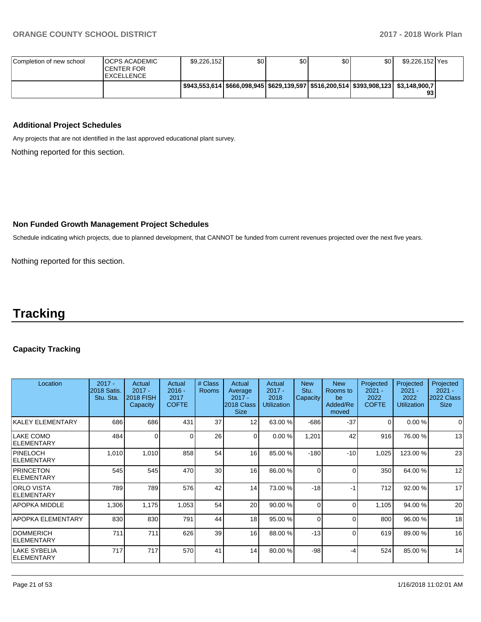| Completion of new school | <b>OCPS ACADEMIC</b><br><b>CENTER FOR</b><br><b>EXCELLENCE</b> | \$9,226,152                                                                                 | \$0 | \$0 | \$0 | \$0 | \$9.226.152 Yes |  |
|--------------------------|----------------------------------------------------------------|---------------------------------------------------------------------------------------------|-----|-----|-----|-----|-----------------|--|
|                          |                                                                | l \$943.553.614  \$666.098.945  \$629.139.597  \$516.200.514  \$393.908.123   \$3.148.900.7 |     |     |     |     | 93              |  |

### **Additional Project Schedules**

Any projects that are not identified in the last approved educational plant survey.

Nothing reported for this section.

#### **Non Funded Growth Management Project Schedules**

Schedule indicating which projects, due to planned development, that CANNOT be funded from current revenues projected over the next five years.

Nothing reported for this section.

# **Tracking**

#### **Capacity Tracking**

| Location                               | $2017 -$<br>2018 Satis.<br>Stu. Sta. | Actual<br>$2017 -$<br><b>2018 FISH</b><br>Capacity | Actual<br>$2016 -$<br>2017<br><b>COFTE</b> | # Class<br><b>Rooms</b> | Actual<br>Average<br>$2017 -$<br>2018 Class<br><b>Size</b> | Actual<br>$2017 -$<br>2018<br><b>Utilization</b> | <b>New</b><br>Stu.<br>Capacity | <b>New</b><br>Rooms to<br>be<br>Added/Re<br>moved | Projected<br>$2021 -$<br>2022<br><b>COFTE</b> | Projected<br>$2021 -$<br>2022<br><b>Utilization</b> | Projected<br>$2021 -$<br>2022 Class<br><b>Size</b> |
|----------------------------------------|--------------------------------------|----------------------------------------------------|--------------------------------------------|-------------------------|------------------------------------------------------------|--------------------------------------------------|--------------------------------|---------------------------------------------------|-----------------------------------------------|-----------------------------------------------------|----------------------------------------------------|
| <b>KALEY ELEMENTARY</b>                | 686                                  | 686                                                | 431                                        | 37                      | 12                                                         | 63.00 %                                          | $-686$                         | $-37$                                             | $\Omega$                                      | 0.00%                                               | $\Omega$                                           |
| LAKE COMO<br><b>IELEMENTARY</b>        | 484                                  | $\Omega$                                           | 0                                          | 26                      | $\overline{0}$                                             | 0.00%                                            | 1,201                          | 42                                                | 916                                           | 76.00 %                                             | 13                                                 |
| PINELOCH<br><b>IELEMENTARY</b>         | 1,010                                | 1,010                                              | 858                                        | 54                      | 16 <sup>1</sup>                                            | 85.00 %                                          | $-180$                         | $-10$                                             | 1,025                                         | 123.00 %                                            | 23                                                 |
| <b>PRINCETON</b><br>ELEMENTARY         | 545                                  | 545                                                | 470                                        | 30                      | 16                                                         | 86.00 %                                          | 0                              | $\Omega$                                          | 350                                           | 64.00 %                                             | 12                                                 |
| <b>ORLO VISTA</b><br>ELEMENTARY        | 789                                  | 789                                                | 576                                        | 42                      | 14 <sub>1</sub>                                            | 73.00 %                                          | $-18$                          | $-1$                                              | 712                                           | 92.00 %                                             | 17                                                 |
| APOPKA MIDDLE                          | 1,306                                | 1,175                                              | 1,053                                      | 54                      | 20                                                         | 90.00 %                                          | $\Omega$                       | $\Omega$                                          | 1,105                                         | 94.00 %                                             | 20                                                 |
| APOPKA ELEMENTARY                      | 830                                  | 830                                                | 791                                        | 44                      | 18 <sup>1</sup>                                            | 95.00 %                                          | 0                              | $\Omega$                                          | 800                                           | 96.00 %                                             | 18                                                 |
| <b>DOMMERICH</b><br><b>IELEMENTARY</b> | 711                                  | 711                                                | 626                                        | 39                      | 16                                                         | 88.00 %                                          | $-13$                          | 0                                                 | 619                                           | 89.00 %                                             | 16                                                 |
| LAKE SYBELIA<br><b>ELEMENTARY</b>      | 717                                  | 717                                                | 570                                        | 41                      | 14                                                         | 80.00 %                                          | -98                            | -4                                                | 524                                           | 85.00 %                                             | 14                                                 |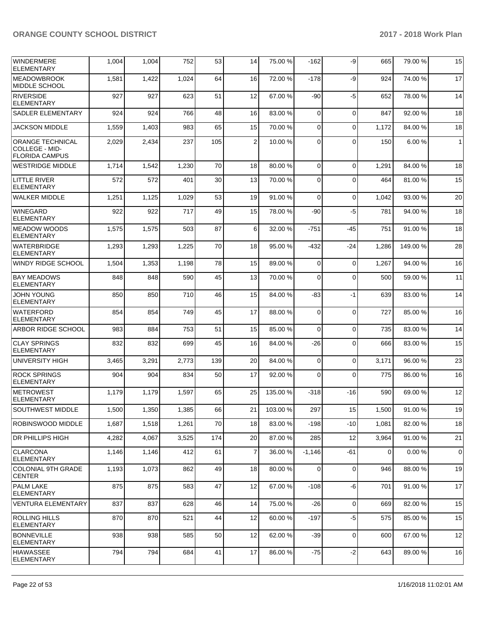| WINDERMERE<br><b>ELEMENTARY</b>                                    | 1,004 | 1,004 | 752   | 53  | 14             | 75.00 %  | $-162$         | -9          | 665         | 79.00 %  | 15             |
|--------------------------------------------------------------------|-------|-------|-------|-----|----------------|----------|----------------|-------------|-------------|----------|----------------|
| <b>IMEADOWBROOK</b><br>MIDDLE SCHOOL                               | 1,581 | 1,422 | 1,024 | 64  | 16             | 72.00%   | $-178$         | -9          | 924         | 74.00 %  | 17             |
| RIVERSIDE<br><b>ELEMENTARY</b>                                     | 927   | 927   | 623   | 51  | 12             | 67.00%   | $-90$          | -5          | 652         | 78.00 %  | 14             |
| <b>SADLER ELEMENTARY</b>                                           | 924   | 924   | 766   | 48  | 16             | 83.00 %  | $\Omega$       | 0           | 847         | 92.00 %  | 18             |
| JACKSON MIDDLE                                                     | 1,559 | 1,403 | 983   | 65  | 15             | 70.00 %  | $\Omega$       | $\Omega$    | 1,172       | 84.00%   | 18             |
| <b>ORANGE TECHNICAL</b><br>COLLEGE - MID-<br><b>FLORIDA CAMPUS</b> | 2,029 | 2,434 | 237   | 105 | $\overline{2}$ | 10.00 %  | $\Omega$       | $\Omega$    | 150         | 6.00 %   | 1              |
| <b>WESTRIDGE MIDDLE</b>                                            | 1,714 | 1,542 | 1,230 | 70  | 18             | 80.00 %  | $\Omega$       | $\Omega$    | 1,291       | 84.00 %  | 18             |
| <b>LITTLE RIVER</b><br><b>ELEMENTARY</b>                           | 572   | 572   | 401   | 30  | 13             | 70.00%   | $\Omega$       | $\Omega$    | 464         | 81.00 %  | 15             |
| WALKER MIDDLE                                                      | 1,251 | 1,125 | 1,029 | 53  | 19             | 91.00%   | $\Omega$       | $\mathbf 0$ | 1,042       | 93.00 %  | 20             |
| <b>WINEGARD</b><br>ELEMENTARY                                      | 922   | 922   | 717   | 49  | 15             | 78.00 %  | -90            | $-5$        | 781         | 94.00 %  | 18             |
| <b>MEADOW WOODS</b><br><b>ELEMENTARY</b>                           | 1,575 | 1,575 | 503   | 87  | 6              | 32.00 %  | $-751$         | $-45$       | 751         | 91.00%   | 18             |
| <b>WATERBRIDGE</b><br><b>ELEMENTARY</b>                            | 1,293 | 1,293 | 1,225 | 70  | 18             | 95.00 %  | $-432$         | -24         | 1,286       | 149.00 % | 28             |
| WINDY RIDGE SCHOOL                                                 | 1,504 | 1,353 | 1,198 | 78  | 15             | 89.00 %  | $\overline{0}$ | 0           | 1,267       | 94.00 %  | 16             |
| <b>BAY MEADOWS</b><br>ELEMENTARY                                   | 848   | 848   | 590   | 45  | 13             | 70.00 %  | $\Omega$       | 0           | 500         | 59.00 %  | 11             |
| <b>JOHN YOUNG</b><br><b>ELEMENTARY</b>                             | 850   | 850   | 710   | 46  | 15             | 84.00 %  | -83            | -1          | 639         | 83.00 %  | 14             |
| <b>WATERFORD</b><br><b>ELEMENTARY</b>                              | 854   | 854   | 749   | 45  | 17             | 88.00 %  | $\Omega$       | $\Omega$    | 727         | 85.00 %  | 16             |
| <b>ARBOR RIDGE SCHOOL</b>                                          | 983   | 884   | 753   | 51  | 15             | 85.00 %  | $\Omega$       | 0           | 735         | 83.00 %  | 14             |
| <b>CLAY SPRINGS</b><br>ELEMENTARY                                  | 832   | 832   | 699   | 45  | 16             | 84.00 %  | $-26$          | 0           | 666         | 83.00 %  | 15             |
| UNIVERSITY HIGH                                                    | 3,465 | 3,291 | 2,773 | 139 | 20             | 84.00 %  | $\Omega$       | 0           | 3,171       | 96.00 %  | 23             |
| <b>ROCK SPRINGS</b><br><b>ELEMENTARY</b>                           | 904   | 904   | 834   | 50  | 17             | 92.00 %  | $\Omega$       | $\Omega$    | 775         | 86.00 %  | 16             |
| <b>METROWEST</b><br><b>ELEMENTARY</b>                              | 1,179 | 1,179 | 1,597 | 65  | 25             | 135.00 % | $-318$         | $-16$       | 590         | 69.00 %  | 12             |
| SOUTHWEST MIDDLE                                                   | 1,500 | 1,350 | 1,385 | 66  | 21             | 103.00%  | 297            | 15          | 1,500       | 91.00%   | 19             |
| ROBINSWOOD MIDDLE                                                  | 1,687 | 1,518 | 1,261 | 70  | 18             | 83.00 %  | $-198$         | $-10$       | 1,081       | 82.00 %  | 18             |
| <b>DR PHILLIPS HIGH</b>                                            | 4,282 | 4,067 | 3,525 | 174 | 20             | 87.00 %  | 285            | 12          | 3,964       | 91.00 %  | 21             |
| <b>CLARCONA</b><br> ELEMENTARY                                     | 1,146 | 1,146 | 412   | 61  | $\overline{7}$ | 36.00 %  | $-1,146$       | -61         | $\mathbf 0$ | 0.00%    | $\overline{0}$ |
| COLONIAL 9TH GRADE<br><b>CENTER</b>                                | 1,193 | 1,073 | 862   | 49  | 18             | 80.00 %  | $\Omega$       | 0           | 946         | 88.00 %  | 19             |
| <b>PALM LAKE</b><br><b>ELEMENTARY</b>                              | 875   | 875   | 583   | 47  | 12             | 67.00 %  | $-108$         | -6          | 701         | 91.00 %  | 17             |
| <b>VENTURA ELEMENTARY</b>                                          | 837   | 837   | 628   | 46  | 14             | 75.00 %  | $-26$          | $\mathbf 0$ | 669         | 82.00 %  | 15             |
| <b>ROLLING HILLS</b><br><b>ELEMENTARY</b>                          | 870   | 870   | 521   | 44  | 12             | 60.00 %  | $-197$         | $-5$        | 575         | 85.00 %  | 15             |
| <b>BONNEVILLE</b><br>ELEMENTARY                                    | 938   | 938   | 585   | 50  | 12             | 62.00 %  | $-39$          | 0           | 600         | 67.00 %  | 12             |
| <b>HIAWASSEE</b><br>ELEMENTARY                                     | 794   | 794   | 684   | 41  | 17             | 86.00 %  | $-75$          | $-2$        | 643         | 89.00 %  | 16             |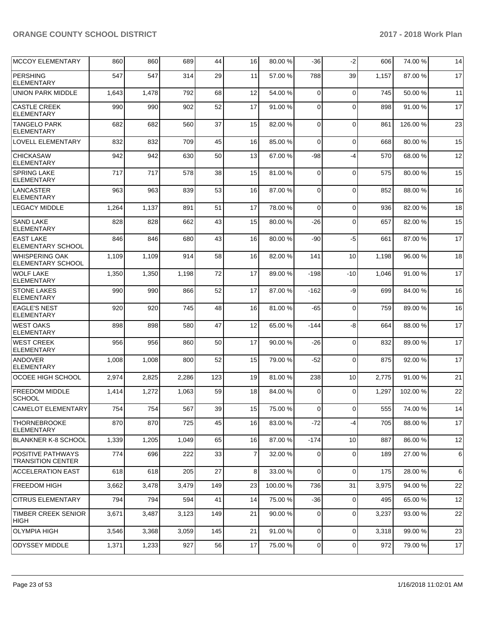| <b>MCCOY ELEMENTARY</b>                              | 860   | 860   | 689   | 44  | 16 | 80.00 % | -36            | $-2$           | 606   | 74.00 % | 14 |
|------------------------------------------------------|-------|-------|-------|-----|----|---------|----------------|----------------|-------|---------|----|
| <b>PERSHING</b><br><b>ELEMENTARY</b>                 | 547   | 547   | 314   | 29  | 11 | 57.00 % | 788            | 39             | 1,157 | 87.00 % | 17 |
| <b>UNION PARK MIDDLE</b>                             | 1,643 | 1,478 | 792   | 68  | 12 | 54.00 % | $\mathbf 0$    | $\mathbf 0$    | 745   | 50.00 % | 11 |
| <b>CASTLE CREEK</b><br><b>ELEMENTARY</b>             | 990   | 990   | 902   | 52  | 17 | 91.00 % | 0              | $\Omega$       | 898   | 91.00 % | 17 |
| <b>TANGELO PARK</b><br>ELEMENTARY                    | 682   | 682   | 560   | 37  | 15 | 82.00 % | 0              | $\Omega$       | 861   | 126.00% | 23 |
| LOVELL ELEMENTARY                                    | 832   | 832   | 709   | 45  | 16 | 85.00 % | $\Omega$       | $\mathbf 0$    | 668   | 80.00%  | 15 |
| <b>CHICKASAW</b><br><b>ELEMENTARY</b>                | 942   | 942   | 630   | 50  | 13 | 67.00 % | -98            | $-4$           | 570   | 68.00 % | 12 |
| <b>SPRING LAKE</b><br><b>ELEMENTARY</b>              | 717   | 717   | 578   | 38  | 15 | 81.00%  | $\mathbf 0$    | $\mathbf 0$    | 575   | 80.00 % | 15 |
| <b>LANCASTER</b><br><b>ELEMENTARY</b>                | 963   | 963   | 839   | 53  | 16 | 87.00 % | 0              | $\Omega$       | 852   | 88.00 % | 16 |
| <b>LEGACY MIDDLE</b>                                 | 1,264 | 1,137 | 891   | 51  | 17 | 78.00 % | $\Omega$       | $\Omega$       | 936   | 82.00%  | 18 |
| <b>SAND LAKE</b><br><b>ELEMENTARY</b>                | 828   | 828   | 662   | 43  | 15 | 80.00 % | -26            | $\Omega$       | 657   | 82.00 % | 15 |
| <b>EAST LAKE</b><br><b>ELEMENTARY SCHOOL</b>         | 846   | 846   | 680   | 43  | 16 | 80.00 % | -90            | $-5$           | 661   | 87.00 % | 17 |
| <b>WHISPERING OAK</b><br>ELEMENTARY SCHOOL           | 1,109 | 1,109 | 914   | 58  | 16 | 82.00 % | 141            | 10             | 1,198 | 96.00 % | 18 |
| <b>WOLF LAKE</b><br><b>ELEMENTARY</b>                | 1,350 | 1,350 | 1,198 | 72  | 17 | 89.00 % | $-198$         | $-10$          | 1,046 | 91.00 % | 17 |
| <b>STONE LAKES</b><br><b>ELEMENTARY</b>              | 990   | 990   | 866   | 52  | 17 | 87.00 % | $-162$         | -9             | 699   | 84.00 % | 16 |
| <b>EAGLE'S NEST</b><br><b>ELEMENTARY</b>             | 920   | 920   | 745   | 48  | 16 | 81.00%  | $-65$          | $\mathbf 0$    | 759   | 89.00 % | 16 |
| <b>WEST OAKS</b><br><b>ELEMENTARY</b>                | 898   | 898   | 580   | 47  | 12 | 65.00 % | $-144$         | -8             | 664   | 88.00 % | 17 |
| <b>WEST CREEK</b><br><b>ELEMENTARY</b>               | 956   | 956   | 860   | 50  | 17 | 90.00 % | -26            | $\mathbf 0$    | 832   | 89.00 % | 17 |
| <b>ANDOVER</b><br><b>ELEMENTARY</b>                  | 1,008 | 1,008 | 800   | 52  | 15 | 79.00 % | $-52$          | $\Omega$       | 875   | 92.00 % | 17 |
| OCOEE HIGH SCHOOL                                    | 2,974 | 2,825 | 2,286 | 123 | 19 | 81.00 % | 238            | 10             | 2,775 | 91.00 % | 21 |
| <b>FREEDOM MIDDLE</b><br><b>SCHOOL</b>               | 1,414 | 1,272 | 1,063 | 59  | 18 | 84.00 % | $\Omega$       | $\Omega$       | 1,297 | 102.00% | 22 |
| CAMELOT ELEMENTARY                                   | 754   | 754   | 567   | 39  | 15 | 75.00 % | 0              | $\overline{0}$ | 555   | 74.00 % | 14 |
| <b>THORNEBROOKE</b><br><b>ELEMENTARY</b>             | 870   | 870   | 725   | 45  | 16 | 83.00 % | $-72$          | $-4$           | 705   | 88.00 % | 17 |
| <b>BLANKNER K-8 SCHOOL</b>                           | 1,339 | 1,205 | 1,049 | 65  | 16 | 87.00 % | $-174$         | 10             | 887   | 86.00 % | 12 |
| <b>POSITIVE PATHWAYS</b><br><b>TRANSITION CENTER</b> | 774   | 696   | 222   | 33  | 7  | 32.00 % | 0              | $\mathbf 0$    | 189   | 27.00 % | 6  |
| <b>ACCELERATION EAST</b>                             | 618   | 618   | 205   | 27  | 8  | 33.00 % | $\overline{0}$ | $\Omega$       | 175   | 28.00 % | 6  |
| FREEDOM HIGH                                         | 3,662 | 3,478 | 3,479 | 149 | 23 | 100.00% | 736            | 31             | 3,975 | 94.00 % | 22 |
| <b>CITRUS ELEMENTARY</b>                             | 794   | 794   | 594   | 41  | 14 | 75.00 % | $-36$          | $\mathbf 0$    | 495   | 65.00 % | 12 |
| <b>TIMBER CREEK SENIOR</b><br><b>HIGH</b>            | 3,671 | 3,487 | 3,123 | 149 | 21 | 90.00 % | 0              | 0              | 3,237 | 93.00 % | 22 |
| <b>OLYMPIA HIGH</b>                                  | 3,546 | 3,368 | 3,059 | 145 | 21 | 91.00%  | 0              | $\mathbf 0$    | 3,318 | 99.00 % | 23 |
| <b>ODYSSEY MIDDLE</b>                                | 1,371 | 1,233 | 927   | 56  | 17 | 75.00 % | 0              | $\mathbf 0$    | 972   | 79.00 % | 17 |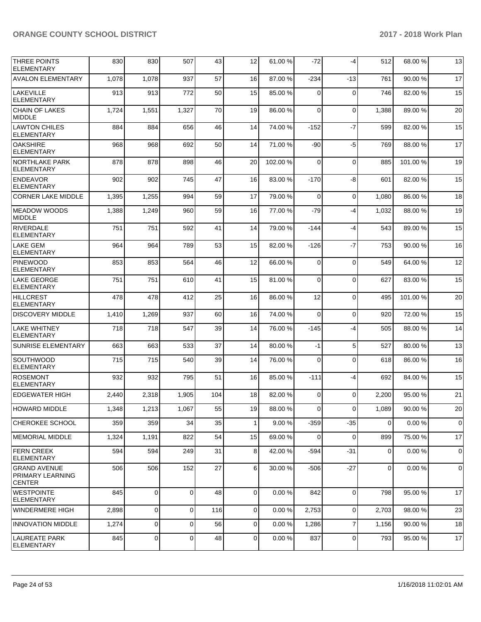| THREE POINTS<br><b>ELEMENTARY</b>                               | 830   | 830            | 507         | 43  | 12             | 61.00 % | -72      | $-4$           | 512   | 68.00 % | 13          |
|-----------------------------------------------------------------|-------|----------------|-------------|-----|----------------|---------|----------|----------------|-------|---------|-------------|
| <b>AVALON ELEMENTARY</b>                                        | 1,078 | 1,078          | 937         | 57  | 16             | 87.00 % | $-234$   | $-13$          | 761   | 90.00%  | 17          |
| LAKEVILLE<br><b>ELEMENTARY</b>                                  | 913   | 913            | 772         | 50  | 15             | 85.00 % | 0        | $\mathbf 0$    | 746   | 82.00 % | 15          |
| <b>CHAIN OF LAKES</b><br><b>MIDDLE</b>                          | 1,724 | 1,551          | 1,327       | 70  | 19             | 86.00 % | 0        | $\mathbf 0$    | 1,388 | 89.00 % | 20          |
| <b>LAWTON CHILES</b><br><b>ELEMENTARY</b>                       | 884   | 884            | 656         | 46  | 14             | 74.00 % | $-152$   | $-7$           | 599   | 82.00 % | 15          |
| <b>OAKSHIRE</b><br><b>ELEMENTARY</b>                            | 968   | 968            | 692         | 50  | 14             | 71.00 % | -90      | $-5$           | 769   | 88.00 % | 17          |
| <b>NORTHLAKE PARK</b><br><b>ELEMENTARY</b>                      | 878   | 878            | 898         | 46  | 20             | 102.00% | 0        | $\mathbf 0$    | 885   | 101.00% | 19          |
| <b>ENDEAVOR</b><br><b>ELEMENTARY</b>                            | 902   | 902            | 745         | 47  | 16             | 83.00 % | $-170$   | -8             | 601   | 82.00%  | 15          |
| <b>CORNER LAKE MIDDLE</b>                                       | 1,395 | 1,255          | 994         | 59  | 17             | 79.00 % | 0        | $\mathbf 0$    | 1,080 | 86.00 % | 18          |
| MEADOW WOODS<br>MIDDLE                                          | 1,388 | 1,249          | 960         | 59  | 16             | 77.00 % | $-79$    | $-4$           | 1,032 | 88.00 % | 19          |
| RIVERDALE<br><b>ELEMENTARY</b>                                  | 751   | 751            | 592         | 41  | 14             | 79.00 % | $-144$   | $-4$           | 543   | 89.00 % | 15          |
| LAKE GEM<br><b>ELEMENTARY</b>                                   | 964   | 964            | 789         | 53  | 15             | 82.00 % | $-126$   | $-7$           | 753   | 90.00 % | 16          |
| <b>PINEWOOD</b><br><b>ELEMENTARY</b>                            | 853   | 853            | 564         | 46  | 12             | 66.00 % | 0        | $\mathbf 0$    | 549   | 64.00%  | 12          |
| <b>LAKE GEORGE</b><br><b>ELEMENTARY</b>                         | 751   | 751            | 610         | 41  | 15             | 81.00%  | $\Omega$ | $\mathbf 0$    | 627   | 83.00 % | 15          |
| <b>HILLCREST</b><br><b>ELEMENTARY</b>                           | 478   | 478            | 412         | 25  | 16             | 86.00 % | 12       | $\mathbf 0$    | 495   | 101.00% | 20          |
| <b>DISCOVERY MIDDLE</b>                                         | 1,410 | 1,269          | 937         | 60  | 16             | 74.00 % | $\Omega$ | $\mathbf 0$    | 920   | 72.00 % | 15          |
| LAKE WHITNEY<br><b>ELEMENTARY</b>                               | 718   | 718            | 547         | 39  | 14             | 76.00 % | $-145$   | $-4$           | 505   | 88.00 % | 14          |
| <b>SUNRISE ELEMENTARY</b>                                       | 663   | 663            | 533         | 37  | 14             | 80.00%  | $-1$     | 5              | 527   | 80.00 % | 13          |
| <b>SOUTHWOOD</b><br><b>ELEMENTARY</b>                           | 715   | 715            | 540         | 39  | 14             | 76.00%  | 0        | $\mathbf 0$    | 618   | 86.00 % | 16          |
| <b>ROSEMONT</b><br><b>ELEMENTARY</b>                            | 932   | 932            | 795         | 51  | 16             | 85.00 % | $-111$   | $-4$           | 692   | 84.00 % | 15          |
| <b>EDGEWATER HIGH</b>                                           | 2,440 | 2,318          | 1,905       | 104 | 18             | 82.00%  | 0        | $\Omega$       | 2,200 | 95.00 % | 21          |
| <b>HOWARD MIDDLE</b>                                            | 1,348 | 1,213          | 1,067       | 55  | 19             | 88.00%  | 0        | $\overline{0}$ | 1,089 | 90.00%  | 20          |
| CHEROKEE SCHOOL                                                 | 359   | 359            | 34          | 35  | $\mathbf{1}$   | 9.00 %  | $-359$   | -35            | 0     | 0.00%   | 0           |
| <b>IMEMORIAL MIDDLE</b>                                         | 1,324 | 1,191          | 822         | 54  | 15             | 69.00 % | 0        | $\mathbf 0$    | 899   | 75.00 % | 17          |
| FERN CREEK<br><b>ELEMENTARY</b>                                 | 594   | 594            | 249         | 31  | 8              | 42.00 % | $-594$   | $-31$          | 0     | 0.00%   | 0           |
| <b>GRAND AVENUE</b><br><b>PRIMARY LEARNING</b><br><b>CENTER</b> | 506   | 506            | 152         | 27  | 6              | 30.00 % | $-506$   | $-27$          | 0     | 0.00%   | $\mathbf 0$ |
| <b>WESTPOINTE</b><br><b>ELEMENTARY</b>                          | 845   | $\overline{0}$ | $\Omega$    | 48  | $\overline{0}$ | 0.00%   | 842      | $\Omega$       | 798   | 95.00 % | 17          |
| WINDERMERE HIGH                                                 | 2,898 | 0              | $\mathbf 0$ | 116 | 0              | 0.00%   | 2,753    | $\mathbf 0$    | 2,703 | 98.00 % | 23          |
| <b>INNOVATION MIDDLE</b>                                        | 1,274 | 0              | 0           | 56  | 0              | 0.00%   | 1,286    | $\overline{7}$ | 1,156 | 90.00 % | 18          |
| LAUREATE PARK<br><b>ELEMENTARY</b>                              | 845   | 0              | 0           | 48  | 0              | 0.00%   | 837      | $\mathbf 0$    | 793   | 95.00 % | 17          |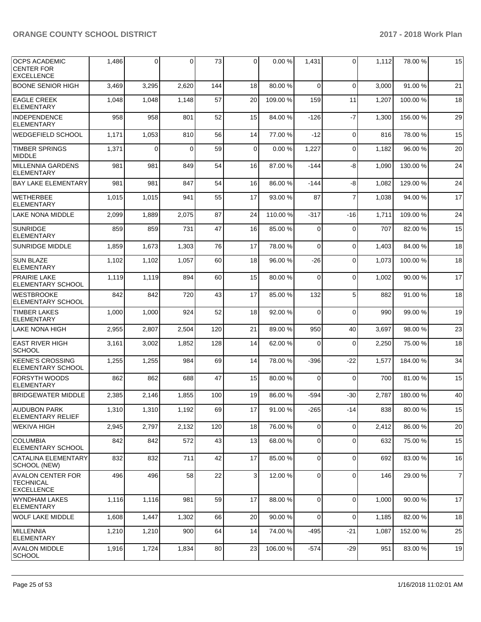| <b>OCPS ACADEMIC</b><br><b>CENTER FOR</b><br><b>EXCELLENCE</b>    | 1,486 | $\overline{0}$ | 0        | 73  | 0      | 0.00%    | 1,431       | 0              | 1,112 | 78.00 %  | 15             |
|-------------------------------------------------------------------|-------|----------------|----------|-----|--------|----------|-------------|----------------|-------|----------|----------------|
| <b>BOONE SENIOR HIGH</b>                                          | 3,469 | 3,295          | 2,620    | 144 | 18     | 80.00 %  | $\Omega$    | $\Omega$       | 3,000 | 91.00%   | 21             |
| <b>EAGLE CREEK</b><br><b>ELEMENTARY</b>                           | 1,048 | 1,048          | 1,148    | 57  | 20     | 109.00 % | 159         | 11             | 1,207 | 100.00 % | 18             |
| <b>INDEPENDENCE</b><br><b>ELEMENTARY</b>                          | 958   | 958            | 801      | 52  | 15     | 84.00 %  | $-126$      | $-7$           | 1,300 | 156.00 % | 29             |
| <b>WEDGEFIELD SCHOOL</b>                                          | 1,171 | 1,053          | 810      | 56  | 14     | 77.00 %  | $-12$       | $\Omega$       | 816   | 78.00 %  | 15             |
| <b>TIMBER SPRINGS</b><br><b>MIDDLE</b>                            | 1,371 | 0              | $\Omega$ | 59  | 0      | 0.00%    | 1,227       | $\Omega$       | 1,182 | 96.00 %  | 20             |
| <b>MILLENNIA GARDENS</b><br><b>ELEMENTARY</b>                     | 981   | 981            | 849      | 54  | 16     | 87.00 %  | $-144$      | -8             | 1.090 | 130.00 % | 24             |
| <b>BAY LAKE ELEMENTARY</b>                                        | 981   | 981            | 847      | 54  | 16     | 86.00 %  | $-144$      | -8             | 1,082 | 129.00%  | 24             |
| <b>WETHERBEE</b><br><b>ELEMENTARY</b>                             | 1,015 | 1,015          | 941      | 55  | 17     | 93.00 %  | 87          | $\overline{7}$ | 1,038 | 94.00 %  | 17             |
| <b>LAKE NONA MIDDLE</b>                                           | 2,099 | 1,889          | 2,075    | 87  | 24     | 110.00 % | $-317$      | $-16$          | 1,711 | 109.00%  | 24             |
| <b>SUNRIDGE</b><br><b>ELEMENTARY</b>                              | 859   | 859            | 731      | 47  | 16     | 85.00 %  | 0           | $\Omega$       | 707   | 82.00 %  | 15             |
| <b>SUNRIDGE MIDDLE</b>                                            | 1,859 | 1,673          | 1,303    | 76  | 17     | 78.00 %  | $\Omega$    | $\mathbf 0$    | 1,403 | 84.00 %  | 18             |
| <b>SUN BLAZE</b><br><b>ELEMENTARY</b>                             | 1,102 | 1,102          | 1,057    | 60  | 18     | 96.00 %  | $-26$       | $\Omega$       | 1,073 | 100.00%  | 18             |
| <b>PRAIRIE LAKE</b><br>ELEMENTARY SCHOOL                          | 1,119 | 1,119          | 894      | 60  | 15     | 80.00 %  | $\Omega$    | $\Omega$       | 1,002 | 90.00 %  | 17             |
| <b>WESTBROOKE</b><br>ELEMENTARY SCHOOL                            | 842   | 842            | 720      | 43  | 17     | 85.00 %  | 132         | 5              | 882   | 91.00 %  | 18             |
| <b>TIMBER LAKES</b><br><b>ELEMENTARY</b>                          | 1,000 | 1,000          | 924      | 52  | 18     | 92.00 %  | $\Omega$    | $\Omega$       | 990   | 99.00 %  | 19             |
| LAKE NONA HIGH                                                    | 2,955 | 2,807          | 2,504    | 120 | 21     | 89.00 %  | 950         | 40             | 3,697 | 98.00 %  | 23             |
| <b>EAST RIVER HIGH</b><br><b>SCHOOL</b>                           | 3,161 | 3,002          | 1,852    | 128 | 14     | 62.00 %  | $\Omega$    | $\Omega$       | 2,250 | 75.00 %  | 18             |
| <b>KEENE'S CROSSING</b><br>ELEMENTARY SCHOOL                      | 1,255 | 1,255          | 984      | 69  | 14     | 78.00 %  | -396        | $-22$          | 1,577 | 184.00 % | 34             |
| <b>FORSYTH WOODS</b><br><b>ELEMENTARY</b>                         | 862   | 862            | 688      | 47  | 15     | 80.00 %  | $\Omega$    | 0              | 700   | 81.00 %  | 15             |
| <b>BRIDGEWATER MIDDLE</b>                                         | 2,385 | 2,146          | 1,855    | 100 | 19     | 86.00 %  | $-594$      | $-30$          | 2,787 | 180.00%  | 40             |
| <b>AUDUBON PARK</b><br><b>ELEMENTARY RELIEF</b>                   | 1,310 | 1,310          | 1,192    | 69  | $17\,$ | 91.00%   | $-265$      | $-14$          | 838   | 80.00 %  | 15             |
| <b>WEKIVA HIGH</b>                                                | 2,945 | 2.797          | 2,132    | 120 | 18     | 76.00 %  | $\mathbf 0$ | $\mathbf 0$    | 2,412 | 86.00 %  | 20             |
| <b>COLUMBIA</b><br><b>ELEMENTARY SCHOOL</b>                       | 842   | 842            | 572      | 43  | 13     | 68.00 %  | $\mathbf 0$ | $\mathbf 0$    | 632   | 75.00 %  | 15             |
| CATALINA ELEMENTARY<br>SCHOOL (NEW)                               | 832   | 832            | 711      | 42  | 17     | 85.00 %  | $\Omega$    | $\mathbf 0$    | 692   | 83.00 %  | 16             |
| <b>AVALON CENTER FOR</b><br><b>TECHNICAL</b><br><b>EXCELLENCE</b> | 496   | 496            | 58       | 22  | 3      | 12.00 %  | $\mathbf 0$ | $\mathbf 0$    | 146   | 29.00 %  | $\overline{7}$ |
| WYNDHAM LAKES<br><b>ELEMENTARY</b>                                | 1,116 | 1,116          | 981      | 59  | 17     | 88.00 %  | $\Omega$    | 0              | 1,000 | 90.00 %  | 17             |
| <b>WOLF LAKE MIDDLE</b>                                           | 1,608 | 1,447          | 1,302    | 66  | 20     | 90.00 %  | $\Omega$    | $\Omega$       | 1,185 | 82.00 %  | 18             |
| MILLENNIA<br>ELEMENTARY                                           | 1,210 | 1,210          | 900      | 64  | 14     | 74.00 %  | $-495$      | $-21$          | 1,087 | 152.00 % | 25             |
| <b>AVALON MIDDLE</b><br><b>SCHOOL</b>                             | 1,916 | 1,724          | 1,834    | 80  | 23     | 106.00%  | $-574$      | $-29$          | 951   | 83.00 %  | 19             |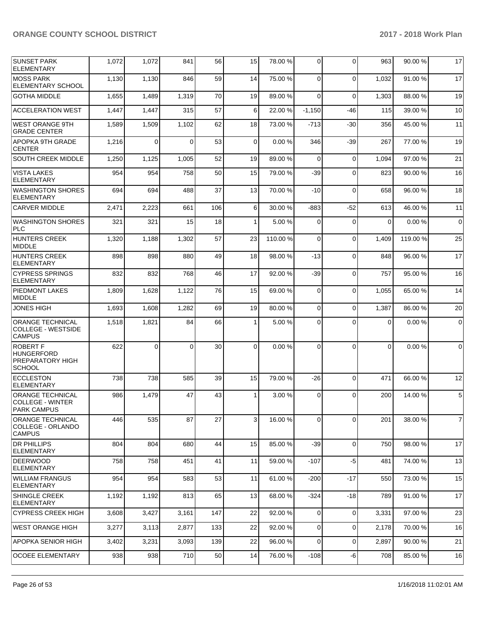| <b>SUNSET PARK</b><br><b>ELEMENTARY</b>                                          | 1,072 | 1,072    | 841      | 56  | 15       | 78.00 %  | $\Omega$ | $\Omega$    | 963      | 90.00 %  | 17              |
|----------------------------------------------------------------------------------|-------|----------|----------|-----|----------|----------|----------|-------------|----------|----------|-----------------|
| <b>IMOSS PARK</b><br><b>ELEMENTARY SCHOOL</b>                                    | 1,130 | 1,130    | 846      | 59  | 14       | 75.00 %  | $\Omega$ | $\Omega$    | 1,032    | 91.00%   | 17              |
| <b>GOTHA MIDDLE</b>                                                              | 1,655 | 1,489    | 1,319    | 70  | 19       | 89.00 %  | $\Omega$ | $\Omega$    | 1,303    | 88.00 %  | 19              |
| <b>ACCELERATION WEST</b>                                                         | 1,447 | 1,447    | 315      | 57  | 6        | 22.00 %  | $-1,150$ | $-46$       | 115      | 39.00 %  | 10 <sup>1</sup> |
| <b>WEST ORANGE 9TH</b><br><b>GRADE CENTER</b>                                    | 1,589 | 1,509    | 1,102    | 62  | 18       | 73.00 %  | $-713$   | $-30$       | 356      | 45.00 %  | 11              |
| APOPKA 9TH GRADE<br><b>CENTER</b>                                                | 1,216 | 0        | $\Omega$ | 53  | $\Omega$ | 0.00%    | 346      | -39         | 267      | 77.00 %  | 19              |
| <b>SOUTH CREEK MIDDLE</b>                                                        | 1,250 | 1,125    | 1,005    | 52  | 19       | 89.00 %  | $\Omega$ | $\Omega$    | 1,094    | 97.00 %  | 21              |
| <b>VISTA LAKES</b><br><b>ELEMENTARY</b>                                          | 954   | 954      | 758      | 50  | 15       | 79.00 %  | $-39$    | $\Omega$    | 823      | 90.00 %  | 16              |
| <b>WASHINGTON SHORES</b><br><b>ELEMENTARY</b>                                    | 694   | 694      | 488      | 37  | 13       | 70.00 %  | $-10$    | $\Omega$    | 658      | 96.00 %  | 18              |
| <b>CARVER MIDDLE</b>                                                             | 2,471 | 2,223    | 661      | 106 | 6        | 30.00 %  | -883     | -52         | 613      | 46.00 %  | 11              |
| <b>WASHINGTON SHORES</b><br><b>PLC</b>                                           | 321   | 321      | 15       | 18  | 1        | 5.00 %   | $\Omega$ | $\Omega$    | 0        | 0.00%    | $\overline{0}$  |
| <b>HUNTERS CREEK</b><br><b>MIDDLE</b>                                            | 1,320 | 1,188    | 1,302    | 57  | 23       | 110.00 % | $\Omega$ | $\Omega$    | 1,409    | 119.00 % | 25              |
| <b>HUNTERS CREEK</b><br><b>ELEMENTARY</b>                                        | 898   | 898      | 880      | 49  | 18       | 98.00 %  | $-13$    | $\Omega$    | 848      | 96.00 %  | 17              |
| <b>CYPRESS SPRINGS</b><br><b>ELEMENTARY</b>                                      | 832   | 832      | 768      | 46  | 17       | 92.00 %  | $-39$    | $\Omega$    | 757      | 95.00 %  | 16              |
| <b>PIEDMONT LAKES</b><br><b>MIDDLE</b>                                           | 1,809 | 1,628    | 1,122    | 76  | 15       | 69.00 %  | $\Omega$ | $\Omega$    | 1,055    | 65.00 %  | 14              |
| <b>JONES HIGH</b>                                                                | 1,693 | 1,608    | 1,282    | 69  | 19       | 80.00%   | $\Omega$ | $\Omega$    | 1,387    | 86.00 %  | 20              |
| <b>ORANGE TECHNICAL</b><br>COLLEGE - WESTSIDE<br><b>CAMPUS</b>                   | 1,518 | 1,821    | 84       | 66  | 1        | 5.00 %   | $\Omega$ | $\Omega$    | $\Omega$ | 0.00%    | $\overline{0}$  |
| <b>ROBERT F</b><br><b>HUNGERFORD</b><br><b>PREPARATORY HIGH</b><br><b>SCHOOL</b> | 622   | $\Omega$ | 0        | 30  | $\Omega$ | 0.00%    | $\Omega$ | $\Omega$    | $\Omega$ | 0.00%    | $\Omega$        |
| <b>ECCLESTON</b><br><b>ELEMENTARY</b>                                            | 738   | 738      | 585      | 39  | 15       | 79.00 %  | $-26$    | $\Omega$    | 471      | 66.00 %  | 12              |
| <b>ORANGE TECHNICAL</b><br> COLLEGE - WINTER<br><b>PARK CAMPUS</b>               | 986   | 1,479    | 47       | 43  | 1        | 3.00 %   | $\Omega$ | $\Omega$    | 200      | 14.00 %  | 5 <sup>1</sup>  |
| <b>ORANGE TECHNICAL</b><br>COLLEGE - ORLANDO<br><b>CAMPUS</b>                    | 446   | 535      | 87       | 27  | 3        | 16.00 %  | 0        | $\Omega$    | 201      | 38.00 %  | $\overline{7}$  |
| <b>DR PHILLIPS</b><br><b>ELEMENTARY</b>                                          | 804   | 804      | 680      | 44  | 15       | 85.00 %  | $-39$    | $\Omega$    | 750      | 98.00 %  | 17              |
| <b>DEERWOOD</b><br><b>ELEMENTARY</b>                                             | 758   | 758      | 451      | 41  | 11       | 59.00 %  | $-107$   | $-5$        | 481      | 74.00 %  | 13              |
| WILLIAM FRANGUS<br><b>ELEMENTARY</b>                                             | 954   | 954      | 583      | 53  | 11       | 61.00 %  | -200     | $-17$       | 550      | 73.00 %  | 15              |
| <b>SHINGLE CREEK</b><br>ELEMENTARY                                               | 1,192 | 1,192    | 813      | 65  | 13       | 68.00 %  | $-324$   | -18         | 789      | 91.00 %  | 17              |
| ICYPRESS CREEK HIGH                                                              | 3,608 | 3,427    | 3,161    | 147 | 22       | 92.00 %  | $\Omega$ | $\mathbf 0$ | 3,331    | 97.00 %  | 23              |
| IWEST ORANGE HIGH                                                                | 3,277 | 3,113    | 2,877    | 133 | 22       | 92.00 %  | $\Omega$ | 0           | 2,178    | 70.00 %  | 16              |
| APOPKA SENIOR HIGH                                                               | 3,402 | 3,231    | 3,093    | 139 | 22       | 96.00 %  | $\Omega$ | 0           | 2,897    | 90.00 %  | 21              |
| <b>OCOEE ELEMENTARY</b>                                                          | 938   | 938      | 710      | 50  | 14       | 76.00 %  | $-108$   | -6          | 708      | 85.00 %  | 16              |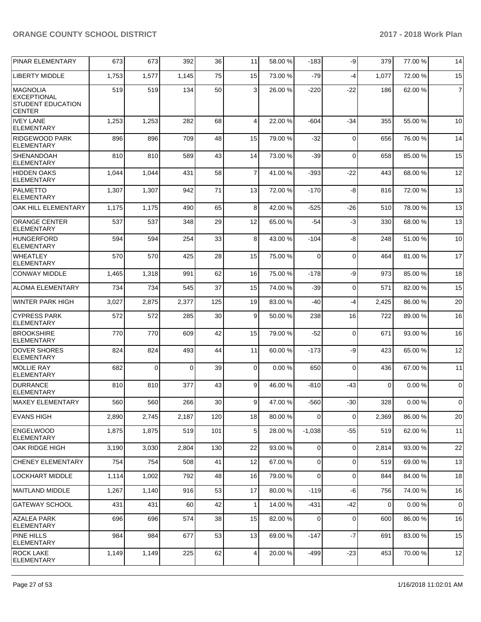| PINAR ELEMENTARY                                                             | 673   | 673      | 392      | 36  | 11             | 58.00 % | $-183$         | -9          | 379         | 77.00 % | 14             |
|------------------------------------------------------------------------------|-------|----------|----------|-----|----------------|---------|----------------|-------------|-------------|---------|----------------|
| <b>LIBERTY MIDDLE</b>                                                        | 1,753 | 1,577    | 1,145    | 75  | 15             | 73.00 % | $-79$          | -4          | 1,077       | 72.00 % | 15             |
| <b>IMAGNOLIA</b><br>EXCEPTIONAL<br><b>STUDENT EDUCATION</b><br><b>CENTER</b> | 519   | 519      | 134      | 50  | 3              | 26.00 % | $-220$         | $-22$       | 186         | 62.00%  | $\overline{7}$ |
| <b>IVEY LANE</b><br><b>ELEMENTARY</b>                                        | 1,253 | 1,253    | 282      | 68  | $\overline{4}$ | 22.00 % | $-604$         | -34         | 355         | 55.00 % | 10             |
| <b>RIDGEWOOD PARK</b><br><b>ELEMENTARY</b>                                   | 896   | 896      | 709      | 48  | 15             | 79.00 % | $-32$          | $\mathbf 0$ | 656         | 76.00 % | 14             |
| <b>SHENANDOAH</b><br><b>ELEMENTARY</b>                                       | 810   | 810      | 589      | 43  | 14             | 73.00 % | $-39$          | $\mathbf 0$ | 658         | 85.00 % | 15             |
| <b>HIDDEN OAKS</b><br><b>ELEMENTARY</b>                                      | 1,044 | 1,044    | 431      | 58  | $\overline{7}$ | 41.00%  | $-393$         | $-22$       | 443         | 68.00 % | 12             |
| PALMETTO<br><b>ELEMENTARY</b>                                                | 1,307 | 1,307    | 942      | 71  | 13             | 72.00 % | $-170$         | -8          | 816         | 72.00 % | 13             |
| <b>OAK HILL ELEMENTARY</b>                                                   | 1,175 | 1,175    | 490      | 65  | 8              | 42.00%  | $-525$         | $-26$       | 510         | 78.00 % | 13             |
| <b>ORANGE CENTER</b><br><b>ELEMENTARY</b>                                    | 537   | 537      | 348      | 29  | 12             | 65.00 % | -54            | $-3$        | 330         | 68.00 % | 13             |
| HUNGERFORD<br><b>ELEMENTARY</b>                                              | 594   | 594      | 254      | 33  | 8              | 43.00 % | $-104$         | -8          | 248         | 51.00 % | 10             |
| <b>WHEATLEY</b><br><b>ELEMENTARY</b>                                         | 570   | 570      | 425      | 28  | 15             | 75.00 % | $\Omega$       | $\mathbf 0$ | 464         | 81.00%  | 17             |
| <b>CONWAY MIDDLE</b>                                                         | 1,465 | 1,318    | 991      | 62  | 16             | 75.00 % | $-178$         | -9          | 973         | 85.00 % | 18             |
| <b>ALOMA ELEMENTARY</b>                                                      | 734   | 734      | 545      | 37  | 15             | 74.00 % | $-39$          | $\mathbf 0$ | 571         | 82.00 % | 15             |
| WINTER PARK HIGH                                                             | 3,027 | 2,875    | 2,377    | 125 | 19             | 83.00 % | -40            | -4          | 2,425       | 86.00 % | 20             |
| <b>CYPRESS PARK</b><br>ELEMENTARY                                            | 572   | 572      | 285      | 30  | 9              | 50.00 % | 238            | 16          | 722         | 89.00 % | 16             |
| <b>BROOKSHIRE</b><br><b>ELEMENTARY</b>                                       | 770   | 770      | 609      | 42  | 15             | 79.00 % | $-52$          | 0           | 671         | 93.00 % | 16             |
| <b>DOVER SHORES</b><br><b>ELEMENTARY</b>                                     | 824   | 824      | 493      | 44  | 11             | 60.00 % | $-173$         | -9          | 423         | 65.00 % | 12             |
| <b>MOLLIE RAY</b><br><b>ELEMENTARY</b>                                       | 682   | $\Omega$ | $\Omega$ | 39  | $\Omega$       | 0.00%   | 650            | 0           | 436         | 67.00 % | 11             |
| DURRANCE<br><b>ELEMENTARY</b>                                                | 810   | 810      | 377      | 43  | 9              | 46.00%  | $-810$         | -43         | $\mathbf 0$ | 0.00%   | $\overline{0}$ |
| MAXEY ELEMENTARY                                                             | 560   | 560      | 266      | 30  | 9              | 47.00 % | $-560$         | $-30$       | 328         | 0.00%   | $\overline{0}$ |
| <b>EVANS HIGH</b>                                                            | 2,890 | 2,745    | 2,187    | 120 | 18             | 80.00 % | $\overline{0}$ | 0           | 2,369       | 86.00 % | 20             |
| ENGELWOOD<br><b>ELEMENTARY</b>                                               | 1,875 | 1,875    | 519      | 101 | 5 <sub>5</sub> | 28.00 % | $-1,038$       | $-55$       | 519         | 62.00 % | 11             |
| OAK RIDGE HIGH                                                               | 3,190 | 3,030    | 2,804    | 130 | 22             | 93.00 % | $\Omega$       | $\mathbf 0$ | 2,814       | 93.00 % | 22             |
| <b>CHENEY ELEMENTARY</b>                                                     | 754   | 754      | 508      | 41  | 12             | 67.00 % | $\Omega$       | 0           | 519         | 69.00 % | 13             |
| <b>LOCKHART MIDDLE</b>                                                       | 1,114 | 1,002    | 792      | 48  | 16             | 79.00 % | $\Omega$       | 0           | 844         | 84.00 % | 18             |
| MAITLAND MIDDLE                                                              | 1,267 | 1,140    | 916      | 53  | 17             | 80.00 % | $-119$         | -6          | 756         | 74.00 % | 16             |
| GATEWAY SCHOOL                                                               | 431   | 431      | 60       | 42  | $\mathbf{1}$   | 14.00 % | -431           | $-42$       | 0           | 0.00%   | $\overline{0}$ |
| <b>AZALEA PARK</b><br><b>ELEMENTARY</b>                                      | 696   | 696      | 574      | 38  | 15             | 82.00 % | $\Omega$       | $\mathbf 0$ | 600         | 86.00 % | 16             |
| PINE HILLS<br><b>ELEMENTARY</b>                                              | 984   | 984      | 677      | 53  | 13             | 69.00 % | $-147$         | $-7$        | 691         | 83.00 % | 15             |
| <b>ROCK LAKE</b><br><b>ELEMENTARY</b>                                        | 1,149 | 1,149    | 225      | 62  | $\overline{a}$ | 20.00%  | $-499$         | $-23$       | 453         | 70.00%  | 12             |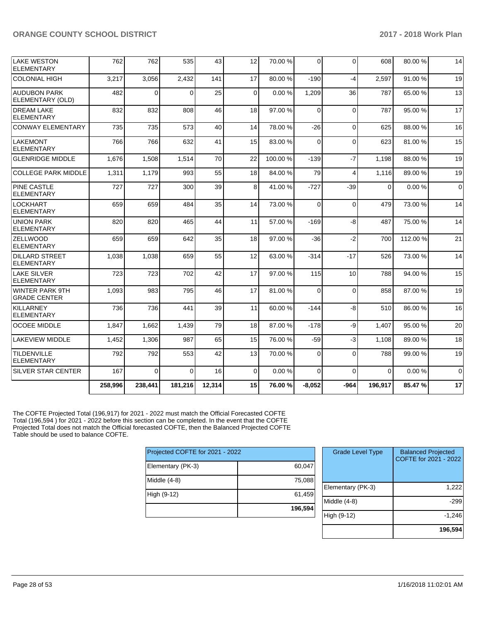| LAKE WESTON<br>ELEMENTARY                     | 762     | 762         | 535      | 43     | 12          | 70.00 % | $\Omega$ | $\Omega$       | 608      | 80.00 %  | 14          |
|-----------------------------------------------|---------|-------------|----------|--------|-------------|---------|----------|----------------|----------|----------|-------------|
| COLONIAL HIGH                                 | 3,217   | 3,056       | 2,432    | 141    | 17          | 80.00%  | $-190$   | $-4$           | 2,597    | 91.00 %  | 19          |
| <b>AUDUBON PARK</b><br>ELEMENTARY (OLD)       | 482     | 0           | $\Omega$ | 25     | $\mathbf 0$ | 0.00%   | 1,209    | 36             | 787      | 65.00 %  | 13          |
| <b>DREAM LAKE</b><br><b>ELEMENTARY</b>        | 832     | 832         | 808      | 46     | 18          | 97.00 % | $\Omega$ | $\Omega$       | 787      | 95.00 %  | 17          |
| <b>CONWAY ELEMENTARY</b>                      | 735     | 735         | 573      | 40     | 14          | 78.00 % | $-26$    | $\mathbf 0$    | 625      | 88.00 %  | 16          |
| <b>LAKEMONT</b><br><b>ELEMENTARY</b>          | 766     | 766         | 632      | 41     | 15          | 83.00 % | $\Omega$ | $\Omega$       | 623      | 81.00%   | 15          |
| <b>GLENRIDGE MIDDLE</b>                       | 1,676   | 1,508       | 1,514    | 70     | 22          | 100.00% | $-139$   | $-7$           | 1,198    | 88.00 %  | 19          |
| <b>COLLEGE PARK MIDDLE</b>                    | 1,311   | 1,179       | 993      | 55     | 18          | 84.00 % | 79       | $\overline{4}$ | 1,116    | 89.00 %  | 19          |
| <b>PINE CASTLE</b><br>ELEMENTARY              | 727     | 727         | 300      | 39     | 8           | 41.00%  | $-727$   | $-39$          | $\Omega$ | 0.00%    | $\mathbf 0$ |
| LOCKHART<br>ELEMENTARY                        | 659     | 659         | 484      | 35     | 14          | 73.00 % | $\Omega$ | $\Omega$       | 479      | 73.00 %  | 14          |
| <b>UNION PARK</b><br><b>ELEMENTARY</b>        | 820     | 820         | 465      | 44     | 11          | 57.00 % | $-169$   | -8             | 487      | 75.00 %  | 14          |
| <b>ZELLWOOD</b><br><b>ELEMENTARY</b>          | 659     | 659         | 642      | 35     | 18          | 97.00 % | $-36$    | $-2$           | 700      | 112.00 % | 21          |
| <b>DILLARD STREET</b><br>ELEMENTARY           | 1,038   | 1,038       | 659      | 55     | 12          | 63.00 % | $-314$   | $-17$          | 526      | 73.00 %  | 14          |
| <b>LAKE SILVER</b><br><b>ELEMENTARY</b>       | 723     | 723         | 702      | 42     | 17          | 97.00 % | 115      | 10             | 788      | 94.00 %  | 15          |
| <b>WINTER PARK 9TH</b><br><b>GRADE CENTER</b> | 1,093   | 983         | 795      | 46     | 17          | 81.00%  | $\Omega$ | $\Omega$       | 858      | 87.00 %  | 19          |
| KILLARNEY<br><b>ELEMENTARY</b>                | 736     | 736         | 441      | 39     | 11          | 60.00 % | $-144$   | $-8$           | 510      | 86.00 %  | 16          |
| <b>OCOEE MIDDLE</b>                           | 1.847   | 1.662       | 1.439    | 79     | 18          | 87.00 % | $-178$   | -9             | 1.407    | 95.00 %  | 20          |
| LAKEVIEW MIDDLE                               | 1,452   | 1,306       | 987      | 65     | 15          | 76.00 % | $-59$    | $-3$           | 1,108    | 89.00 %  | 18          |
| TILDENVILLE<br>ELEMENTARY                     | 792     | 792         | 553      | 42     | 13          | 70.00%  | $\Omega$ | $\Omega$       | 788      | 99.00 %  | 19          |
| <b>SILVER STAR CENTER</b>                     | 167     | $\mathbf 0$ | $\Omega$ | 16     | 0           | 0.00%   | $\Omega$ | $\Omega$       | $\Omega$ | 0.00%    | $\mathbf 0$ |
|                                               | 258,996 | 238,441     | 181,216  | 12.314 | 15          | 76.00%  | $-8.052$ | $-964$         | 196.917  | 85.47%   | 17          |

The COFTE Projected Total (196,917) for 2021 - 2022 must match the Official Forecasted COFTE Total (196,594 ) for 2021 - 2022 before this section can be completed. In the event that the COFTE Projected Total does not match the Official forecasted COFTE, then the Balanced Projected COFTE Table should be used to balance COFTE.

| Projected COFTE for 2021 - 2022 |         |  |  |  |  |  |
|---------------------------------|---------|--|--|--|--|--|
| Elementary (PK-3)               | 60,047  |  |  |  |  |  |
| Middle (4-8)                    | 75,088  |  |  |  |  |  |
| High (9-12)                     | 61,459  |  |  |  |  |  |
|                                 | 196,594 |  |  |  |  |  |

| <b>Grade Level Type</b> | <b>Balanced Projected</b><br>COFTE for 2021 - 2022 |
|-------------------------|----------------------------------------------------|
| Elementary (PK-3)       | 1,222                                              |
| Middle (4-8)            | -299                                               |
| High (9-12)             | $-1,246$                                           |
|                         | 196,594                                            |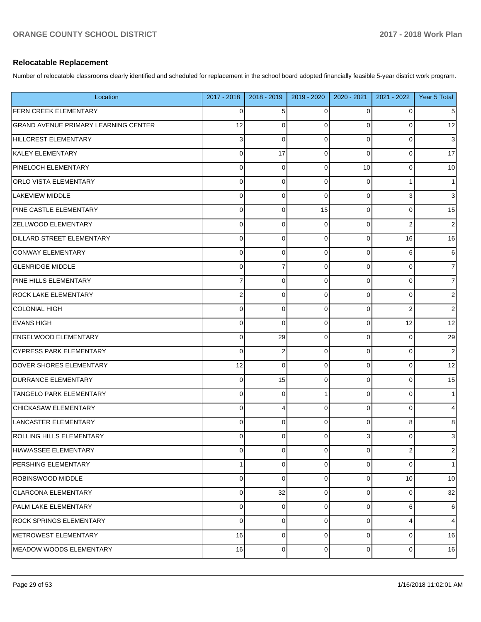### **Relocatable Replacement**

Number of relocatable classrooms clearly identified and scheduled for replacement in the school board adopted financially feasible 5-year district work program.

| Location                                    | 2017 - 2018      | 2018 - 2019    | 2019 - 2020    | 2020 - 2021    | 2021 - 2022             | Year 5 Total   |
|---------------------------------------------|------------------|----------------|----------------|----------------|-------------------------|----------------|
| <b>FERN CREEK ELEMENTARY</b>                | $\mathbf 0$      | 5              | 0              | 0              | 0                       | 5              |
| <b>GRAND AVENUE PRIMARY LEARNING CENTER</b> | 12               | $\Omega$       | $\Omega$       | $\mathbf 0$    | $\mathbf 0$             | 12             |
| HILLCREST ELEMENTARY                        | 3                | $\Omega$       | $\Omega$       | $\mathbf 0$    | $\Omega$                | $\sqrt{3}$     |
| KALEY ELEMENTARY                            | $\mathbf 0$      | 17             | $\Omega$       | $\mathbf 0$    | $\Omega$                | 17             |
| <b>PINELOCH ELEMENTARY</b>                  | $\mathbf 0$      | $\mathbf 0$    | $\overline{0}$ | 10             | $\mathbf 0$             | 10             |
| <b>ORLO VISTA ELEMENTARY</b>                | $\mathbf 0$      | $\Omega$       | $\mathbf 0$    | $\mathbf 0$    |                         | $\mathbf{1}$   |
| LAKEVIEW MIDDLE                             | $\mathbf 0$      | $\Omega$       | $\Omega$       | $\mathbf 0$    | 3                       | $\sqrt{3}$     |
| <b>PINE CASTLE ELEMENTARY</b>               | $\mathbf 0$      | $\mathbf 0$    | 15             | $\mathbf 0$    | $\mathbf 0$             | 15             |
| <b>ZELLWOOD ELEMENTARY</b>                  | $\mathbf 0$      | $\mathbf 0$    | $\Omega$       | $\mathbf 0$    | $\overline{2}$          | $\overline{2}$ |
| <b>DILLARD STREET ELEMENTARY</b>            | $\mathbf 0$      | $\mathbf 0$    | $\Omega$       | $\mathbf 0$    | 16                      | 16             |
| CONWAY ELEMENTARY                           | $\mathbf 0$      | $\mathbf 0$    | $\Omega$       | $\mathbf 0$    | 6                       | 6              |
| <b>GLENRIDGE MIDDLE</b>                     | $\mathbf 0$      | $\overline{7}$ | $\Omega$       | $\mathbf 0$    | $\Omega$                | $\overline{7}$ |
| PINE HILLS ELEMENTARY                       | $\overline{7}$   | $\Omega$       | $\Omega$       | $\mathbf 0$    | $\Omega$                | $\overline{7}$ |
| <b>ROCK LAKE ELEMENTARY</b>                 | $\boldsymbol{2}$ | $\mathbf 0$    | $\Omega$       | $\mathbf 0$    | $\Omega$                | $\sqrt{2}$     |
| <b>COLONIAL HIGH</b>                        | $\mathbf 0$      | $\mathbf 0$    | $\Omega$       | $\mathbf 0$    | $\overline{2}$          | $\sqrt{2}$     |
| <b>EVANS HIGH</b>                           | $\mathbf 0$      | $\Omega$       | $\Omega$       | $\mathbf 0$    | 12                      | 12             |
| <b>ENGELWOOD ELEMENTARY</b>                 | $\mathbf 0$      | 29             | $\Omega$       | $\mathbf 0$    | $\mathbf 0$             | 29             |
| <b>CYPRESS PARK ELEMENTARY</b>              | $\mathbf 0$      | $\overline{2}$ | $\Omega$       | $\mathbf 0$    | $\Omega$                | $\overline{c}$ |
| <b>DOVER SHORES ELEMENTARY</b>              | 12               | $\Omega$       | $\Omega$       | $\mathbf 0$    | $\Omega$                | 12             |
| <b>DURRANCE ELEMENTARY</b>                  | $\mathbf 0$      | 15             | $\mathbf 0$    | $\mathbf 0$    | $\mathbf 0$             | 15             |
| <b>TANGELO PARK ELEMENTARY</b>              | $\mathbf 0$      | $\Omega$       | 1              | $\mathbf 0$    | $\Omega$                | 1              |
| <b>CHICKASAW ELEMENTARY</b>                 | $\mathbf 0$      | $\overline{4}$ | $\Omega$       | $\mathbf 0$    | $\Omega$                | 4              |
| LANCASTER ELEMENTARY                        | $\mathbf 0$      | $\Omega$       | $\Omega$       | $\mathbf 0$    | 8                       | 8              |
| <b>ROLLING HILLS ELEMENTARY</b>             | $\mathbf 0$      | 0              | $\overline{0}$ | 3              | 0                       | 3              |
| HIAWASSEE ELEMENTARY                        | $\mathbf 0$      | $\mathbf 0$    | $\Omega$       | $\mathbf 0$    | $\overline{\mathbf{c}}$ | $\overline{2}$ |
| <b>PERSHING ELEMENTARY</b>                  | $\mathbf{1}$     | $\mathbf 0$    | $\Omega$       | $\overline{0}$ | $\Omega$                | 1              |
| <b>ROBINSWOOD MIDDLE</b>                    | $\mathbf 0$      | $\Omega$       | $\Omega$       | 0              | 10                      | 10             |
| <b>CLARCONA ELEMENTARY</b>                  | $\mathbf 0$      | 32             | $\overline{0}$ | $\overline{0}$ | $\mathbf 0$             | 32             |
| PALM LAKE ELEMENTARY                        | $\mathbf 0$      | $\Omega$       | $\mathbf 0$    | 0              | 6                       | $6 \mid$       |
| <b>ROCK SPRINGS ELEMENTARY</b>              | $\mathbf 0$      | $\mathbf 0$    | $\Omega$       | $\overline{0}$ | 4                       | $\overline{4}$ |
| METROWEST ELEMENTARY                        | 16               | $\mathbf 0$    | $\mathbf 0$    | 0              | $\mathbf 0$             | 16             |
| MEADOW WOODS ELEMENTARY                     | 16               | $\mathbf 0$    | $\overline{0}$ | $\overline{0}$ | $\mathbf 0$             | 16             |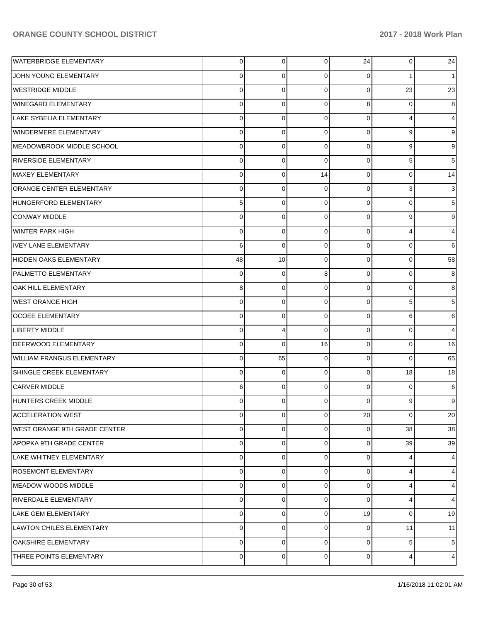| <b>WATERBRIDGE ELEMENTARY</b>       | $\overline{0}$ | 0              | $\overline{0}$ | 24 | $\overline{0}$ | 24                        |
|-------------------------------------|----------------|----------------|----------------|----|----------------|---------------------------|
| JOHN YOUNG ELEMENTARY               | 0              | 0              | $\overline{0}$ | 0  |                | 1                         |
| WESTRIDGE MIDDLE                    | $\mathbf 0$    | $\Omega$       | $\Omega$       | 0  | 23             | 23                        |
| WINEGARD ELEMENTARY                 | $\mathbf 0$    | $\Omega$       | $\overline{0}$ | 8  | 0              | 8                         |
| LAKE SYBELIA ELEMENTARY             | $\mathbf 0$    | $\Omega$       | $\overline{0}$ | 0  | 4              | $\overline{4}$            |
| WINDERMERE ELEMENTARY               | $\mathbf 0$    | $\Omega$       | $\overline{0}$ | 0  | 9              | 9                         |
| MEADOWBROOK MIDDLE SCHOOL           | $\mathbf 0$    | $\Omega$       | $\Omega$       | 0  | 9              | 9                         |
| RIVERSIDE ELEMENTARY                | $\mathbf 0$    | $\Omega$       | $\Omega$       | 0  | 5              | 5                         |
| <b>MAXEY ELEMENTARY</b>             | $\mathbf 0$    | $\Omega$       | 14             | 0  | $\Omega$       | 14                        |
| <b>ORANGE CENTER ELEMENTARY</b>     | $\mathbf 0$    | $\Omega$       | 0              | 0  | 3              | $\ensuremath{\mathsf{3}}$ |
| HUNGERFORD ELEMENTARY               | 5              | $\Omega$       | $\overline{0}$ | 0  | 0              | 5                         |
| CONWAY MIDDLE                       | $\mathbf 0$    | $\Omega$       | $\overline{0}$ | 0  | 9              | 9                         |
| WINTER PARK HIGH                    | $\mathbf 0$    | $\Omega$       | $\overline{0}$ | 0  | 4              | $\overline{4}$            |
| <b>IVEY LANE ELEMENTARY</b>         | 6              | $\Omega$       | $\overline{0}$ | 0  | $\Omega$       | 6                         |
| HIDDEN OAKS ELEMENTARY              | 48             | 10             | $\Omega$       | 0  | $\Omega$       | 58                        |
| PALMETTO ELEMENTARY                 | $\mathbf 0$    | $\Omega$       | 8              | 0  | $\Omega$       | 8                         |
| OAK HILL ELEMENTARY                 | 8              | $\Omega$       | $\Omega$       | 0  | 0              | 8                         |
| <b>WEST ORANGE HIGH</b>             | $\mathbf 0$    | $\Omega$       | $\overline{0}$ | 0  | 5              | 5                         |
| <b>OCOEE ELEMENTARY</b>             | $\mathbf 0$    | $\Omega$       | $\overline{0}$ | 0  | 6              | 6                         |
| <b>LIBERTY MIDDLE</b>               | $\mathbf 0$    | 4              | $\Omega$       | 0  | $\Omega$       | 4                         |
| DEERWOOD ELEMENTARY                 | $\mathbf 0$    | $\Omega$       | 16             | 0  | 0              | 16                        |
| WILLIAM FRANGUS ELEMENTARY          | $\mathbf 0$    | 65             | $\overline{0}$ | 0  | $\Omega$       | 65                        |
| SHINGLE CREEK ELEMENTARY            | $\mathbf 0$    | $\Omega$       | $\Omega$       | 0  | 18             | 18                        |
| <b>CARVER MIDDLE</b>                | 6              | $\Omega$       | $\overline{0}$ | 0  | 0              | 6                         |
| HUNTERS CREEK MIDDLE                | 0              | $\Omega$       | $\Omega$       | 0  | 9              | 9                         |
| <b>ACCELERATION WEST</b>            | 0              | $\overline{0}$ | $\overline{0}$ | 20 | $\mathbf 0$    | 20                        |
| <b>WEST ORANGE 9TH GRADE CENTER</b> | $\Omega$       | $\Omega$       | $\Omega$       | 0  | 38             | 38                        |
| APOPKA 9TH GRADE CENTER             | $\Omega$       | $\Omega$       | $\Omega$       | 0  | 39             | 39                        |
| LAKE WHITNEY ELEMENTARY             | $\mathbf 0$    | $\Omega$       | $\Omega$       | 0  | 4              | $\overline{4}$            |
| <b>ROSEMONT ELEMENTARY</b>          | $\Omega$       | $\Omega$       | $\Omega$       | 0  | 4              | $\overline{4}$            |
| MEADOW WOODS MIDDLE                 | $\mathbf 0$    | $\Omega$       | $\Omega$       | 0  | 4              | $\overline{4}$            |
| RIVERDALE ELEMENTARY                | $\Omega$       | $\Omega$       | $\Omega$       | 0  | 4              | $\overline{4}$            |
| LAKE GEM ELEMENTARY                 | $\Omega$       | $\Omega$       | $\Omega$       | 19 | $\Omega$       | 19                        |
| LAWTON CHILES ELEMENTARY            | $\Omega$       | $\Omega$       | $\Omega$       | 0  | 11             | 11                        |
| <b>OAKSHIRE ELEMENTARY</b>          | $\mathbf 0$    | $\Omega$       | $\Omega$       | 0  | 5              | $5\phantom{.0}$           |
| THREE POINTS ELEMENTARY             | $\mathbf 0$    | $\mathbf 0$    | $\overline{0}$ | 0  | 4              | 4                         |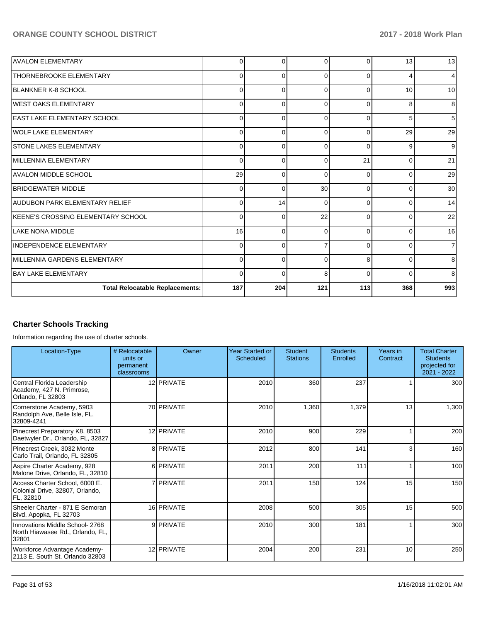| <b>AVALON ELEMENTARY</b>               | 0        | 0        | $\Omega$ | $\Omega$ | 13       | 13  |
|----------------------------------------|----------|----------|----------|----------|----------|-----|
| <b>THORNEBROOKE ELEMENTARY</b>         | 0        | $\Omega$ | $\Omega$ | $\Omega$ |          |     |
| <b>BLANKNER K-8 SCHOOL</b>             | $\Omega$ | 0        | $\Omega$ | $\Omega$ | 10       | 10  |
| <b>WEST OAKS ELEMENTARY</b>            | $\Omega$ | $\Omega$ | $\Omega$ | $\Omega$ | 8        | 8   |
| <b>EAST LAKE ELEMENTARY SCHOOL</b>     | 0        | $\Omega$ | $\Omega$ | $\Omega$ | 5        | 5   |
| WOLF LAKE ELEMENTARY                   | 0        | 0        | $\Omega$ | 0        | 29       | 29  |
| <b>STONE LAKES ELEMENTARY</b>          | 0        | $\Omega$ | $\Omega$ | $\Omega$ | 9        | 9   |
| MILLENNIA ELEMENTARY                   | 0        | 0        | $\Omega$ | 21       | 0        | 21  |
| <b>AVALON MIDDLE SCHOOL</b>            | 29       | 0        | $\Omega$ | 0        | 0        | 29  |
| <b>BRIDGEWATER MIDDLE</b>              | $\Omega$ | $\Omega$ | 30       | $\Omega$ | $\Omega$ | 30  |
| AUDUBON PARK ELEMENTARY RELIEF         | $\Omega$ | 14       | $\Omega$ | $\Omega$ | $\Omega$ | 14  |
| KEENE'S CROSSING ELEMENTARY SCHOOL     | 0        | 0        | 22       | $\Omega$ | 0        | 22  |
| <b>LAKE NONA MIDDLE</b>                | 16       | $\Omega$ | $\Omega$ | $\Omega$ | 0        | 16  |
| INDEPENDENCE ELEMENTARY                | $\Omega$ | $\Omega$ |          | $\Omega$ | $\Omega$ |     |
| MILLENNIA GARDENS ELEMENTARY           | $\Omega$ | $\Omega$ | $\Omega$ | 8        | $\Omega$ | 8   |
| <b>BAY LAKE ELEMENTARY</b>             | $\Omega$ | $\Omega$ | 8        | $\Omega$ | $\Omega$ | 8   |
| <b>Total Relocatable Replacements:</b> | 187      | 204      | 121      | 113      | 368      | 993 |

## **Charter Schools Tracking**

Information regarding the use of charter schools.

| Location-Type                                                                  | # Relocatable<br>units or<br>permanent<br>classrooms | Owner      | <b>Year Started or</b><br><b>Scheduled</b> | <b>Student</b><br><b>Stations</b> | <b>Students</b><br>Enrolled | Years in<br>Contract | <b>Total Charter</b><br><b>Students</b><br>projected for<br>2021 - 2022 |
|--------------------------------------------------------------------------------|------------------------------------------------------|------------|--------------------------------------------|-----------------------------------|-----------------------------|----------------------|-------------------------------------------------------------------------|
| Central Florida Leadership<br>Academy, 427 N. Primrose,<br>Orlando, FL 32803   |                                                      | 12 PRIVATE | 2010                                       | 360                               | 237                         |                      | 300                                                                     |
| Cornerstone Academy, 5903<br>Randolph Ave, Belle Isle, FL,<br>32809-4241       |                                                      | 70 PRIVATE | 2010                                       | 1,360                             | 1,379                       | 13                   | 1,300                                                                   |
| Pinecrest Preparatory K8, 8503<br>Daetwyler Dr., Orlando, FL, 32827            |                                                      | 12 PRIVATE | 2010                                       | 900                               | 229                         |                      | 200                                                                     |
| Pinecrest Creek, 3032 Monte<br>Carlo Trail, Orlando, FL 32805                  |                                                      | 8 PRIVATE  | 2012                                       | 800                               | 141                         |                      | 160                                                                     |
| Aspire Charter Academy, 928<br>Malone Drive, Orlando, FL, 32810                |                                                      | 6 PRIVATE  | 2011                                       | 200                               | 111                         |                      | 100 <sup>1</sup>                                                        |
| Access Charter School, 6000 E.<br>Colonial Drive, 32807, Orlando,<br>FL, 32810 |                                                      | 7 PRIVATE  | 2011                                       | 150                               | 124                         | 15                   | 150                                                                     |
| Sheeler Charter - 871 E Semoran<br>Blvd, Apopka, FL 32703                      |                                                      | 16 PRIVATE | 2008                                       | 500                               | 305                         | 15                   | 500                                                                     |
| Innovations Middle School- 2768<br>North Hiawasee Rd., Orlando, FL,<br>32801   |                                                      | 9 PRIVATE  | 2010                                       | 300                               | 181                         |                      | 300 <sub>1</sub>                                                        |
| Workforce Advantage Academy-<br>2113 E. South St. Orlando 32803                |                                                      | 12 PRIVATE | 2004                                       | 200                               | 231                         | 10                   | 250                                                                     |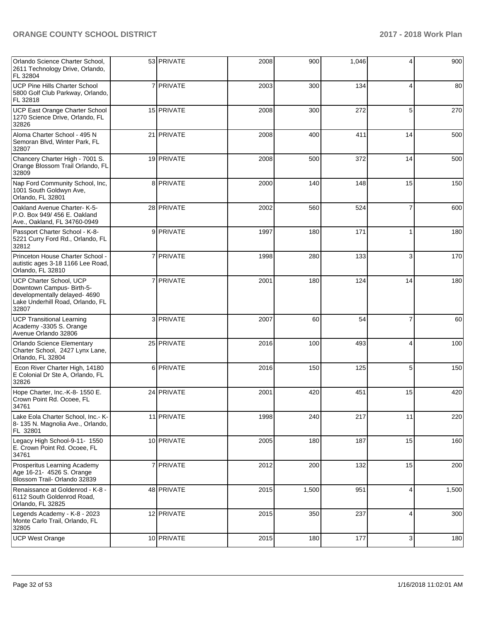| Orlando Science Charter School,<br>2611 Technology Drive, Orlando,<br>FL 32804                                                     | 53 PRIVATE | 2008 | 900   | 1,046 | 4                       | 900   |
|------------------------------------------------------------------------------------------------------------------------------------|------------|------|-------|-------|-------------------------|-------|
| <b>UCP Pine Hills Charter School</b><br>5800 Golf Club Parkway, Orlando,<br>FL 32818                                               | 7 PRIVATE  | 2003 | 300   | 134   | 4                       | 80    |
| UCP East Orange Charter School<br>1270 Science Drive, Orlando, FL<br>32826                                                         | 15 PRIVATE | 2008 | 300   | 272   | 5                       | 270   |
| Aloma Charter School - 495 N<br>Semoran Blvd, Winter Park, FL<br>32807                                                             | 21 PRIVATE | 2008 | 400   | 411   | 14                      | 500   |
| Chancery Charter High - 7001 S.<br>Orange Blossom Trail Orlando, FL<br>32809                                                       | 19 PRIVATE | 2008 | 500   | 372   | 14                      | 500   |
| Nap Ford Community School, Inc,<br>1001 South Goldwyn Ave,<br>Orlando, FL 32801                                                    | 8 PRIVATE  | 2000 | 140   | 148   | 15                      | 150   |
| Oakland Avenue Charter-K-5-<br>P.O. Box 949/ 456 E. Oakland<br>Ave., Oakland, FL 34760-0949                                        | 28 PRIVATE | 2002 | 560   | 524   | $\overline{7}$          | 600   |
| Passport Charter School - K-8-<br>5221 Curry Ford Rd., Orlando, FL<br>32812                                                        | 9 PRIVATE  | 1997 | 180   | 171   | 1                       | 180   |
| Princeton House Charter School -<br>autistic ages 3-18 1166 Lee Road,<br>Orlando, FL 32810                                         | 7 PRIVATE  | 1998 | 280   | 133   | 3                       | 170   |
| UCP Charter School, UCP<br>Downtown Campus- Birth-5-<br>developmentally delayed- 4690<br>Lake Underhill Road, Orlando, FL<br>32807 | 7 PRIVATE  | 2001 | 180   | 124   | 14                      | 180   |
| <b>UCP Transitional Learning</b><br>Academy -3305 S. Orange<br>Avenue Orlando 32806                                                | 3 PRIVATE  | 2007 | 60    | 54    | $\overline{7}$          | 60    |
| <b>Orlando Science Elementary</b><br>Charter School, 2427 Lynx Lane,<br>Orlando, FL 32804                                          | 25 PRIVATE | 2016 | 100   | 493   | $\overline{\mathbf{4}}$ | 100   |
| Econ River Charter High, 14180<br>E Colonial Dr Ste A, Orlando, FL<br>32826                                                        | 6 PRIVATE  | 2016 | 150   | 125   | 5                       | 150   |
| Hope Charter, Inc.-K-8- 1550 E.<br>Crown Point Rd. Ocoee, FL<br>34761                                                              | 24 PRIVATE | 2001 | 420   | 451   | 15                      | 420   |
| Lake Eola Charter School, Inc.- K-<br>8- 135 N. Magnolia Ave., Orlando,<br>FL 32801                                                | 11 PRIVATE | 1998 | 240   | 217   | 11                      | 220   |
| Legacy High School-9-11- 1550<br>E. Crown Point Rd. Ocoee, FL<br>34761                                                             | 10 PRIVATE | 2005 | 180   | 187   | 15                      | 160   |
| Prosperitus Learning Academy<br>Age 16-21- 4526 S. Orange<br>Blossom Trail- Orlando 32839                                          | 7 PRIVATE  | 2012 | 200   | 132   | 15                      | 200   |
| Renaissance at Goldenrod - K-8 -<br>6112 South Goldenrod Road,<br>Orlando, FL 32825                                                | 48 PRIVATE | 2015 | 1,500 | 951   | 4                       | 1,500 |
| Legends Academy - K-8 - 2023<br>Monte Carlo Trail, Orlando, FL<br>32805                                                            | 12 PRIVATE | 2015 | 350   | 237   | 4                       | 300   |
| <b>UCP West Orange</b>                                                                                                             | 10 PRIVATE | 2015 | 180   | 177   | $\mathbf{3}$            | 180   |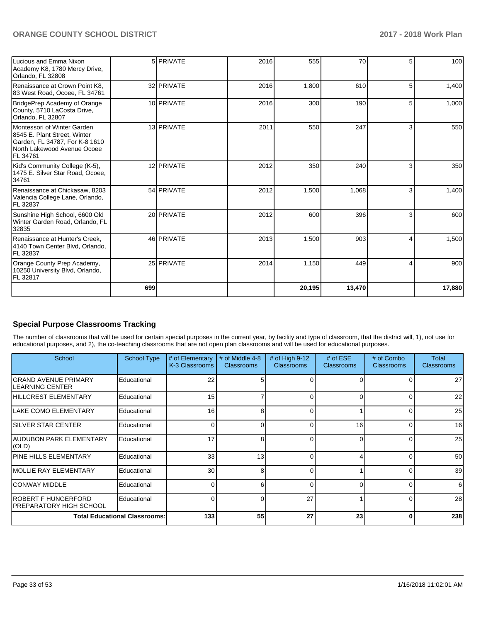| Lucious and Emma Nixon<br>Academy K8, 1780 Mercy Drive,<br>Orlando, FL 32808                                                             |     | 5 PRIVATE  | 2016 | 555    | 70     | 5. | 100    |
|------------------------------------------------------------------------------------------------------------------------------------------|-----|------------|------|--------|--------|----|--------|
| Renaissance at Crown Point K8.<br>83 West Road, Ocoee, FL 34761                                                                          |     | 32 PRIVATE | 2016 | 1,800  | 610    | 5  | 1,400  |
| BridgePrep Academy of Orange<br>County, 5710 LaCosta Drive,<br>Orlando, FL 32807                                                         |     | 10 PRIVATE | 2016 | 300    | 190    | 51 | 1,000  |
| Montessori of Winter Garden<br>8545 E. Plant Street, Winter<br>Garden, FL 34787, For K-8 1610<br>North Lakewood Avenue Ocoee<br>FL 34761 |     | 13 PRIVATE | 2011 | 550    | 247    | 3  | 550    |
| Kid's Community College (K-5),<br>1475 E. Silver Star Road, Ocoee,<br>34761                                                              |     | 12 PRIVATE | 2012 | 350    | 240    | 3  | 350    |
| Renaissance at Chickasaw, 8203<br>Valencia College Lane, Orlando,<br>FL 32837                                                            |     | 54 PRIVATE | 2012 | 1,500  | 1,068  | 3  | 1,400  |
| Sunshine High School, 6600 Old<br>Winter Garden Road, Orlando, FL<br>32835                                                               |     | 20 PRIVATE | 2012 | 600    | 396    | 3  | 600    |
| Renaissance at Hunter's Creek.<br>4140 Town Center Blvd, Orlando,<br>FL 32837                                                            |     | 46 PRIVATE | 2013 | 1,500  | 903    | Δ  | 1,500  |
| Orange County Prep Academy,<br>10250 University Blvd, Orlando,<br>FL 32817                                                               |     | 25 PRIVATE | 2014 | 1,150  | 449    | 4  | 900    |
|                                                                                                                                          | 699 |            |      | 20,195 | 13,470 |    | 17,880 |

## **Special Purpose Classrooms Tracking**

The number of classrooms that will be used for certain special purposes in the current year, by facility and type of classroom, that the district will, 1), not use for educational purposes, and 2), the co-teaching classrooms that are not open plan classrooms and will be used for educational purposes.

| School                                                | <b>School Type</b>                   | # of Elementary<br>K-3 Classrooms | # of Middle 4-8<br><b>Classrooms</b> | # of High $9-12$<br><b>Classrooms</b> | # of $ESE$<br>Classrooms | # of Combo<br><b>Classrooms</b> | Total<br><b>Classrooms</b> |
|-------------------------------------------------------|--------------------------------------|-----------------------------------|--------------------------------------|---------------------------------------|--------------------------|---------------------------------|----------------------------|
| <b>GRAND AVENUE PRIMARY</b><br>ILEARNING CENTER       | Educational                          | 22                                |                                      |                                       |                          |                                 | 27                         |
| HILLCREST ELEMENTARY                                  | Educational                          | 15                                |                                      | $\Omega$                              | <sup>0</sup>             |                                 | 22                         |
| LAKE COMO ELEMENTARY                                  | Educational                          | 16                                | 8                                    | 0                                     |                          |                                 | 25                         |
| <b>ISILVER STAR CENTER</b>                            | Educational                          | 0                                 |                                      | 0                                     | 16                       |                                 | 16                         |
| AUDUBON PARK ELEMENTARY<br>$ $ (OLD)                  | Educational                          | 17                                | 8                                    | 0                                     | $\Omega$                 |                                 | 25                         |
| <b>PINE HILLS ELEMENTARY</b>                          | Educational                          | 33                                | 13                                   | $\Omega$                              |                          |                                 | 50                         |
| MOLLIE RAY ELEMENTARY                                 | Educational                          | 30                                | 8                                    | $\Omega$                              |                          |                                 | 39                         |
| <b>CONWAY MIDDLE</b>                                  | Educational                          | $\Omega$                          |                                      | $\Omega$                              | $\Omega$                 |                                 | 6                          |
| ROBERT F HUNGERFORD<br><b>PREPARATORY HIGH SCHOOL</b> | Educational                          |                                   |                                      | 27                                    |                          |                                 | 28                         |
|                                                       | <b>Total Educational Classrooms:</b> | 133                               | 55                                   | 27                                    | 23                       | $\bf{0}$                        | 238                        |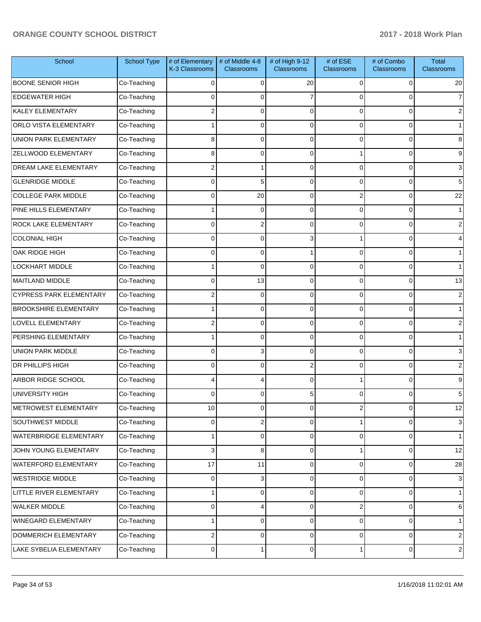| School                         | <b>School Type</b> | # of Elementary<br>K-3 Classrooms | # of Middle 4-8<br><b>Classrooms</b> | # of High 9-12<br><b>Classrooms</b> | # of ESE<br><b>Classrooms</b> | # of Combo<br><b>Classrooms</b> | <b>Total</b><br><b>Classrooms</b> |
|--------------------------------|--------------------|-----------------------------------|--------------------------------------|-------------------------------------|-------------------------------|---------------------------------|-----------------------------------|
| <b>BOONE SENIOR HIGH</b>       | Co-Teaching        | $\Omega$                          | $\Omega$                             | 20                                  | 0                             | 0                               | 20                                |
| <b>EDGEWATER HIGH</b>          | Co-Teaching        | $\Omega$                          | $\Omega$                             |                                     | $\Omega$                      | 0                               | $\overline{7}$                    |
| <b>KALEY ELEMENTARY</b>        | Co-Teaching        | 2                                 | $\Omega$                             | $\Omega$                            | $\Omega$                      | 0                               | 2                                 |
| ORLO VISTA ELEMENTARY          | Co-Teaching        |                                   | $\Omega$                             | $\Omega$                            | $\Omega$                      | $\Omega$                        | $\mathbf 1$                       |
| UNION PARK ELEMENTARY          | Co-Teaching        | 8                                 | $\Omega$                             | $\Omega$                            | $\Omega$                      | 0                               | 8                                 |
| ZELLWOOD ELEMENTARY            | Co-Teaching        | 8                                 | $\Omega$                             | $\Omega$                            |                               | 0                               | 9                                 |
| <b>DREAM LAKE ELEMENTARY</b>   | Co-Teaching        | 2                                 |                                      | $\Omega$                            | $\Omega$                      | $\Omega$                        | 3                                 |
| <b>GLENRIDGE MIDDLE</b>        | Co-Teaching        | $\Omega$                          | 5                                    | $\Omega$                            | $\Omega$                      | 0                               | 5                                 |
| <b>COLLEGE PARK MIDDLE</b>     | Co-Teaching        | $\Omega$                          | 20                                   | $\Omega$                            | 2                             | 0                               | 22                                |
| PINE HILLS ELEMENTARY          | Co-Teaching        |                                   | $\Omega$                             | $\Omega$                            | $\Omega$                      | 0                               | $\mathbf 1$                       |
| ROCK LAKE ELEMENTARY           | Co-Teaching        | $\Omega$                          | $\overline{2}$                       | $\Omega$                            | $\Omega$                      | 0                               | 2                                 |
| <b>COLONIAL HIGH</b>           | Co-Teaching        | $\Omega$                          | $\Omega$                             | 3                                   |                               | 0                               | 4                                 |
| OAK RIDGE HIGH                 | Co-Teaching        | $\Omega$                          | $\Omega$                             |                                     | $\Omega$                      | $\Omega$                        |                                   |
| LOCKHART MIDDLE                | Co-Teaching        |                                   | $\Omega$                             | $\Omega$                            | $\Omega$                      | 0                               | $\mathbf 1$                       |
| MAITLAND MIDDLE                | Co-Teaching        | $\Omega$                          | 13                                   | $\Omega$                            | $\Omega$                      | 0                               | 13                                |
| <b>CYPRESS PARK ELEMENTARY</b> | Co-Teaching        | 2                                 | $\Omega$                             | $\Omega$                            | $\Omega$                      | 0                               | 2                                 |
| <b>BROOKSHIRE ELEMENTARY</b>   | Co-Teaching        |                                   | $\Omega$                             | $\Omega$                            | $\Omega$                      | 0                               |                                   |
| LOVELL ELEMENTARY              | Co-Teaching        | 2                                 | $\Omega$                             | $\Omega$                            | $\Omega$                      | 0                               | 2                                 |
| PERSHING ELEMENTARY            | Co-Teaching        |                                   | $\Omega$                             | $\Omega$                            | $\Omega$                      | $\Omega$                        |                                   |
| <b>UNION PARK MIDDLE</b>       | Co-Teaching        | $\Omega$                          | 3                                    | $\Omega$                            | $\Omega$                      | 0                               | 3                                 |
| DR PHILLIPS HIGH               | Co-Teaching        | $\Omega$                          | $\Omega$                             | 2                                   | $\Omega$                      | 0                               | 2                                 |
| ARBOR RIDGE SCHOOL             | Co-Teaching        |                                   | 4                                    | $\Omega$                            |                               | 0                               | 9                                 |
| UNIVERSITY HIGH                | Co-Teaching        | $\Omega$                          | $\Omega$                             | 5                                   | $\Omega$                      | 0                               | 5                                 |
| METROWEST ELEMENTARY           | Co-Teaching        | 10                                | ο                                    | $\cup$                              | 2                             | $\sigma$                        | 12                                |
| SOUTHWEST MIDDLE               | Co-Teaching        | $\Omega$                          | $\overline{2}$                       | $\Omega$                            |                               | 0                               | $\mathbf{3}$                      |
| WATERBRIDGE ELEMENTARY         | Co-Teaching        |                                   | 0                                    | $\Omega$                            | 0                             | 0                               | $\mathbf{1}$                      |
| JOHN YOUNG ELEMENTARY          | Co-Teaching        | 3                                 | 8                                    | $\Omega$                            | 1                             | 0                               | 12                                |
| WATERFORD ELEMENTARY           | Co-Teaching        | 17                                | 11                                   | $\Omega$                            | $\mathbf 0$                   | 0                               | 28                                |
| <b>WESTRIDGE MIDDLE</b>        | Co-Teaching        | $\Omega$                          | 3                                    | $\Omega$                            | 0                             | 0                               | $\mathbf{3}$                      |
| LITTLE RIVER ELEMENTARY        | Co-Teaching        |                                   | $\overline{0}$                       | $\Omega$                            | 0                             | 0                               | $\mathbf{1}$                      |
| WALKER MIDDLE                  | Co-Teaching        | $\Omega$                          | 4                                    | $\Omega$                            | 2                             | 0                               | 6                                 |
| WINEGARD ELEMENTARY            | Co-Teaching        |                                   | 0                                    | $\Omega$                            | $\mathbf 0$                   | 0                               | $\mathbf{1}$                      |
| DOMMERICH ELEMENTARY           | Co-Teaching        | 2                                 | 0                                    | 0                                   | 0                             | 0                               | $\overline{c}$                    |
| LAKE SYBELIA ELEMENTARY        | Co-Teaching        | 0                                 | 1                                    | $\overline{0}$                      | 1                             | 0                               | $\overline{c}$                    |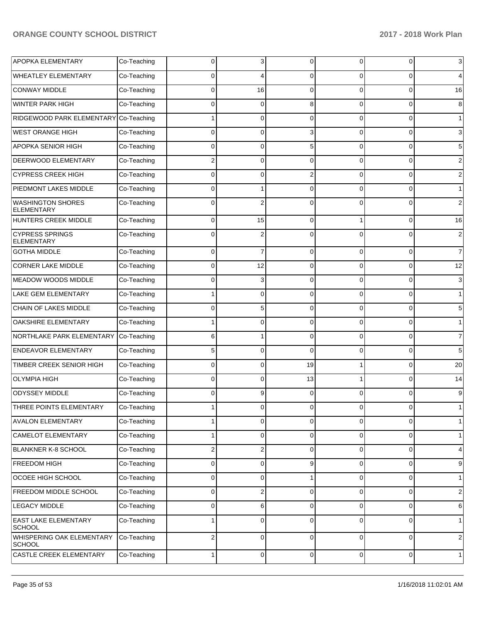| <b>APOPKA ELEMENTARY</b>                      | Co-Teaching | 0              | 3              | $\Omega$       | 0           | $\overline{0}$ | $\mathbf{3}$    |
|-----------------------------------------------|-------------|----------------|----------------|----------------|-------------|----------------|-----------------|
| <b>WHEATLEY ELEMENTARY</b>                    | Co-Teaching | 0              | 4              | $\Omega$       | 0           | 0              | $\overline{4}$  |
| <b>CONWAY MIDDLE</b>                          | Co-Teaching | 0              | 16             | $\Omega$       | 0           | 0              | 16              |
| <b>WINTER PARK HIGH</b>                       | Co-Teaching | 0              | 0              | 8              | 0           | 0              | 8               |
| RIDGEWOOD PARK ELEMENTARY                     | Co-Teaching |                | 0              | $\Omega$       | 0           | 0              | 1               |
| <b>WEST ORANGE HIGH</b>                       | Co-Teaching | 0              | 0              | 3              | 0           | 0              | $\mathbf{3}$    |
| <b>APOPKA SENIOR HIGH</b>                     | Co-Teaching | 0              | 0              | 5              | 0           | 0              | $5\phantom{.0}$ |
| <b>DEERWOOD ELEMENTARY</b>                    | Co-Teaching | $\overline{2}$ | 0              | $\Omega$       | 0           | 0              | $\overline{2}$  |
| <b>CYPRESS CREEK HIGH</b>                     | Co-Teaching | 0              | 0              | $\overline{2}$ | 0           | 0              | $\overline{c}$  |
| PIEDMONT LAKES MIDDLE                         | Co-Teaching | 0              | 1              | $\Omega$       | 0           | 0              | 1               |
| <b>WASHINGTON SHORES</b><br><b>ELEMENTARY</b> | Co-Teaching | 0              | $\overline{2}$ | $\Omega$       | 0           | 0              | $\overline{2}$  |
| HUNTERS CREEK MIDDLE                          | Co-Teaching | 0              | 15             | $\Omega$       |             | 0              | 16              |
| <b>CYPRESS SPRINGS</b><br><b>ELEMENTARY</b>   | Co-Teaching | 0              | 2              | $\Omega$       | 0           | 0              | $\overline{c}$  |
| <b>GOTHA MIDDLE</b>                           | Co-Teaching | 0              | 7              | $\Omega$       | $\Omega$    | $\overline{0}$ | $\overline{7}$  |
| <b>CORNER LAKE MIDDLE</b>                     | Co-Teaching | 0              | 12             | $\Omega$       | $\Omega$    | $\overline{0}$ | 12              |
| <b>MEADOW WOODS MIDDLE</b>                    | Co-Teaching | 0              | 3              | $\Omega$       | $\Omega$    | $\overline{0}$ | $\mathbf{3}$    |
| LAKE GEM ELEMENTARY                           | Co-Teaching |                | 0              | $\Omega$       | $\Omega$    | $\overline{0}$ | 1               |
| CHAIN OF LAKES MIDDLE                         | Co-Teaching | 0              | 5              | $\Omega$       | $\Omega$    | 0              | $5\overline{)}$ |
| OAKSHIRE ELEMENTARY                           | Co-Teaching |                | 0              | $\Omega$       | $\Omega$    | $\overline{0}$ | 1               |
| NORTHLAKE PARK ELEMENTARY                     | Co-Teaching | 6              |                | 0              | $\Omega$    | $\overline{0}$ | $\overline{7}$  |
| <b>ENDEAVOR ELEMENTARY</b>                    | Co-Teaching | 5              | $\Omega$       | $\Omega$       | $\Omega$    | $\mathbf 0$    | $5\overline{)}$ |
| TIMBER CREEK SENIOR HIGH                      | Co-Teaching | 0              | 0              | 19             |             | $\overline{0}$ | 20              |
| <b>OLYMPIA HIGH</b>                           | Co-Teaching | 0              | 0              | 13             |             | $\overline{0}$ | 14              |
| <b>ODYSSEY MIDDLE</b>                         | Co-Teaching | 0              | 9              | $\Omega$       | 0           | $\overline{0}$ | 9               |
| THREE POINTS ELEMENTARY                       | Co-Teaching |                | 0              | $\Omega$       | 0           | $\overline{0}$ | 1 <sup>1</sup>  |
| <b>AVALON ELEMENTARY</b>                      | Co-Teaching |                | 0              | 0              | 0           | $\overline{0}$ | 1               |
| <b>CAMELOT ELEMENTARY</b>                     | Co-Teaching |                | 0              | $\mathbf 0$    | $\mathbf 0$ | $\overline{0}$ | 1               |
| BLANKNER K-8 SCHOOL                           | Co-Teaching | 2              | 2              | $\mathbf 0$    | $\mathbf 0$ | $\mathbf{0}$   | $\overline{4}$  |
| <b>FREEDOM HIGH</b>                           | Co-Teaching | 0              | 0              | 9              | 0           | $\mathbf 0$    | $9\,$           |
| OCOEE HIGH SCHOOL                             | Co-Teaching | 0              | 0              | 1              | $\mathbf 0$ | $\overline{0}$ | 1               |
| FREEDOM MIDDLE SCHOOL                         | Co-Teaching | 0              | 2              | $\mathbf 0$    | $\mathbf 0$ | $\overline{0}$ | $\overline{c}$  |
| <b>LEGACY MIDDLE</b>                          | Co-Teaching | 0              | 6              | 0              | 0           | $\overline{0}$ | $6 \mid$        |
| <b>EAST LAKE ELEMENTARY</b><br><b>SCHOOL</b>  | Co-Teaching |                | 0              | 0              | $\Omega$    | $\overline{0}$ | $\mathbf{1}$    |
| WHISPERING OAK ELEMENTARY<br><b>SCHOOL</b>    | Co-Teaching | 2              | 0              | $\mathbf 0$    | 0           | $\overline{0}$ | $\overline{2}$  |
| CASTLE CREEK ELEMENTARY                       | Co-Teaching | 1              | 0              | $\mathbf 0$    | 0           | $\mathbf 0$    | $\mathbf{1}$    |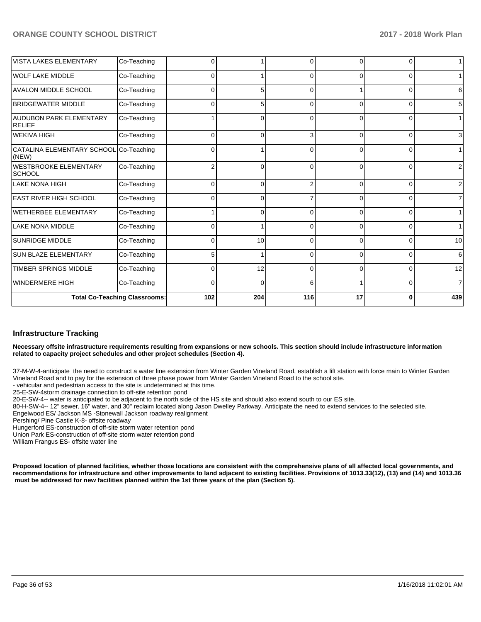| <b>VISTA LAKES ELEMENTARY</b>                   | Co-Teaching                          | $\Omega$       |          |          | $\Omega$ | n        | 1   |
|-------------------------------------------------|--------------------------------------|----------------|----------|----------|----------|----------|-----|
| <b>WOLF LAKE MIDDLE</b>                         | Co-Teaching                          | 0              |          | $\Omega$ | $\Omega$ | $\Omega$ |     |
| <b>AVALON MIDDLE SCHOOL</b>                     | Co-Teaching                          | 0              | 5        | $\Omega$ |          | 0        | 6   |
| <b>BRIDGEWATER MIDDLE</b>                       | Co-Teaching                          | 0              | 5        | C        | 0        | 0        | 5   |
| <b>AUDUBON PARK ELEMENTARY</b><br>RELIEF        | Co-Teaching                          |                | 0        | ∩        | $\Omega$ | $\Omega$ |     |
| WEKIVA HIGH                                     | Co-Teaching                          | 0              | 0        | Я        | 0        | 0        | 3   |
| CATALINA ELEMENTARY SCHOOL Co-Teaching<br>(NEW) |                                      | 0              |          | $\Omega$ | $\Omega$ | 0        |     |
| <b>WESTBROOKE ELEMENTARY</b><br><b>SCHOOL</b>   | Co-Teaching                          | $\overline{2}$ | 0        | r        | $\Omega$ | $\Omega$ |     |
| <b>LAKE NONA HIGH</b>                           | Co-Teaching                          | 0              | $\Omega$ |          | $\Omega$ | $\Omega$ | 2   |
| <b>EAST RIVER HIGH SCHOOL</b>                   | Co-Teaching                          | $\Omega$       | 0        |          | $\Omega$ | $\Omega$ | 7   |
| WETHERBEE ELEMENTARY                            | Co-Teaching                          |                | 0        | C        | $\Omega$ | $\Omega$ |     |
| <b>LAKE NONA MIDDLE</b>                         | Co-Teaching                          | 0              |          |          | $\Omega$ | $\Omega$ |     |
| <b>SUNRIDGE MIDDLE</b>                          | Co-Teaching                          | 0              | 10       |          | $\Omega$ | $\Omega$ | 10  |
| <b>SUN BLAZE ELEMENTARY</b>                     | Co-Teaching                          | 5              |          | $\Omega$ | $\Omega$ | $\Omega$ | 6   |
| <b>TIMBER SPRINGS MIDDLE</b>                    | Co-Teaching                          | 0              | 12       | $\Omega$ | $\Omega$ | $\Omega$ | 12  |
| <b>WINDERMERE HIGH</b>                          | Co-Teaching                          | $\Omega$       | 0        | 6        |          | 0        | 7   |
|                                                 | <b>Total Co-Teaching Classrooms:</b> | 102            | 204      | 116      | 17       | ŋ        | 439 |

#### **Infrastructure Tracking**

**Necessary offsite infrastructure requirements resulting from expansions or new schools. This section should include infrastructure information related to capacity project schedules and other project schedules (Section 4).** 

37-M-W-4-anticipate the need to construct a water line extension from Winter Garden Vineland Road, establish a lift station with force main to Winter Garden Vineland Road and to pay for the extension of three phase power from Winter Garden Vineland Road to the school site.

- vehicular and pedestrian access to the site is undetermined at this time.

25-E-SW-4storm drainage connection to off-site retention pond

20-E-SW-4-- water is anticipated to be adjacent to the north side of the HS site and should also extend south to our ES site.

80-H-SW-4-- 12" sewer, 16" water, and 30" reclaim located along Jason Dwelley Parkway. Anticipate the need to extend services to the selected site. Engelwood ES/ Jackson MS -Stonewall Jackson roadway realignment

Pershing/ Pine Castle K-8- offsite roadway

Hungerford ES-construction of off-site storm water retention pond

Union Park ES-construction of off-site storm water retention pond

William Frangus ES- offsite water line

**Proposed location of planned facilities, whether those locations are consistent with the comprehensive plans of all affected local governments, and recommendations for infrastructure and other improvements to land adjacent to existing facilities. Provisions of 1013.33(12), (13) and (14) and 1013.36** must be addressed for new facilities planned within the 1st three years of the plan (Section 5).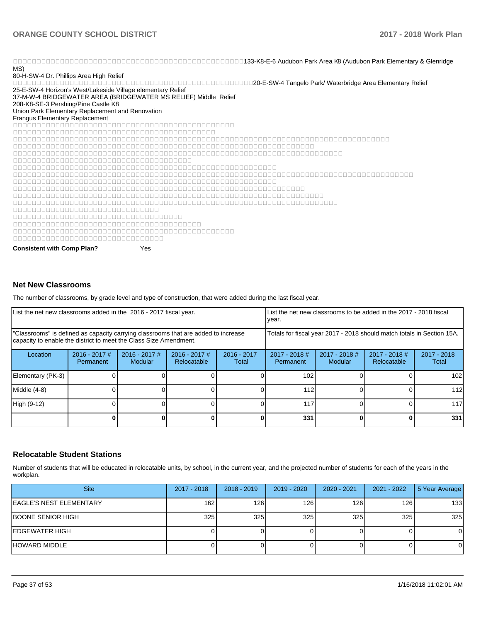nd and the CAU down Park Area K8 (Audubon Park Area K8 (Audubon Park Area K8 (Audubon Park Elementary & Glenridge MS)

80-H-SW-4 Dr. Phillips Area High Relief

20-E-SW-4 Tangelo Park/ Waterbridge Area Elementary Relief 25-E-SW-4 Horizon's West/Lakeside Village elementary Relief

37-M-W-4 BRIDGEWATER AREA (BRIDGEWATER MS RELIEF) Middle Relief

208-K8-SE-3 Pershing/Pine Castle K8

Union Park Elementary Replacement and Renovation

Frangus Elementary Replacement 000000000000000000000000000000000

**Consistent with Comp Plan?** Yes

#### **Net New Classrooms**

The number of classrooms, by grade level and type of construction, that were added during the last fiscal year.

| List the net new classrooms added in the 2016 - 2017 fiscal year.                                                                                       |                              |                                   |                                                                        | List the net new classrooms to be added in the 2017 - 2018 fiscal<br>year. |                              |                            |                              |                        |
|---------------------------------------------------------------------------------------------------------------------------------------------------------|------------------------------|-----------------------------------|------------------------------------------------------------------------|----------------------------------------------------------------------------|------------------------------|----------------------------|------------------------------|------------------------|
| 'Classrooms" is defined as capacity carrying classrooms that are added to increase<br>capacity to enable the district to meet the Class Size Amendment. |                              |                                   | Totals for fiscal year 2017 - 2018 should match totals in Section 15A. |                                                                            |                              |                            |                              |                        |
| Location                                                                                                                                                | $2016 - 2017$ #<br>Permanent | $2016 - 2017$ #<br><b>Modular</b> | $2016 - 2017$ #<br>Relocatable                                         | $2016 - 2017$<br>Total                                                     | $2017 - 2018$ #<br>Permanent | $2017 - 2018$ #<br>Modular | 2017 - 2018 #<br>Relocatable | $2017 - 2018$<br>Total |
| Elementary (PK-3)                                                                                                                                       |                              |                                   |                                                                        |                                                                            | 102                          |                            |                              | 102                    |
| Middle (4-8)                                                                                                                                            |                              |                                   |                                                                        |                                                                            | 112                          |                            |                              | 112                    |
| High (9-12)                                                                                                                                             |                              |                                   |                                                                        |                                                                            | 117                          |                            |                              | 117                    |
|                                                                                                                                                         |                              |                                   |                                                                        |                                                                            | 331                          |                            |                              | 331                    |

#### **Relocatable Student Stations**

Number of students that will be educated in relocatable units, by school, in the current year, and the projected number of students for each of the years in the workplan.

| <b>Site</b>                    | 2017 - 2018 | $2018 - 2019$ | $2019 - 2020$ | $2020 - 2021$ | 2021 - 2022 | 5 Year Average |
|--------------------------------|-------------|---------------|---------------|---------------|-------------|----------------|
| <b>EAGLE'S NEST ELEMENTARY</b> | 162         | 126           | 126           | 126           | 126         | 133            |
| BOONE SENIOR HIGH              | 325         | 325           | 325           | 325           | 325         | 325            |
| EDGEWATER HIGH                 |             |               |               |               |             | 0              |
| HOWARD MIDDLE                  |             |               |               |               |             | 0              |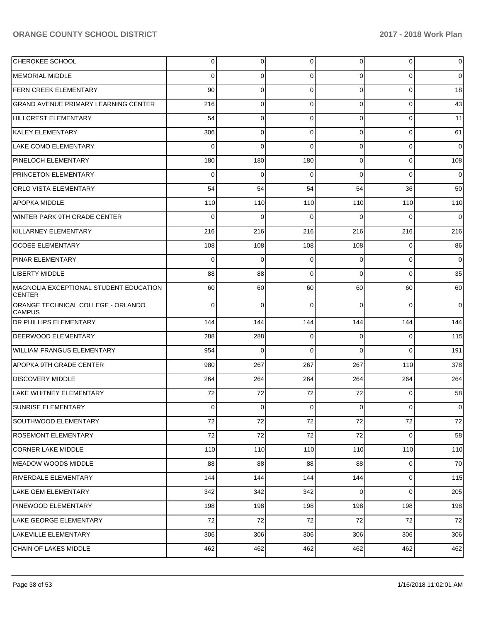| CHEROKEE SCHOOL                                         | 0            | 0        | 0           | 0           | $\overline{0}$ | $\mathbf 0$    |
|---------------------------------------------------------|--------------|----------|-------------|-------------|----------------|----------------|
| <b>MEMORIAL MIDDLE</b>                                  | 0            | 0        | $\Omega$    | 0           | 0              | $\overline{0}$ |
| FERN CREEK ELEMENTARY                                   | 90           | 0        | 0           | 0           | $\overline{0}$ | 18             |
| GRAND AVENUE PRIMARY LEARNING CENTER                    | 216          | 0        | 0           | 0           | $\overline{0}$ | 43             |
| <b>HILLCREST ELEMENTARY</b>                             | 54           | 0        | 0           | 0           | $\overline{0}$ | 11             |
| <b>KALEY ELEMENTARY</b>                                 | 306          | 0        | $\mathbf 0$ | 0           | $\overline{0}$ | 61             |
| <b>LAKE COMO ELEMENTARY</b>                             | 0            | 0        | $\Omega$    | 0           | $\overline{0}$ | $\overline{0}$ |
| PINELOCH ELEMENTARY                                     | 180          | 180      | 180         | 0           | $\overline{0}$ | 108            |
| PRINCETON ELEMENTARY                                    | 0            | 0        | $\Omega$    | 0           | $\overline{0}$ | $\mathbf 0$    |
| ORLO VISTA ELEMENTARY                                   | 54           | 54       | 54          | 54          | 36             | 50             |
| <b>APOPKA MIDDLE</b>                                    | 110          | 110      | 110         | 110         | 110            | 110            |
| WINTER PARK 9TH GRADE CENTER                            | 0            | 0        | $\Omega$    | 0           | 0              | $\overline{0}$ |
| KILLARNEY ELEMENTARY                                    | 216          | 216      | 216         | 216         | 216            | 216            |
| <b>OCOEE ELEMENTARY</b>                                 | 108          | 108      | 108         | 108         | 0              | 86             |
| PINAR ELEMENTARY                                        | 0            | 0        | $\Omega$    | 0           | $\overline{0}$ | $\overline{0}$ |
| <b>LIBERTY MIDDLE</b>                                   | 88           | 88       | 0           | 0           | $\overline{0}$ | 35             |
| MAGNOLIA EXCEPTIONAL STUDENT EDUCATION<br><b>CENTER</b> | 60           | 60       | 60          | 60          | 60             | 60             |
| ORANGE TECHNICAL COLLEGE - ORLANDO<br><b>CAMPUS</b>     | 0            | $\Omega$ | $\Omega$    | $\Omega$    | $\Omega$       | $\overline{0}$ |
| <b>DR PHILLIPS ELEMENTARY</b>                           | 144          | 144      | 144         | 144         | 144            | 144            |
| <b>DEERWOOD ELEMENTARY</b>                              | 288          | 288      | $\Omega$    | $\Omega$    | $\overline{0}$ | 115            |
| WILLIAM FRANGUS ELEMENTARY                              | 954          | $\Omega$ | $\Omega$    | $\Omega$    | $\Omega$       | 191            |
| <b>APOPKA 9TH GRADE CENTER</b>                          | 980          | 267      | 267         | 267         | 110            | 378            |
| <b>DISCOVERY MIDDLE</b>                                 | 264          | 264      | 264         | 264         | 264            | 264            |
| LAKE WHITNEY ELEMENTARY                                 | 72           | 72       | 72          | 72          | $\Omega$       | 58             |
| SUNRISE ELEMENTARY                                      | <sup>n</sup> | 0        | $\Omega$    | $\Omega$    | $\Omega$       | $\pmb{0}$      |
| SOUTHWOOD ELEMENTARY                                    | 72           | 72       | 72          | 72          | 72             | 72             |
| <b>ROSEMONT ELEMENTARY</b>                              | $72\,$       | 72       | 72          | 72          | $\overline{0}$ | 58             |
| <b>CORNER LAKE MIDDLE</b>                               | 110          | 110      | 110         | 110         | 110            | 110            |
| MEADOW WOODS MIDDLE                                     | 88           | 88       | 88          | 88          | $\overline{0}$ | 70             |
| <b>RIVERDALE ELEMENTARY</b>                             | 144          | 144      | 144         | 144         | $\overline{0}$ | 115            |
| <b>LAKE GEM ELEMENTARY</b>                              | 342          | 342      | 342         | $\mathbf 0$ | $\overline{0}$ | 205            |
| PINEWOOD ELEMENTARY                                     | 198          | 198      | 198         | 198         | 198            | 198            |
| LAKE GEORGE ELEMENTARY                                  | 72           | 72       | 72          | 72          | 72             | 72             |
| LAKEVILLE ELEMENTARY                                    | 306          | 306      | 306         | 306         | 306            | 306            |
| CHAIN OF LAKES MIDDLE                                   | 462          | 462      | 462         | 462         | 462            | 462            |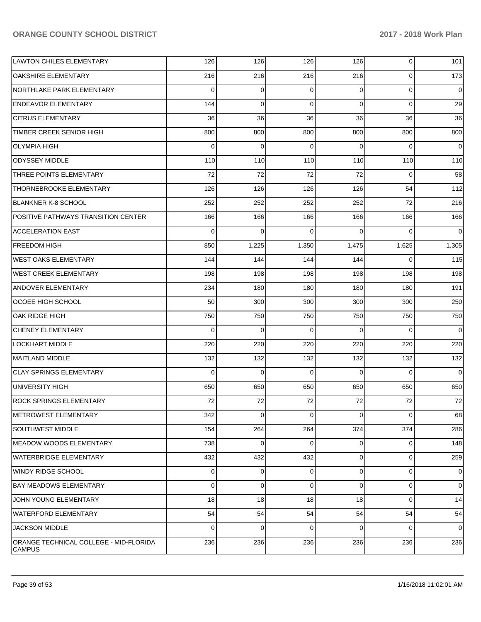| <b>LAWTON CHILES ELEMENTARY</b>                         | 126      | 126      | 126         | 126            | $\mathbf{0}$   | 101         |
|---------------------------------------------------------|----------|----------|-------------|----------------|----------------|-------------|
| <b>OAKSHIRE ELEMENTARY</b>                              | 216      | 216      | 216         | 216            | $\mathbf 0$    | 173         |
| NORTHLAKE PARK ELEMENTARY                               | $\Omega$ | 0        | 0           | $\Omega$       | $\mathbf 0$    | 0           |
| <b>ENDEAVOR ELEMENTARY</b>                              | 144      | $\Omega$ | $\Omega$    | $\Omega$       | $\Omega$       | 29          |
| <b>CITRUS ELEMENTARY</b>                                | 36       | 36       | 36          | 36             | 36             | 36          |
| TIMBER CREEK SENIOR HIGH                                | 800      | 800      | 800         | 800            | 800            | 800         |
| <b>OLYMPIA HIGH</b>                                     | $\Omega$ | $\Omega$ | $\Omega$    | $\Omega$       | $\Omega$       | 0           |
| <b>ODYSSEY MIDDLE</b>                                   | 110      | 110      | 110         | 110            | 110            | 110         |
| THREE POINTS ELEMENTARY                                 | 72       | 72       | 72          | 72             | $\Omega$       | 58          |
| THORNEBROOKE ELEMENTARY                                 | 126      | 126      | 126         | 126            | 54             | 112         |
| <b>BLANKNER K-8 SCHOOL</b>                              | 252      | 252      | 252         | 252            | 72             | 216         |
| POSITIVE PATHWAYS TRANSITION CENTER                     | 166      | 166      | 166         | 166            | 166            | 166         |
| <b>ACCELERATION EAST</b>                                | $\Omega$ | $\Omega$ | $\Omega$    | $\Omega$       | $\Omega$       | $\Omega$    |
| <b>FREEDOM HIGH</b>                                     | 850      | 1,225    | 1,350       | 1,475          | 1,625          | 1,305       |
| WEST OAKS ELEMENTARY                                    | 144      | 144      | 144         | 144            | $\Omega$       | 115         |
| WEST CREEK ELEMENTARY                                   | 198      | 198      | 198         | 198            | 198            | 198         |
| <b>ANDOVER ELEMENTARY</b>                               | 234      | 180      | 180         | 180            | 180            | 191         |
| <b>OCOEE HIGH SCHOOL</b>                                | 50       | 300      | 300         | 300            | 300            | 250         |
| OAK RIDGE HIGH                                          | 750      | 750      | 750         | 750            | 750            | 750         |
| <b>CHENEY ELEMENTARY</b>                                | $\Omega$ | 0        | $\mathbf 0$ | $\Omega$       | $\Omega$       | $\mathbf 0$ |
| <b>LOCKHART MIDDLE</b>                                  | 220      | 220      | 220         | 220            | 220            | 220         |
| MAITLAND MIDDLE                                         | 132      | 132      | 132         | 132            | 132            | 132         |
| <b>CLAY SPRINGS ELEMENTARY</b>                          | $\Omega$ | $\Omega$ | $\Omega$    | $\Omega$       | $\Omega$       | $\Omega$    |
| <b>UNIVERSITY HIGH</b>                                  | 650      | 650      | 650         | 650            | 650            | 650         |
| <b>ROCK SPRINGS ELEMENTARY</b>                          | 72       | 72       | 72          | 72             | 72             | 72          |
| <b>METROWEST ELEMENTARY</b>                             | 342      | 0        | $\mathbf 0$ | $\overline{0}$ | $\overline{0}$ | 68          |
| <b>SOUTHWEST MIDDLE</b>                                 | 154      | 264      | 264         | 374            | 374            | 286         |
| MEADOW WOODS ELEMENTARY                                 | 738      | 0        | 0           | $\Omega$       | 0              | 148         |
| WATERBRIDGE ELEMENTARY                                  | 432      | 432      | 432         | $\Omega$       | $\mathbf 0$    | 259         |
| WINDY RIDGE SCHOOL                                      | 0        | 0        | 0           | $\Omega$       | $\mathbf 0$    | 0           |
| <b>BAY MEADOWS ELEMENTARY</b>                           | $\Omega$ | 0        | $\mathbf 0$ | $\Omega$       | $\mathbf 0$    | 0           |
| JOHN YOUNG ELEMENTARY                                   | 18       | 18       | 18          | 18             | 0              | 14          |
| <b>WATERFORD ELEMENTARY</b>                             | 54       | 54       | 54          | 54             | 54             | 54          |
| <b>JACKSON MIDDLE</b>                                   | $\Omega$ | 0        | $\Omega$    | $\Omega$       | 0              | 0           |
| ORANGE TECHNICAL COLLEGE - MID-FLORIDA<br><b>CAMPUS</b> | 236      | 236      | 236         | 236            | 236            | 236         |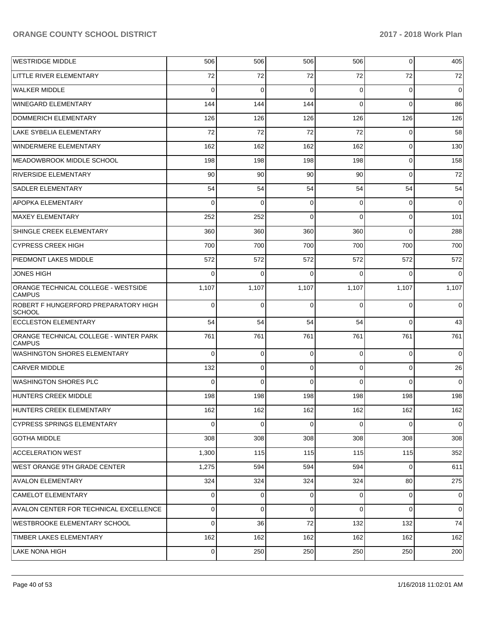| <b>WESTRIDGE MIDDLE</b>                                 | 506      | 506            | 506      | 506      | $\mathbf 0$ | 405         |
|---------------------------------------------------------|----------|----------------|----------|----------|-------------|-------------|
| LITTLE RIVER ELEMENTARY                                 | 72       | 72             | 72       | 72       | 72          | 72          |
| <b>WALKER MIDDLE</b>                                    | $\Omega$ | $\Omega$       | $\Omega$ | 0        | 0           | $\mathbf 0$ |
| WINEGARD ELEMENTARY                                     | 144      | 144            | 144      | $\Omega$ | 0           | 86          |
| DOMMERICH ELEMENTARY                                    | 126      | 126            | 126      | 126      | 126         | 126         |
| LAKE SYBELIA ELEMENTARY                                 | 72       | 72             | 72       | 72       | 0           | 58          |
| WINDERMERE ELEMENTARY                                   | 162      | 162            | 162      | 162      | 0           | 130         |
| MEADOWBROOK MIDDLE SCHOOL                               | 198      | 198            | 198      | 198      | 0           | 158         |
| <b>RIVERSIDE ELEMENTARY</b>                             | 90       | 90             | 90       | 90       | 0           | 72          |
| SADLER ELEMENTARY                                       | 54       | 54             | 54       | 54       | 54          | 54          |
| APOPKA ELEMENTARY                                       | $\Omega$ | $\Omega$       | $\Omega$ | 0        | 0           | $\mathbf 0$ |
| MAXEY ELEMENTARY                                        | 252      | 252            | $\Omega$ | $\Omega$ | $\mathbf 0$ | 101         |
| SHINGLE CREEK ELEMENTARY                                | 360      | 360            | 360      | 360      | 0           | 288         |
| <b>CYPRESS CREEK HIGH</b>                               | 700      | 700            | 700      | 700      | 700         | 700         |
| <b>PIEDMONT LAKES MIDDLE</b>                            | 572      | 572            | 572      | 572      | 572         | 572         |
| <b>JONES HIGH</b>                                       | $\Omega$ | $\Omega$       | $\Omega$ | 0        | $\Omega$    | $\mathbf 0$ |
| ORANGE TECHNICAL COLLEGE - WESTSIDE<br><b>CAMPUS</b>    | 1,107    | 1,107          | 1,107    | 1,107    | 1,107       | 1,107       |
| ROBERT F HUNGERFORD PREPARATORY HIGH<br><b>SCHOOL</b>   | $\Omega$ | $\Omega$       | $\Omega$ | $\Omega$ | 0           | 0           |
| <b>ECCLESTON ELEMENTARY</b>                             | 54       | 54             | 54       | 54       | $\Omega$    | 43          |
| ORANGE TECHNICAL COLLEGE - WINTER PARK<br><b>CAMPUS</b> | 761      | 761            | 761      | 761      | 761         | 761         |
| <b>WASHINGTON SHORES ELEMENTARY</b>                     | $\Omega$ | 0              | $\Omega$ | $\Omega$ | 0           | $\Omega$    |
| <b>CARVER MIDDLE</b>                                    | 132      | 0              | $\Omega$ | 0        | $\mathbf 0$ | 26          |
| <b>WASHINGTON SHORES PLC</b>                            | $\Omega$ | $\Omega$       | $\Omega$ | $\Omega$ | 0           | $\mathbf 0$ |
| HUNTERS CREEK MIDDLE                                    | 198      | 198            | 198      | 198      | 198         | 198         |
| HUNTERS CREEK ELEMENTARY                                | 162      | 1621           | 162      | 162      | 162         | 162         |
| <b>CYPRESS SPRINGS ELEMENTARY</b>                       | $\Omega$ | 0              | $\Omega$ | 0        | 0           | $\mathbf 0$ |
| <b>GOTHA MIDDLE</b>                                     | 308      | 308            | 308      | 308      | 308         | 308         |
| <b>ACCELERATION WEST</b>                                | 1,300    | 115            | 115      | 115      | 115         | 352         |
| WEST ORANGE 9TH GRADE CENTER                            | 1,275    | 594            | 594      | 594      | 0           | 611         |
| <b>AVALON ELEMENTARY</b>                                | 324      | 324            | 324      | 324      | 80          | 275         |
| <b>CAMELOT ELEMENTARY</b>                               | 0        | $\overline{0}$ | 0        | 0        | 0           | 0           |
| AVALON CENTER FOR TECHNICAL EXCELLENCE                  | 0        | 0              | 0        | 0        | 0           | 0           |
| WESTBROOKE ELEMENTARY SCHOOL                            | $\Omega$ | 36             | 72       | 132      | 132         | 74          |
| TIMBER LAKES ELEMENTARY                                 | 162      | 162            | 162      | 162      | 162         | 162         |
| LAKE NONA HIGH                                          | 0        | 250            | 250      | 250      | 250         | 200         |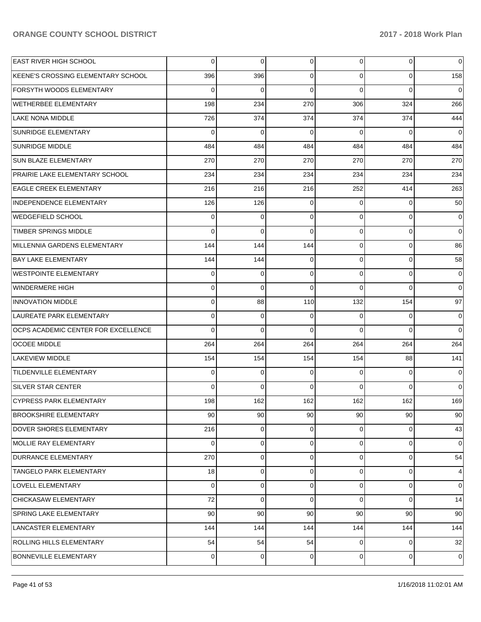| <b>EAST RIVER HIGH SCHOOL</b>         | 0              | 0           | 0           | $\overline{0}$  | 0           | $\overline{0}$ |
|---------------------------------------|----------------|-------------|-------------|-----------------|-------------|----------------|
| KEENE'S CROSSING ELEMENTARY SCHOOL    | 396            | 396         | 0           | $\overline{0}$  | $\Omega$    | 158            |
| <b>FORSYTH WOODS ELEMENTARY</b>       | $\Omega$       | $\Omega$    | $\Omega$    | $\Omega$        | $\Omega$    | $\mathbf 0$    |
| WETHERBEE ELEMENTARY                  | 198            | 234         | 270         | 306             | 324         | 266            |
| <b>LAKE NONA MIDDLE</b>               | 726            | 374         | 374         | 374             | 374         | 444            |
| <b>SUNRIDGE ELEMENTARY</b>            | $\Omega$       | $\Omega$    | $\Omega$    | $\Omega$        | $\Omega$    | $\mathbf 0$    |
| <b>SUNRIDGE MIDDLE</b>                | 484            | 484         | 484         | 484             | 484         | 484            |
| <b>SUN BLAZE ELEMENTARY</b>           | 270            | 270         | 270         | 270             | 270         | 270            |
| <b>PRAIRIE LAKE ELEMENTARY SCHOOL</b> | 234            | 234         | 234         | 234             | 234         | 234            |
| <b>EAGLE CREEK ELEMENTARY</b>         | 216            | 216         | 216         | 252             | 414         | 263            |
| INDEPENDENCE ELEMENTARY               | 126            | 126         | 0           | $\Omega$        | $\Omega$    | 50             |
| WEDGEFIELD SCHOOL                     | $\mathbf 0$    | $\mathbf 0$ | 0           | $\overline{0}$  | 0           | 0              |
| <b>TIMBER SPRINGS MIDDLE</b>          | $\Omega$       | $\Omega$    | $\Omega$    | $\Omega$        | $\Omega$    | $\mathbf 0$    |
| MILLENNIA GARDENS ELEMENTARY          | 144            | 144         | 144         | $\overline{0}$  | 0           | 86             |
| <b>BAY LAKE ELEMENTARY</b>            | 144            | 144         | 0           | $\Omega$        | 0           | 58             |
| WESTPOINTE ELEMENTARY                 | $\mathbf 0$    | $\mathbf 0$ | $\mathbf 0$ | $\overline{0}$  | 0           | 0              |
| WINDERMERE HIGH                       | $\Omega$       | $\Omega$    | $\Omega$    | $\Omega$        | $\Omega$    | $\mathbf 0$    |
| <b>INNOVATION MIDDLE</b>              | $\mathbf 0$    | 88          | 110         | 132             | 154         | 97             |
| LAUREATE PARK ELEMENTARY              | $\mathbf 0$    | $\mathbf 0$ | 0           | $\Omega$        | $\Omega$    | $\mathbf 0$    |
| OCPS ACADEMIC CENTER FOR EXCELLENCE   | $\Omega$       | $\Omega$    | $\Omega$    | $\Omega$        | $\Omega$    | $\Omega$       |
| <b>OCOEE MIDDLE</b>                   | 264            | 264         | 264         | 264             | 264         | 264            |
| LAKEVIEW MIDDLE                       | 154            | 154         | 154         | 154             | 88          | 141            |
| <b>TILDENVILLE ELEMENTARY</b>         | $\mathbf 0$    | $\mathbf 0$ | 0           | $\Omega$        | $\Omega$    | $\mathbf 0$    |
| <b>SILVER STAR CENTER</b>             | $\Omega$       | $\mathbf 0$ | $\Omega$    | $\Omega$        | $\Omega$    | $\mathbf 0$    |
| CYPRESS PARK ELEMENTARY               | 198            | 162         | 162         | 162             | 162         | 169            |
| <b>BROOKSHIRE ELEMENTARY</b>          | 90             | 90          | 90          | 90 <sup>°</sup> | 90          | 90             |
| DOVER SHORES ELEMENTARY               | 216            | $\mathbf 0$ | 0           | $\overline{0}$  | 0           | 43             |
| MOLLIE RAY ELEMENTARY                 | $\Omega$       | $\mathbf 0$ | 0           | $\overline{0}$  | $\mathbf 0$ | $\overline{0}$ |
| <b>DURRANCE ELEMENTARY</b>            | 270            | $\mathbf 0$ | 0           | $\overline{0}$  | 0           | 54             |
| <b>TANGELO PARK ELEMENTARY</b>        | 18             | $\mathbf 0$ | 0           | $\overline{0}$  | 0           | $\overline{4}$ |
| LOVELL ELEMENTARY                     | $\Omega$       | $\mathbf 0$ | 0           | $\overline{0}$  | 0           | $\overline{0}$ |
| CHICKASAW ELEMENTARY                  | 72             | $\mathbf 0$ | 0           | $\overline{0}$  | $\Omega$    | 14             |
| SPRING LAKE ELEMENTARY                | 90             | 90          | 90          | 90              | 90          | 90             |
| LANCASTER ELEMENTARY                  | 144            | 144         | 144         | 144             | 144         | 144            |
| ROLLING HILLS ELEMENTARY              | 54             | 54          | 54          | $\overline{0}$  | 0           | 32             |
| BONNEVILLE ELEMENTARY                 | $\overline{0}$ | 0           | 0           | $\overline{0}$  | 0           | 0              |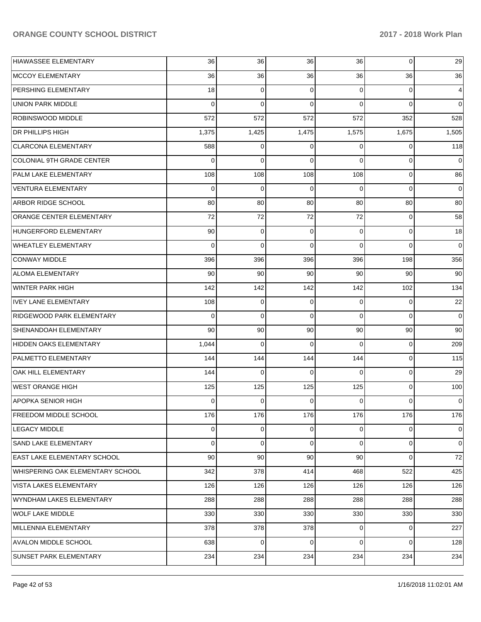| <b>HIAWASSEE ELEMENTARY</b>        | 36       | 36       | 36          | 36       | $\mathbf 0$ | 29          |
|------------------------------------|----------|----------|-------------|----------|-------------|-------------|
| MCCOY ELEMENTARY                   | 36       | 36       | 36          | 36       | 36          | 36          |
| PERSHING ELEMENTARY                | 18       | 0        | 0           | $\Omega$ | 0           | 4           |
| <b>UNION PARK MIDDLE</b>           | $\Omega$ | 0        | $\mathbf 0$ | $\Omega$ | $\Omega$    | 0           |
| ROBINSWOOD MIDDLE                  | 572      | 572      | 572         | 572      | 352         | 528         |
| <b>DR PHILLIPS HIGH</b>            | 1,375    | 1,425    | 1,475       | 1,575    | 1,675       | 1,505       |
| <b>CLARCONA ELEMENTARY</b>         | 588      | 0        | $\Omega$    | 0        | $\Omega$    | 118         |
| <b>COLONIAL 9TH GRADE CENTER</b>   | 0        | 0        | $\Omega$    | $\Omega$ | $\mathbf 0$ | 0           |
| PALM LAKE ELEMENTARY               | 108      | 108      | 108         | 108      | $\mathbf 0$ | 86          |
| <b>VENTURA ELEMENTARY</b>          | 0        | 0        | 0           | $\Omega$ | 0           | 0           |
| ARBOR RIDGE SCHOOL                 | 80       | 80       | 80          | 80       | 80          | 80          |
| ORANGE CENTER ELEMENTARY           | 72       | 72       | 72          | 72       | $\mathbf 0$ | 58          |
| HUNGERFORD ELEMENTARY              | 90       | 0        | 0           | $\Omega$ | $\mathbf 0$ | 18          |
| <b>WHEATLEY ELEMENTARY</b>         | $\Omega$ | 0        | $\Omega$    | $\Omega$ | $\Omega$    | $\mathbf 0$ |
| <b>CONWAY MIDDLE</b>               | 396      | 396      | 396         | 396      | 198         | 356         |
| <b>ALOMA ELEMENTARY</b>            | 90       | 90       | 90          | 90       | 90          | 90          |
| WINTER PARK HIGH                   | 142      | 142      | 142         | 142      | 102         | 134         |
| <b>IVEY LANE ELEMENTARY</b>        | 108      | 0        | 0           | $\Omega$ | $\mathbf 0$ | 22          |
| RIDGEWOOD PARK ELEMENTARY          | $\Omega$ | 0        | $\Omega$    | $\Omega$ | $\Omega$    | $\Omega$    |
| SHENANDOAH ELEMENTARY              | 90       | 90       | 90          | 90       | 90          | 90          |
| HIDDEN OAKS ELEMENTARY             | 1,044    | $\Omega$ | $\Omega$    | $\Omega$ | $\mathbf 0$ | 209         |
| PALMETTO ELEMENTARY                | 144      | 144      | 144         | 144      | $\mathbf 0$ | 115         |
| OAK HILL ELEMENTARY                | 144      | 0        | $\Omega$    | $\Omega$ | $\mathbf 0$ | 29          |
| <b>WEST ORANGE HIGH</b>            | 125      | 125      | 125         | 125      | $\mathbf 0$ | 100         |
| APOPKA SENIOR HIGH                 | 0        | 0        | 0           | 0        | 0           | 0           |
| <b>FREEDOM MIDDLE SCHOOL</b>       | 176      | 176      | 176         | 176      | 176         | 176         |
| <b>LEGACY MIDDLE</b>               | 0        | 0        | 0           | 0        | 0           | 0           |
| SAND LAKE ELEMENTARY               | 0        | 0        | $\mathbf 0$ | 0        | 0           | 0           |
| <b>EAST LAKE ELEMENTARY SCHOOL</b> | 90       | 90       | 90          | 90       | $\mathbf 0$ | 72          |
| WHISPERING OAK ELEMENTARY SCHOOL   | 342      | 378      | 414         | 468      | 522         | 425         |
| VISTA LAKES ELEMENTARY             | 126      | 126      | 126         | 126      | 126         | 126         |
| WYNDHAM LAKES ELEMENTARY           | 288      | 288      | 288         | 288      | 288         | 288         |
| <b>WOLF LAKE MIDDLE</b>            | 330      | 330      | 330         | 330      | 330         | 330         |
| MILLENNIA ELEMENTARY               | 378      | 378      | 378         | 0        | 0           | 227         |
| <b>AVALON MIDDLE SCHOOL</b>        | 638      | 0        | 0           | 0        | $\mathbf 0$ | 128         |
| SUNSET PARK ELEMENTARY             | 234      | 234      | 234         | 234      | 234         | 234         |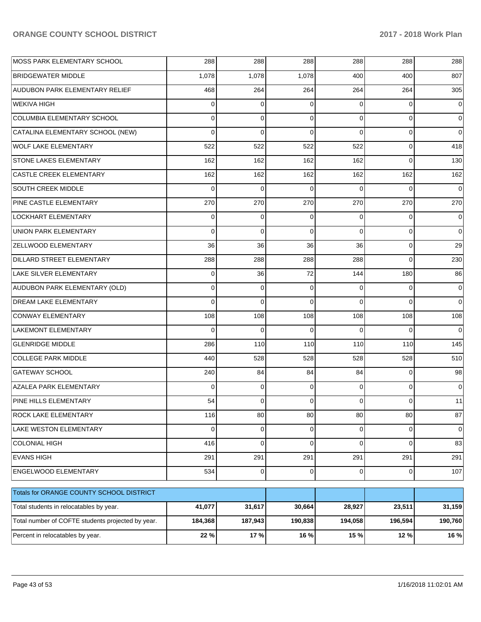| MOSS PARK ELEMENTARY SCHOOL                       | 288            | 288         | 288      | 288            | 288          | 288         |
|---------------------------------------------------|----------------|-------------|----------|----------------|--------------|-------------|
| <b>BRIDGEWATER MIDDLE</b>                         | 1,078          | 1,078       | 1,078    | 400            | 400          | 807         |
| AUDUBON PARK ELEMENTARY RELIEF                    | 468            | 264         | 264      | 264            | 264          | 305         |
| <b>WEKIVA HIGH</b>                                | $\Omega$       | 0           | 0        | $\Omega$       | 0            | 0           |
| COLUMBIA ELEMENTARY SCHOOL                        | $\Omega$       | 0           | 0        | $\Omega$       | 0            | $\Omega$    |
| CATALINA ELEMENTARY SCHOOL (NEW)                  | $\Omega$       | $\mathbf 0$ | 0        | $\Omega$       | 0            | 0           |
| <b>WOLF LAKE ELEMENTARY</b>                       | 522            | 522         | 522      | 522            | 0            | 418         |
| STONE LAKES ELEMENTARY                            | 162            | 162         | 162      | 162            | $\Omega$     | 130         |
| CASTLE CREEK ELEMENTARY                           | 162            | 162         | 162      | 162            | 162          | 162         |
| SOUTH CREEK MIDDLE                                | $\Omega$       | $\mathbf 0$ | 0        | $\Omega$       | $\Omega$     | 0           |
| <b>PINE CASTLE ELEMENTARY</b>                     | 270            | 270         | 270      | 270            | 270          | 270         |
| LOCKHART ELEMENTARY                               | 0              | 0           | 0        | $\Omega$       | 0            | 0           |
| <b>UNION PARK ELEMENTARY</b>                      | $\Omega$       | $\mathbf 0$ | 0        | $\Omega$       | 0            | $\Omega$    |
| <b>ZELLWOOD ELEMENTARY</b>                        | 36             | 36          | 36       | 36             | 0            | 29          |
| DILLARD STREET ELEMENTARY                         | 288            | 288         | 288      | 288            | $\Omega$     | 230         |
| LAKE SILVER ELEMENTARY                            | 0              | 36          | 72       | 144            | 180          | 86          |
| AUDUBON PARK ELEMENTARY (OLD)                     | $\Omega$       | 0           | 0        | $\Omega$       | 0            | $\Omega$    |
| <b>DREAM LAKE ELEMENTARY</b>                      | $\Omega$       | $\mathbf 0$ | $\Omega$ | $\Omega$       | $\Omega$     | $\mathbf 0$ |
| <b>CONWAY ELEMENTARY</b>                          | 108            | 108         | 108      | 108            | 108          | 108         |
| LAKEMONT ELEMENTARY                               | $\Omega$       | $\mathbf 0$ | 0        | $\Omega$       | $\Omega$     | $\mathbf 0$ |
| <b>GLENRIDGE MIDDLE</b>                           | 286            | 110         | 110      | 110            | 110          | 145         |
| <b>COLLEGE PARK MIDDLE</b>                        | 440            | 528         | 528      | 528            | 528          | 510         |
| <b>GATEWAY SCHOOL</b>                             | 240            | 84          | 84       | 84             | 0            | 98          |
| AZALEA PARK ELEMENTARY                            | $\Omega$       | 0           | 0        | $\Omega$       | 0            | 0           |
| PINE HILLS ELEMENTARY                             | 54             | 0           | 0        | 0              | 0            | 11          |
| ROCK LAKE ELEMENTARY                              | 116            | 80          | 80       | 80             | 80           | 87          |
| LAKE WESTON ELEMENTARY                            | $\overline{0}$ | 0           | 0        | $\mathbf 0$    | 0            | 0           |
| <b>COLONIAL HIGH</b>                              | 416            | $\mathbf 0$ | 0        | $\Omega$       | 0            | 83          |
| <b>EVANS HIGH</b>                                 | 291            | 291         | 291      | 291            | 291          | 291         |
| ENGELWOOD ELEMENTARY                              | 534            | 0           | 0        | $\overline{0}$ | $\mathbf{O}$ | 107         |
| Totals for ORANGE COUNTY SCHOOL DISTRICT          |                |             |          |                |              |             |
| Total students in relocatables by year.           | 41,077         | 31,617      | 30,664   | 28,927         | 23,511       | 31,159      |
| Total number of COFTE students projected by year. | 184,368        | 187,943     | 190,838  | 194,058        | 196,594      | 190,760     |
| Percent in relocatables by year.                  | 22 %           | 17%         | 16 %     | 15 %           | 12 %         | 16 %        |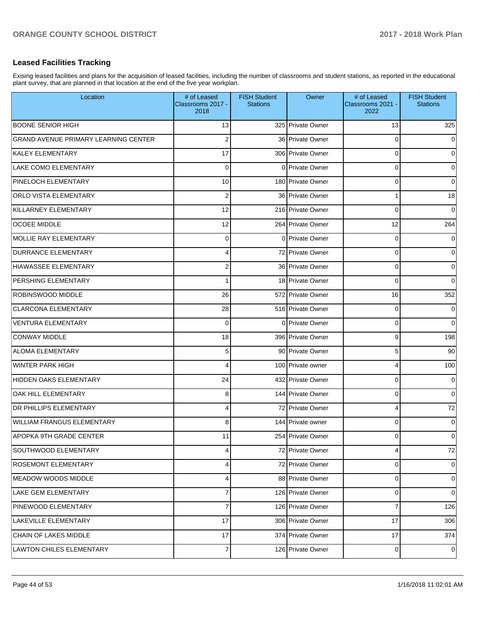## **Leased Facilities Tracking**

Exising leased facilities and plans for the acquisition of leased facilities, including the number of classrooms and student stations, as reported in the educational plant survey, that are planned in that location at the end of the five year workplan.

| Location                                    | # of Leased<br>Classrooms 2017 -<br>2018 | <b>FISH Student</b><br><b>Stations</b> | Owner             | # of Leased<br>Classrooms 2021 -<br>2022 | <b>FISH Student</b><br><b>Stations</b> |
|---------------------------------------------|------------------------------------------|----------------------------------------|-------------------|------------------------------------------|----------------------------------------|
| <b>BOONE SENIOR HIGH</b>                    | 13                                       |                                        | 325 Private Owner | 13                                       | 325                                    |
| <b>GRAND AVENUE PRIMARY LEARNING CENTER</b> | $\overline{2}$                           |                                        | 36 Private Owner  | 0                                        | 0                                      |
| <b>KALEY ELEMENTARY</b>                     | 17                                       |                                        | 306 Private Owner | 0                                        | 0                                      |
| <b>LAKE COMO ELEMENTARY</b>                 | $\mathbf 0$                              |                                        | 0 Private Owner   | 0                                        | 0                                      |
| PINELOCH ELEMENTARY                         | 10                                       |                                        | 180 Private Owner | 0                                        | 0                                      |
| <b>ORLO VISTA ELEMENTARY</b>                | $\overline{2}$                           |                                        | 36 Private Owner  | 1                                        | 18                                     |
| KILLARNEY ELEMENTARY                        | 12                                       |                                        | 216 Private Owner | 0                                        | 0                                      |
| <b>OCOEE MIDDLE</b>                         | 12                                       |                                        | 264 Private Owner | 12                                       | 264                                    |
| MOLLIE RAY ELEMENTARY                       | 0                                        |                                        | 0 Private Owner   | 0                                        | 0                                      |
| <b>DURRANCE ELEMENTARY</b>                  | 4                                        |                                        | 72 Private Owner  | 0                                        | 0                                      |
| HIAWASSEE ELEMENTARY                        | $\overline{2}$                           |                                        | 36 Private Owner  | 0                                        | 0                                      |
| PERSHING ELEMENTARY                         |                                          |                                        | 18 Private Owner  | 0                                        | 0                                      |
| ROBINSWOOD MIDDLE                           | 26                                       |                                        | 572 Private Owner | 16                                       | 352                                    |
| <b>CLARCONA ELEMENTARY</b>                  | 28                                       |                                        | 516 Private Owner | 0                                        | 0                                      |
| <b>VENTURA ELEMENTARY</b>                   | $\mathbf 0$                              |                                        | 0 Private Owner   | 0                                        | $\Omega$                               |
| <b>CONWAY MIDDLE</b>                        | 18                                       |                                        | 396 Private Owner | 9                                        | 198                                    |
| <b>ALOMA ELEMENTARY</b>                     | 5                                        |                                        | 90 Private Owner  | 5                                        | 90                                     |
| <b>WINTER PARK HIGH</b>                     | 4                                        |                                        | 100 Private owner | 4                                        | 100                                    |
| <b>HIDDEN OAKS ELEMENTARY</b>               | 24                                       |                                        | 432 Private Owner | 0                                        | 0                                      |
| OAK HILL ELEMENTARY                         | 8                                        |                                        | 144 Private Owner | 0                                        | 0                                      |
| <b>DR PHILLIPS ELEMENTARY</b>               | 4                                        |                                        | 72 Private Owner  | 4                                        | 72                                     |
| <b>WILLIAM FRANGUS ELEMENTARY</b>           | 8                                        |                                        | 144 Private owner | 0                                        | 0                                      |
| <b>APOPKA 9TH GRADE CENTER</b>              | 11                                       |                                        | 254 Private Owner | 0                                        | 0                                      |
| SOUTHWOOD ELEMENTARY                        | 4                                        |                                        | 72 Private Owner  | 4                                        | $72\,$                                 |
| <b>ROSEMONT ELEMENTARY</b>                  | 4                                        |                                        | 72 Private Owner  | 0                                        | 0                                      |
| MEADOW WOODS MIDDLE                         | 4                                        |                                        | 88 Private Owner  | 0                                        | 0                                      |
| <b>LAKE GEM ELEMENTARY</b>                  | $\overline{7}$                           |                                        | 126 Private Owner | 0                                        | 0                                      |
| PINEWOOD ELEMENTARY                         | $\overline{7}$                           |                                        | 126 Private Owner | 7                                        | 126                                    |
| <b>LAKEVILLE ELEMENTARY</b>                 | 17                                       |                                        | 306 Private Owner | 17                                       | 306                                    |
| CHAIN OF LAKES MIDDLE                       | 17                                       |                                        | 374 Private Owner | 17                                       | 374                                    |
| LAWTON CHILES ELEMENTARY                    | $\overline{7}$                           |                                        | 126 Private Owner | 0                                        | $\overline{0}$                         |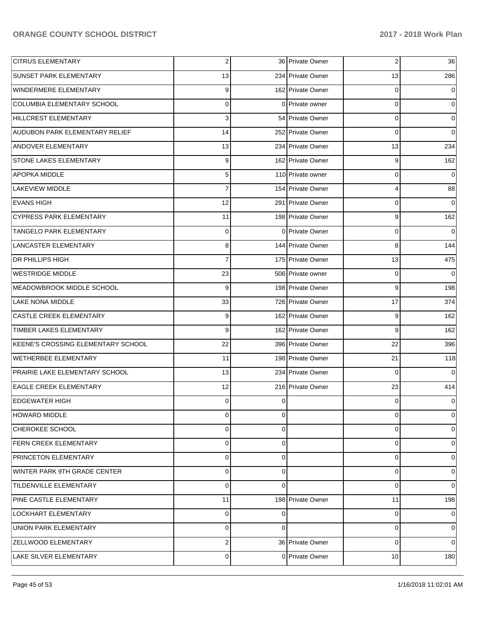| <b>CITRUS ELEMENTARY</b>           | $\overline{2}$ |          | 36 Private Owner  | 2  | 36                  |
|------------------------------------|----------------|----------|-------------------|----|---------------------|
| <b>SUNSET PARK ELEMENTARY</b>      | 13             |          | 234 Private Owner | 13 | 286                 |
| WINDERMERE ELEMENTARY              | 9              |          | 162 Private Owner | 0  | 0                   |
| COLUMBIA ELEMENTARY SCHOOL         | 0              |          | 0 Private owner   | 0  | $\mathbf 0$         |
| HILLCREST ELEMENTARY               | 3              |          | 54 Private Owner  | 0  | $\mathbf 0$         |
| AUDUBON PARK ELEMENTARY RELIEF     | 14             |          | 252 Private Owner | 0  | $\overline{0}$      |
| <b>ANDOVER ELEMENTARY</b>          | 13             |          | 234 Private Owner | 13 | 234                 |
| STONE LAKES ELEMENTARY             | 9              |          | 162 Private Owner | 9  | 162                 |
| <b>APOPKA MIDDLE</b>               | 5              |          | 110 Private owner | 0  | $\overline{0}$      |
| <b>LAKEVIEW MIDDLE</b>             | $\overline{7}$ |          | 154 Private Owner | 4  | 88                  |
| <b>EVANS HIGH</b>                  | 12             |          | 291 Private Owner | 0  | 0                   |
| <b>CYPRESS PARK ELEMENTARY</b>     | 11             |          | 198 Private Owner | 9  | 162                 |
| TANGELO PARK ELEMENTARY            | 0              |          | 0 Private Owner   | 0  | 0                   |
| LANCASTER ELEMENTARY               | 8              |          | 144 Private Owner | 8  | 144                 |
| <b>DR PHILLIPS HIGH</b>            | $\overline{7}$ |          | 175 Private Owner | 13 | 475                 |
| <b>WESTRIDGE MIDDLE</b>            | 23             |          | 506 Private owner | 0  | $\mathsf{O}\xspace$ |
| MEADOWBROOK MIDDLE SCHOOL          | 9              |          | 198 Private Owner | 9  | 198                 |
| <b>LAKE NONA MIDDLE</b>            | 33             |          | 726 Private Owner | 17 | 374                 |
| CASTLE CREEK ELEMENTARY            | 9              |          | 162 Private Owner | 9  | 162                 |
| TIMBER LAKES ELEMENTARY            | 9              |          | 162 Private Owner | 9  | 162                 |
| KEENE'S CROSSING ELEMENTARY SCHOOL | 22             |          | 396 Private Owner | 22 | 396                 |
| WETHERBEE ELEMENTARY               | 11             |          | 198 Private Owner | 21 | 118                 |
| PRAIRIE LAKE ELEMENTARY SCHOOL     | 13             |          | 234 Private Owner | 0  | 0                   |
| <b>EAGLE CREEK ELEMENTARY</b>      | 12             |          | 216 Private Owner | 23 | 414                 |
| <b>EDGEWATER HIGH</b>              | 0              | 0        |                   | 0  | $\overline{0}$      |
| <b>HOWARD MIDDLE</b>               | 0              | $\Omega$ |                   | 0  | $\overline{0}$      |
| CHEROKEE SCHOOL                    | 0              | 0        |                   | 0  | $\overline{0}$      |
| <b>FERN CREEK ELEMENTARY</b>       | 0              | 0        |                   | 0  | $\overline{0}$      |
| PRINCETON ELEMENTARY               | 0              | 0        |                   | 0  | $\overline{0}$      |
| WINTER PARK 9TH GRADE CENTER       | 0              | 0        |                   | 0  | $\overline{0}$      |
| TILDENVILLE ELEMENTARY             | $\mathbf 0$    | $\Omega$ |                   | 0  | $\overline{0}$      |
| PINE CASTLE ELEMENTARY             | 11             |          | 198 Private Owner | 11 | 198                 |
| LOCKHART ELEMENTARY                | 0              | 0        |                   | 0  | $\overline{0}$      |
| UNION PARK ELEMENTARY              | 0              | $\Omega$ |                   | 0  | $\overline{0}$      |
| ZELLWOOD ELEMENTARY                | 2              |          | 36 Private Owner  | 0  | $\overline{0}$      |
| LAKE SILVER ELEMENTARY             | 0              |          | 0 Private Owner   | 10 | 180                 |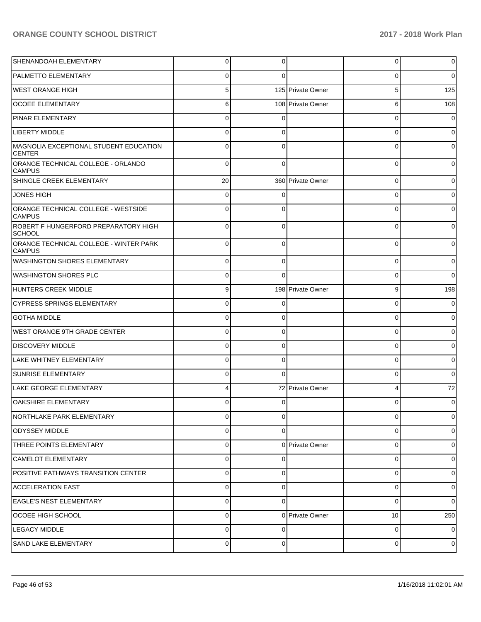| SHENANDOAH ELEMENTARY                                   | 0           | 0        |                   | 0        | 0            |
|---------------------------------------------------------|-------------|----------|-------------------|----------|--------------|
| <b>PALMETTO ELEMENTARY</b>                              | ∩           | C        |                   | $\Omega$ | 0            |
| WEST ORANGE HIGH                                        | 5           |          | 125 Private Owner | 5        | 125          |
| <b>OCOEE ELEMENTARY</b>                                 | 6           |          | 108 Private Owner | 6        | 108          |
| <b>PINAR ELEMENTARY</b>                                 | $\Omega$    | $\Omega$ |                   | $\Omega$ |              |
| <b>LIBERTY MIDDLE</b>                                   | C           | 0        |                   | $\Omega$ | 0            |
| MAGNOLIA EXCEPTIONAL STUDENT EDUCATION<br><b>CENTER</b> | $\Omega$    | 0        |                   | $\Omega$ |              |
| ORANGE TECHNICAL COLLEGE - ORLANDO<br><b>CAMPUS</b>     | $\Omega$    | $\Omega$ |                   | 0        | 0            |
| SHINGLE CREEK ELEMENTARY                                | 20          |          | 360 Private Owner | 0        | o            |
| <b>JONES HIGH</b>                                       | $\Omega$    | 0        |                   | 0        |              |
| ORANGE TECHNICAL COLLEGE - WESTSIDE<br><b>CAMPUS</b>    | $\Omega$    | 0        |                   | 0        | o            |
| ROBERT F HUNGERFORD PREPARATORY HIGH<br><b>SCHOOL</b>   | $\Omega$    | 0        |                   | $\Omega$ |              |
| ORANGE TECHNICAL COLLEGE - WINTER PARK<br><b>CAMPUS</b> | $\Omega$    | 0        |                   | 0        | <sup>0</sup> |
| <b>WASHINGTON SHORES ELEMENTARY</b>                     | $\Omega$    | 0        |                   | 0        | 0            |
| <b>WASHINGTON SHORES PLC</b>                            | $\Omega$    | 0        |                   | 0        | 0            |
| HUNTERS CREEK MIDDLE                                    | 9           |          | 198 Private Owner | 9        | 198          |
| <b>CYPRESS SPRINGS ELEMENTARY</b>                       | $\Omega$    | 0        |                   | 0        |              |
| <b>GOTHA MIDDLE</b>                                     | $\Omega$    | 0        |                   | 0        |              |
| <b>WEST ORANGE 9TH GRADE CENTER</b>                     | $\Omega$    | 0        |                   | 0        | 0            |
| <b>DISCOVERY MIDDLE</b>                                 | $\Omega$    | 0        |                   | 0        |              |
| LAKE WHITNEY ELEMENTARY                                 | $\Omega$    | 0        |                   | 0        | 0            |
| <b>SUNRISE ELEMENTARY</b>                               | $\Omega$    | 0        |                   | 0        | 0            |
| LAKE GEORGE ELEMENTARY                                  | 4           |          | 72 Private Owner  | 4        | 72           |
| <b>OAKSHIRE ELEMENTARY</b>                              |             |          |                   | 0        |              |
| NORTHLAKE PARK ELEMENTARY                               | 0           | 0        |                   | 0        | 0            |
| <b>ODYSSEY MIDDLE</b>                                   | 0           | 0        |                   | 0        | 0            |
| THREE POINTS ELEMENTARY                                 | 0           |          | 0 Private Owner   | 0        | 0            |
| <b>CAMELOT ELEMENTARY</b>                               | $\Omega$    | 0        |                   | 0        | 0            |
| POSITIVE PATHWAYS TRANSITION CENTER                     | $\Omega$    | 0        |                   | 0        | $\Omega$     |
| <b>ACCELERATION EAST</b>                                | $\Omega$    | 0        |                   | 0        | 0            |
| <b>EAGLE'S NEST ELEMENTARY</b>                          | $\Omega$    | 0        |                   | 0        | $\Omega$     |
| OCOEE HIGH SCHOOL                                       | 0           |          | 0 Private Owner   | 10       | 250          |
| <b>LEGACY MIDDLE</b>                                    | $\Omega$    | 0        |                   | 0        | 0            |
| <b>SAND LAKE ELEMENTARY</b>                             | $\mathbf 0$ | 0        |                   | 0        | 0            |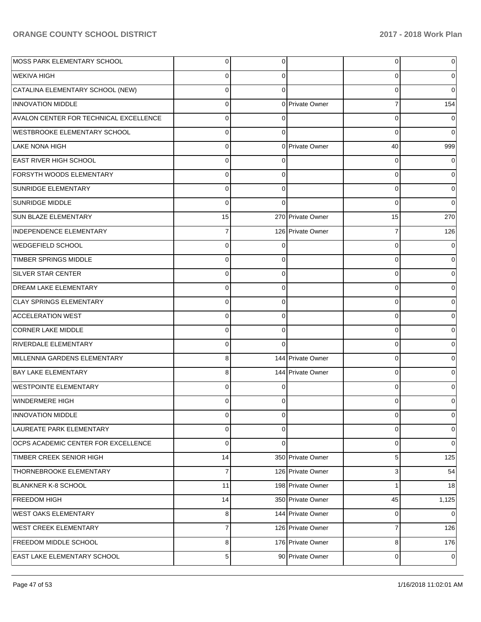| MOSS PARK ELEMENTARY SCHOOL            | $\overline{0}$ | 0        |                   | 0              | 0           |
|----------------------------------------|----------------|----------|-------------------|----------------|-------------|
| <b>WEKIVA HIGH</b>                     | $\mathbf 0$    | 0        |                   | 0              | 0           |
| CATALINA ELEMENTARY SCHOOL (NEW)       | $\mathbf 0$    | $\Omega$ |                   | 0              | $\Omega$    |
| <b>INNOVATION MIDDLE</b>               | $\mathbf 0$    |          | 0 Private Owner   | $\overline{7}$ | 154         |
| AVALON CENTER FOR TECHNICAL EXCELLENCE | $\mathbf 0$    | $\Omega$ |                   | $\mathbf 0$    | $\Omega$    |
| <b>WESTBROOKE ELEMENTARY SCHOOL</b>    | $\mathbf 0$    | 0        |                   | $\mathbf 0$    | $\mathbf 0$ |
| LAKE NONA HIGH                         | $\mathbf 0$    |          | 0 Private Owner   | 40             | 999         |
| <b>EAST RIVER HIGH SCHOOL</b>          | $\mathbf 0$    | 0        |                   | 0              | 0           |
| <b>FORSYTH WOODS ELEMENTARY</b>        | $\mathbf 0$    | 0        |                   | 0              | 0           |
| <b>SUNRIDGE ELEMENTARY</b>             | $\mathbf 0$    | 0        |                   | 0              | 0           |
| <b>SUNRIDGE MIDDLE</b>                 | $\Omega$       | $\Omega$ |                   | $\mathbf 0$    | $\mathbf 0$ |
| <b>SUN BLAZE ELEMENTARY</b>            | 15             |          | 270 Private Owner | 15             | 270         |
| <b>INDEPENDENCE ELEMENTARY</b>         | $\overline{7}$ |          | 126 Private Owner | $\overline{7}$ | 126         |
| WEDGEFIELD SCHOOL                      | $\mathbf 0$    | 0        |                   | 0              | 0           |
| <b>TIMBER SPRINGS MIDDLE</b>           | $\mathbf 0$    | 0        |                   | 0              | $\Omega$    |
| <b>SILVER STAR CENTER</b>              | $\mathbf 0$    | 0        |                   | 0              | 0           |
| <b>DREAM LAKE ELEMENTARY</b>           | $\mathbf 0$    | 0        |                   | 0              | $\Omega$    |
| <b>CLAY SPRINGS ELEMENTARY</b>         | $\mathbf 0$    | 0        |                   | 0              | 0           |
| <b>ACCELERATION WEST</b>               | $\mathbf 0$    | 0        |                   | 0              | $\Omega$    |
| <b>CORNER LAKE MIDDLE</b>              | $\mathbf 0$    | 0        |                   | 0              | 0           |
| <b>RIVERDALE ELEMENTARY</b>            | $\mathbf 0$    | $\Omega$ |                   | 0              | $\Omega$    |
| MILLENNIA GARDENS ELEMENTARY           | 8              |          | 144 Private Owner | 0              | 0           |
| <b>BAY LAKE ELEMENTARY</b>             | 8              |          | 144 Private Owner | $\mathbf 0$    | $\Omega$    |
| <b>WESTPOINTE ELEMENTARY</b>           | $\mathbf 0$    | 0        |                   | 0              | 0           |
| WINDERMERE HIGH                        | 0              | ∩        |                   | 0              |             |
| <b>INNOVATION MIDDLE</b>               | $\mathbf 0$    | 0        |                   | 0              | 0           |
| LAUREATE PARK ELEMENTARY               | $\mathbf 0$    | 0        |                   | 0              | 0           |
| OCPS ACADEMIC CENTER FOR EXCELLENCE    | $\mathbf 0$    | $\Omega$ |                   | 0              | 0           |
| TIMBER CREEK SENIOR HIGH               | 14             |          | 350 Private Owner | 5              | 125         |
| THORNEBROOKE ELEMENTARY                | $\overline{7}$ |          | 126 Private Owner | 3              | 54          |
| <b>BLANKNER K-8 SCHOOL</b>             | 11             |          | 198 Private Owner | 1              | 18          |
| <b>FREEDOM HIGH</b>                    | 14             |          | 350 Private Owner | 45             | 1,125       |
| <b>WEST OAKS ELEMENTARY</b>            | 8              |          | 144 Private Owner | $\mathbf 0$    | $\mathbf 0$ |
| WEST CREEK ELEMENTARY                  | $\overline{7}$ |          | 126 Private Owner | $\overline{7}$ | 126         |
| <b>FREEDOM MIDDLE SCHOOL</b>           | 8              |          | 176 Private Owner | 8              | 176         |
| <b>EAST LAKE ELEMENTARY SCHOOL</b>     | $\sqrt{5}$     |          | 90 Private Owner  | 0              | $\mathbf 0$ |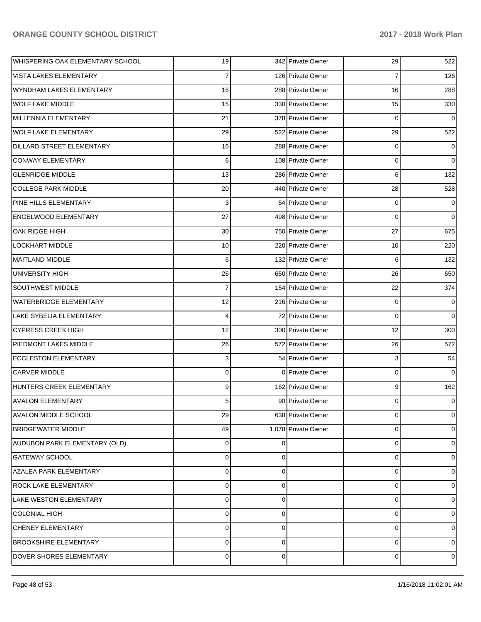| WHISPERING OAK ELEMENTARY SCHOOL | 19             |    | 342 Private Owner   | 29 | 522            |
|----------------------------------|----------------|----|---------------------|----|----------------|
| VISTA LAKES ELEMENTARY           | 7              |    | 126 Private Owner   | 7  | 126            |
| WYNDHAM LAKES ELEMENTARY         | 16             |    | 288 Private Owner   | 16 | 288            |
| WOLF LAKE MIDDLE                 | 15             |    | 330 Private Owner   | 15 | 330            |
| MILLENNIA ELEMENTARY             | 21             |    | 378 Private Owner   | 0  | 0              |
| <b>WOLF LAKE ELEMENTARY</b>      | 29             |    | 522 Private Owner   | 29 | 522            |
| DILLARD STREET ELEMENTARY        | 16             |    | 288 Private Owner   | 0  | 0              |
| CONWAY ELEMENTARY                | 6              |    | 108 Private Owner   | 0  | 0              |
| <b>GLENRIDGE MIDDLE</b>          | 13             |    | 286 Private Owner   | 6  | 132            |
| COLLEGE PARK MIDDLE              | 20             |    | 440 Private Owner   | 28 | 528            |
| PINE HILLS ELEMENTARY            | 3              |    | 54 Private Owner    | 0  | 0              |
| <b>ENGELWOOD ELEMENTARY</b>      | 27             |    | 498 Private Owner   | 0  | 0              |
| OAK RIDGE HIGH                   | 30             |    | 750 Private Owner   | 27 | 675            |
| <b>LOCKHART MIDDLE</b>           | 10             |    | 220 Private Owner   | 10 | 220            |
| MAITLAND MIDDLE                  | 6              |    | 132 Private Owner   | 6  | 132            |
| UNIVERSITY HIGH                  | 26             |    | 650 Private Owner   | 26 | 650            |
| SOUTHWEST MIDDLE                 | 7              |    | 154 Private Owner   | 22 | 374            |
| WATERBRIDGE ELEMENTARY           | 12             |    | 216 Private Owner   | 0  | 0              |
| LAKE SYBELIA ELEMENTARY          | 4              |    | 72 Private Owner    | 0  | 0              |
| CYPRESS CREEK HIGH               | 12             |    | 300 Private Owner   | 12 | 300            |
| <b>PIEDMONT LAKES MIDDLE</b>     | 26             |    | 572 Private Owner   | 26 | 572            |
| <b>ECCLESTON ELEMENTARY</b>      | 3              |    | 54 Private Owner    | 3  | 54             |
| <b>CARVER MIDDLE</b>             | 0              |    | 0 Private Owner     | 0  | 0              |
| HUNTERS CREEK ELEMENTARY         | 9              |    | 162 Private Owner   | 9  | 162            |
| <b>AVALON ELEMENTARY</b>         | 5              |    | 90 Private Owner    | 0  | 0              |
| <b>AVALON MIDDLE SCHOOL</b>      | 29             |    | 638 Private Owner   | 0  | 0              |
| <b>BRIDGEWATER MIDDLE</b>        | 49             |    | 1,078 Private Owner | 0  | 0              |
| AUDUBON PARK ELEMENTARY (OLD)    | 0              | U  |                     | 0  | 0              |
| <b>GATEWAY SCHOOL</b>            | 0              | 0  |                     | 0  | 0              |
| AZALEA PARK ELEMENTARY           | 0              | 0  |                     | 0  | $\Omega$       |
| <b>ROCK LAKE ELEMENTARY</b>      | 0              | 0  |                     | 0  | 0              |
| LAKE WESTON ELEMENTARY           | 0              | 0  |                     | 0  | 0              |
| COLONIAL HIGH                    | 0              | 0  |                     | 0  | 0              |
| <b>CHENEY ELEMENTARY</b>         | 0              | 0  |                     | 0  | 0              |
| <b>BROOKSHIRE ELEMENTARY</b>     | 0              | 0  |                     | 0  | 0              |
| DOVER SHORES ELEMENTARY          | $\overline{0}$ | 01 |                     | 0  | $\overline{0}$ |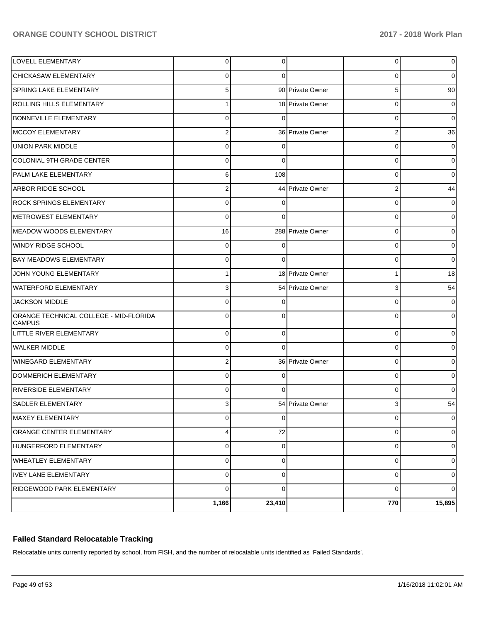|                                                         | 1,166          | 23,410      |                   | 770                     | 15,895      |
|---------------------------------------------------------|----------------|-------------|-------------------|-------------------------|-------------|
| RIDGEWOOD PARK ELEMENTARY                               | $\mathbf 0$    | 0           |                   | 0                       | 0           |
| <b>IVEY LANE ELEMENTARY</b>                             | $\mathsf 0$    | 0           |                   | 0                       | 0           |
| <b>WHEATLEY ELEMENTARY</b>                              | $\mathsf 0$    | 0           |                   | 0                       | 0           |
| HUNGERFORD ELEMENTARY                                   | $\pmb{0}$      | 0           |                   | 0                       | 0           |
| ORANGE CENTER ELEMENTARY                                | 4              | 72          |                   | 0                       | 0           |
| MAXEY ELEMENTARY                                        | $\pmb{0}$      | $\mathbf 0$ |                   | 0                       | $\pmb{0}$   |
| <b>SADLER ELEMENTARY</b>                                | 3              |             | 54 Private Owner  | 3                       | 54          |
| <b>RIVERSIDE ELEMENTARY</b>                             | $\mathbf 0$    | $\Omega$    |                   | 0                       | 0           |
| DOMMERICH ELEMENTARY                                    | $\mathbf 0$    | $\Omega$    |                   | 0                       | 0           |
| WINEGARD ELEMENTARY                                     | $\overline{2}$ |             | 36 Private Owner  | 0                       | 0           |
| <b>WALKER MIDDLE</b>                                    | $\mathbf 0$    | $\Omega$    |                   | 0                       | 0           |
| LITTLE RIVER ELEMENTARY                                 | $\mathbf 0$    | 0           |                   | 0                       | 0           |
| ORANGE TECHNICAL COLLEGE - MID-FLORIDA<br><b>CAMPUS</b> | $\Omega$       | $\Omega$    |                   | $\Omega$                | $\Omega$    |
| <b>JACKSON MIDDLE</b>                                   | $\Omega$       | 0           |                   | 0                       | 0           |
| <b>WATERFORD ELEMENTARY</b>                             | $\overline{3}$ |             | 54 Private Owner  | 3                       | 54          |
| JOHN YOUNG ELEMENTARY                                   | $\mathbf{1}$   |             | 18 Private Owner  | 1                       | 18          |
| <b>BAY MEADOWS ELEMENTARY</b>                           | $\mathbf 0$    | $\Omega$    |                   | $\mathbf 0$             | $\mathbf 0$ |
| WINDY RIDGE SCHOOL                                      | $\mathbf 0$    | 0           |                   | 0                       | 0           |
| MEADOW WOODS ELEMENTARY                                 | 16             |             | 288 Private Owner | $\mathbf 0$             | 0           |
| METROWEST ELEMENTARY                                    | $\Omega$       | $\Omega$    |                   | 0                       | 0           |
| <b>ROCK SPRINGS ELEMENTARY</b>                          | $\mathbf 0$    | $\Omega$    |                   | $\mathbf 0$             | 0           |
| <b>ARBOR RIDGE SCHOOL</b>                               | $\overline{2}$ |             | 44 Private Owner  | $\overline{\mathbf{c}}$ | 44          |
| PALM LAKE ELEMENTARY                                    | 6              | 108         |                   | $\mathbf 0$             | $\mathbf 0$ |
| COLONIAL 9TH GRADE CENTER                               | $\Omega$       | $\Omega$    |                   | 0                       | 0           |
| UNION PARK MIDDLE                                       | $\mathbf 0$    | $\Omega$    |                   | $\mathbf 0$             | 0           |
| MCCOY ELEMENTARY                                        | $\overline{2}$ |             | 36 Private Owner  | $\overline{\mathbf{c}}$ | 36          |
| <b>BONNEVILLE ELEMENTARY</b>                            | $\Omega$       | $\Omega$    |                   | $\mathbf 0$             | $\mathbf 0$ |
| <b>ROLLING HILLS ELEMENTARY</b>                         | 1              |             | 18 Private Owner  | $\mathbf 0$             | 0           |
| <b>SPRING LAKE ELEMENTARY</b>                           | 5              |             | 90 Private Owner  | 5                       | 90          |
| <b>CHICKASAW ELEMENTARY</b>                             | $\Omega$       | $\Omega$    |                   | 0                       | 0           |
| <b>LOVELL ELEMENTARY</b>                                | $\overline{0}$ | 0           |                   | 0                       | 0           |

## **Failed Standard Relocatable Tracking**

Relocatable units currently reported by school, from FISH, and the number of relocatable units identified as 'Failed Standards'.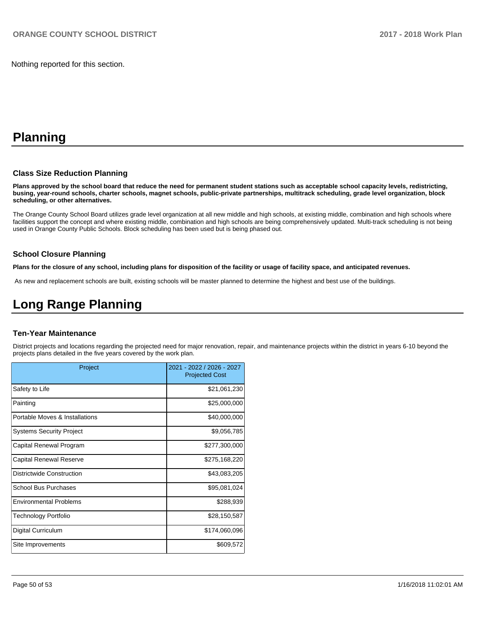Nothing reported for this section.

# **Planning**

#### **Class Size Reduction Planning**

**Plans approved by the school board that reduce the need for permanent student stations such as acceptable school capacity levels, redistricting, busing, year-round schools, charter schools, magnet schools, public-private partnerships, multitrack scheduling, grade level organization, block scheduling, or other alternatives.**

The Orange County School Board utilizes grade level organization at all new middle and high schools, at existing middle, combination and high schools where facilities support the concept and where existing middle, combination and high schools are being comprehensively updated. Multi-track scheduling is not being used in Orange County Public Schools. Block scheduling has been used but is being phased out.

#### **School Closure Planning**

**Plans for the closure of any school, including plans for disposition of the facility or usage of facility space, and anticipated revenues.** 

As new and replacement schools are built, existing schools will be master planned to determine the highest and best use of the buildings.

# **Long Range Planning**

#### **Ten-Year Maintenance**

District projects and locations regarding the projected need for major renovation, repair, and maintenance projects within the district in years 6-10 beyond the projects plans detailed in the five years covered by the work plan.

| Project                         | 2021 - 2022 / 2026 - 2027<br><b>Projected Cost</b> |
|---------------------------------|----------------------------------------------------|
| Safety to Life                  | \$21,061,230                                       |
| Painting                        | \$25,000,000                                       |
| Portable Moves & Installations  | \$40,000,000                                       |
| <b>Systems Security Project</b> | \$9,056,785                                        |
| Capital Renewal Program         | \$277,300,000                                      |
| Capital Renewal Reserve         | \$275,168,220                                      |
| Districtwide Construction       | \$43,083,205                                       |
| <b>School Bus Purchases</b>     | \$95,081,024                                       |
| <b>Environmental Problems</b>   | \$288,939                                          |
| Technology Portfolio            | \$28,150,587                                       |
| Digital Curriculum              | \$174,060,096                                      |
| Site Improvements               | \$609,572                                          |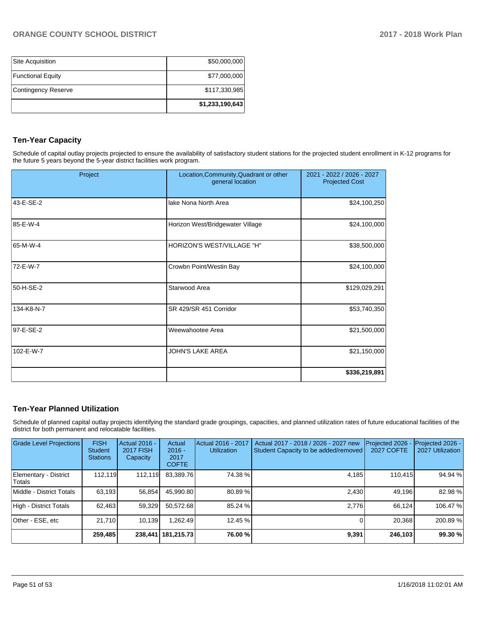|                          | \$1,233,190,643 |
|--------------------------|-----------------|
| Contingency Reserve      | \$117,330,985   |
| <b>Functional Equity</b> | \$77,000,000    |
| Site Acquisition         | \$50,000,000    |

# **Ten-Year Capacity**

Schedule of capital outlay projects projected to ensure the availability of satisfactory student stations for the projected student enrollment in K-12 programs for the future 5 years beyond the 5-year district facilities work program.

| Project    | Location, Community, Quadrant or other<br>general location | 2021 - 2022 / 2026 - 2027<br><b>Projected Cost</b> |
|------------|------------------------------------------------------------|----------------------------------------------------|
| 43-E-SE-2  | lake Nona North Area                                       | \$24,100,250                                       |
| 85-E-W-4   | Horizon West/Bridgewater Village                           | \$24,100,000                                       |
| 65-M-W-4   | HORIZON'S WEST/VILLAGE "H"                                 | \$38,500,000                                       |
| 72-E-W-7   | Crowbn Point/Westin Bay                                    | \$24,100,000                                       |
| 50-H-SE-2  | Starwood Area                                              | \$129,029,291                                      |
| 134-K8-N-7 | SR 429/SR 451 Corridor                                     | \$53,740,350                                       |
| 97-E-SE-2  | Weewahootee Area                                           | \$21,500,000                                       |
| 102-E-W-7  | <b>JOHN'S LAKE AREA</b>                                    | \$21,150,000                                       |
|            |                                                            | \$336,219,891                                      |

## **Ten-Year Planned Utilization**

Schedule of planned capital outlay projects identifying the standard grade groupings, capacities, and planned utilization rates of future educational facilities of the district for both permanent and relocatable facilities.

| <b>Grade Level Projections</b>         | <b>FISH</b><br><b>Student</b><br><b>Stations</b> | Actual 2016 -<br><b>2017 FISH</b><br>Capacity | Actual<br>$2016 -$<br>2017<br><b>COFTE</b> | Actual 2016 - 2017<br><b>Utilization</b> | Actual 2017 - 2018 / 2026 - 2027 new<br>Student Capacity to be added/removed | Projected 2026<br><b>2027 COFTE</b> | Projected 2026 -<br>2027 Utilization |
|----------------------------------------|--------------------------------------------------|-----------------------------------------------|--------------------------------------------|------------------------------------------|------------------------------------------------------------------------------|-------------------------------------|--------------------------------------|
| Elementary - District<br><b>Totals</b> | 112.119                                          | 112.119                                       | 83,389.76                                  | 74.38 %                                  | 4,185                                                                        | 110.415                             | 94.94 %                              |
| Middle - District Totals               | 63.193                                           | 56.854                                        | 45,990.80                                  | 80.89%                                   | 2,430                                                                        | 49.196                              | 82.98%                               |
| High - District Totals                 | 62.463                                           | 59,329                                        | 50.572.68                                  | 85.24 %                                  | 2.776                                                                        | 66.124                              | 106.47%                              |
| Other - ESE, etc                       | 21.710                                           | 10,139                                        | 1.262.49                                   | 12.45 %                                  |                                                                              | 20,368                              | 200.89%                              |
|                                        | 259,485                                          |                                               | 238,441   181,215.73                       | 76.00 %                                  | 9,391                                                                        | 246,103                             | 99.30 %                              |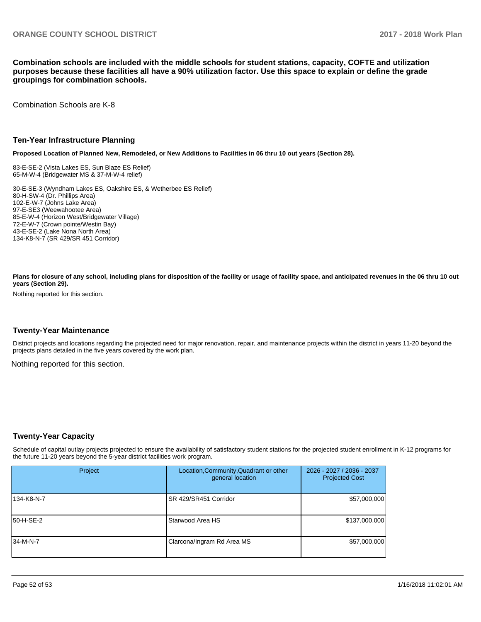**Combination schools are included with the middle schools for student stations, capacity, COFTE and utilization purposes because these facilities all have a 90% utilization factor. Use this space to explain or define the grade groupings for combination schools.** 

Combination Schools are K-8

#### **Ten-Year Infrastructure Planning**

**Proposed Location of Planned New, Remodeled, or New Additions to Facilities in 06 thru 10 out years (Section 28).**

83-E-SE-2 (Vista Lakes ES, Sun Blaze ES Relief) 65-M-W-4 (Bridgewater MS & 37-M-W-4 relief)

30-E-SE-3 (Wyndham Lakes ES, Oakshire ES, & Wetherbee ES Relief) 80-H-SW-4 (Dr. Phillips Area) 102-E-W-7 (Johns Lake Area) 97-E-SE3 (Weewahootee Area) 85-E-W-4 (Horizon West/Bridgewater Village) 72-E-W-7 (Crown pointe/Westin Bay) 43-E-SE-2 (Lake Nona North Area) 134-K8-N-7 (SR 429/SR 451 Corridor)

Plans for closure of any school, including plans for disposition of the facility or usage of facility space, and anticipated revenues in the 06 thru 10 out **years (Section 29).**

Nothing reported for this section.

#### **Twenty-Year Maintenance**

District projects and locations regarding the projected need for major renovation, repair, and maintenance projects within the district in years 11-20 beyond the projects plans detailed in the five years covered by the work plan.

Nothing reported for this section.

### **Twenty-Year Capacity**

Schedule of capital outlay projects projected to ensure the availability of satisfactory student stations for the projected student enrollment in K-12 programs for the future 11-20 years beyond the 5-year district facilities work program.

| Project      | Location, Community, Quadrant or other<br>general location | 2026 - 2027 / 2036 - 2037<br><b>Projected Cost</b> |  |
|--------------|------------------------------------------------------------|----------------------------------------------------|--|
| 134-K8-N-7   | SR 429/SR451 Corridor                                      | \$57,000,000                                       |  |
| 50-H-SE-2    | Starwood Area HS                                           | \$137,000,000                                      |  |
| $ 34-M-N-7 $ | Clarcona/Ingram Rd Area MS                                 | \$57,000,000                                       |  |